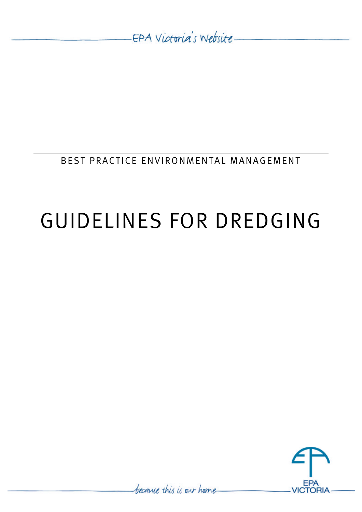-EPA Victoria's Website-

BEST PRACTICE ENVIRONMENTAL MANAGEMENT

# GUIDELINES FOR DREDGING



because this is our home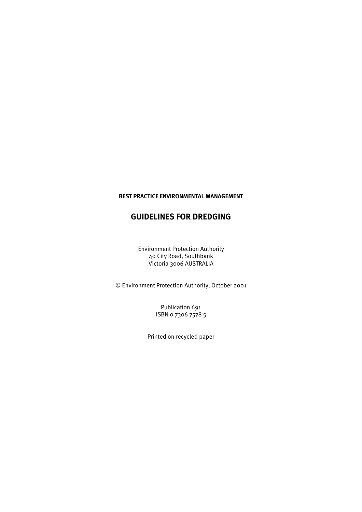## **BEST PRACTICE ENVIRONMENTAL MANAGEMENT**

# **GUIDELINES FOR DREDGING**

Environment Protection Authority 40 City Road, Southbank Victoria 3006 AUSTRALIA

© Environment Protection Authority, October 2001

Publication 691 ISBN 0 7306 7578 5

Printed on recycled paper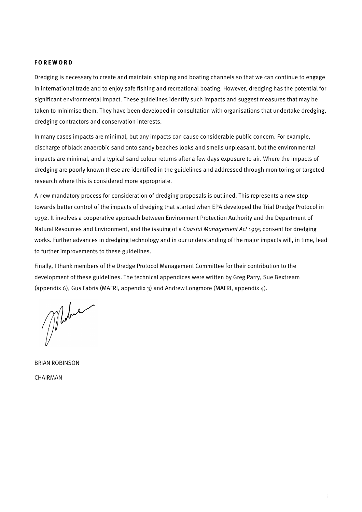#### **FOREWORD**

Dredging is necessary to create and maintain shipping and boating channels so that we can continue to engage in international trade and to enjoy safe fishing and recreational boating. However, dredging has the potential for significant environmental impact. These guidelines identify such impacts and suggest measures that may be taken to minimise them. They have been developed in consultation with organisations that undertake dredging, dredging contractors and conservation interests.

In many cases impacts are minimal, but any impacts can cause considerable public concern. For example, discharge of black anaerobic sand onto sandy beaches looks and smells unpleasant, but the environmental impacts are minimal, and a typical sand colour returns after a few days exposure to air. Where the impacts of dredging are poorly known these are identified in the guidelines and addressed through monitoring or targeted research where this is considered more appropriate.

A new mandatory process for consideration of dredging proposals is outlined. This represents a new step towards better control of the impacts of dredging that started when EPA developed the Trial Dredge Protocol in 1992. It involves a cooperative approach between Environment Protection Authority and the Department of Natural Resources and Environment, and the issuing of a *Coastal Management Act* 1995 consent for dredging works. Further advances in dredging technology and in our understanding of the major impacts will, in time, lead to further improvements to these guidelines.

Finally, I thank members of the Dredge Protocol Management Committee for their contribution to the development of these guidelines. The technical appendices were written by Greg Parry, Sue Bextream (appendix 6), Gus Fabris (MAFRI, appendix 3) and Andrew Longmore (MAFRI, appendix  $\Delta$ ).

Mobile

BRIAN ROBINSON CHAIRMAN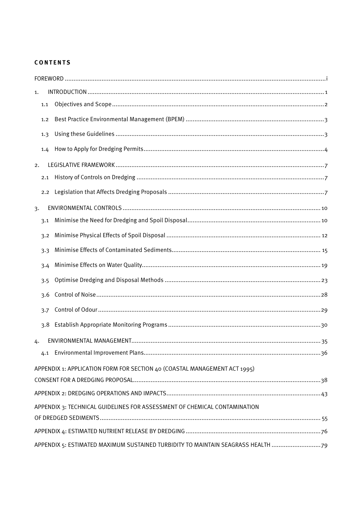## **CONTENTS**

| APPENDIX 1: APPLICATION FORM FOR SECTION 40 (COASTAL MANAGEMENT ACT 1995)                                |
|----------------------------------------------------------------------------------------------------------|
|                                                                                                          |
|                                                                                                          |
| APPENDIX 3: TECHNICAL GUIDELINES FOR ASSESSMENT OF CHEMICAL CONTAMINATION                                |
|                                                                                                          |
| APPENDIX 5: ESTIMATED MAXIMUM SUSTAINED TURBIDITY TO MAINTAIN SEAGRASS HEALTH 79                         |
| 1.1<br>1.2<br>1.3<br>1.4<br>2.1<br>$2.2^{\circ}$<br>3.1<br>3.2<br>3.3<br>3.4<br>3.5<br>3.6<br>3.7<br>3.8 |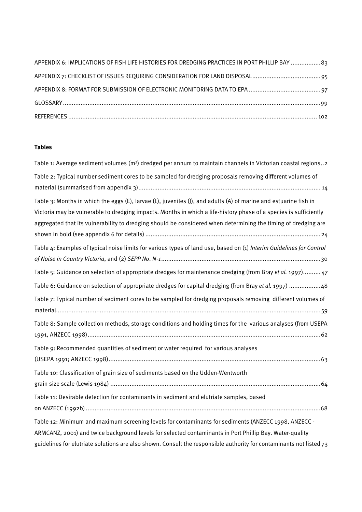| APPENDIX 6: IMPLICATIONS OF FISH LIFE HISTORIES FOR DREDGING PRACTICES IN PORT PHILLIP BAY 83 |
|-----------------------------------------------------------------------------------------------|
|                                                                                               |
|                                                                                               |
|                                                                                               |
|                                                                                               |

# **Tables**

| Table 1: Average sediment volumes (m <sup>3</sup> ) dredged per annum to maintain channels in Victorian coastal regions2                                                                                                                                                                                                                                                                                                                                                                                                                                                                                                                                                                              |
|-------------------------------------------------------------------------------------------------------------------------------------------------------------------------------------------------------------------------------------------------------------------------------------------------------------------------------------------------------------------------------------------------------------------------------------------------------------------------------------------------------------------------------------------------------------------------------------------------------------------------------------------------------------------------------------------------------|
| Table 2: Typical number sediment cores to be sampled for dredging proposals removing different volumes of                                                                                                                                                                                                                                                                                                                                                                                                                                                                                                                                                                                             |
| Table 3: Months in which the eggs (E), larvae (L), juveniles (J), and adults (A) of marine and estuarine fish in<br>Victoria may be vulnerable to dredging impacts. Months in which a life-history phase of a species is sufficiently<br>aggregated that its vulnerability to dredging should be considered when determining the timing of dredging are<br>Table 4: Examples of typical noise limits for various types of land use, based on (1) Interim Guidelines for Control<br>Table 5: Guidance on selection of appropriate dredges for maintenance dredging (from Bray et al. 1997) 47<br>Table 6: Guidance on selection of appropriate dredges for capital dredging (from Bray et al. 1997) 48 |
| Table 7: Typical number of sediment cores to be sampled for dredging proposals removing different volumes of<br>Table 8: Sample collection methods, storage conditions and holding times for the various analyses (from USEPA                                                                                                                                                                                                                                                                                                                                                                                                                                                                         |
| Table 9: Recommended quantities of sediment or water required for various analyses                                                                                                                                                                                                                                                                                                                                                                                                                                                                                                                                                                                                                    |
| Table 10: Classification of grain size of sediments based on the Udden-Wentworth                                                                                                                                                                                                                                                                                                                                                                                                                                                                                                                                                                                                                      |
| Table 11: Desirable detection for contaminants in sediment and elutriate samples, based                                                                                                                                                                                                                                                                                                                                                                                                                                                                                                                                                                                                               |
| Table 12: Minimum and maximum screening levels for contaminants for sediments (ANZECC 1998, ANZECC -<br>ARMCANZ, 2001) and twice background levels for selected contaminants in Port Phillip Bay. Water-quality<br>guidelines for elutriate solutions are also shown. Consult the responsible authority for contaminants not listed $73$                                                                                                                                                                                                                                                                                                                                                              |
|                                                                                                                                                                                                                                                                                                                                                                                                                                                                                                                                                                                                                                                                                                       |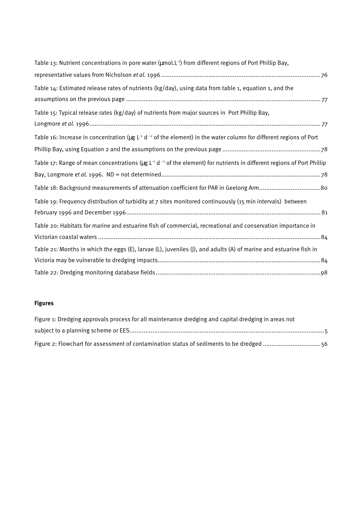| Table 13: Nutrient concentrations in pore water (µmol.L <sup>-1</sup> ) from different regions of Port Phillip Bay,                                 |
|-----------------------------------------------------------------------------------------------------------------------------------------------------|
|                                                                                                                                                     |
| Table 14: Estimated release rates of nutrients (kg/day), using data from table 1, equation 1, and the                                               |
|                                                                                                                                                     |
| Table 15: Typical release rates (kg/day) of nutrients from major sources in Port Phillip Bay,                                                       |
|                                                                                                                                                     |
| Table 16: Increase in concentration ( $\mu$ g L <sup>-1</sup> d <sup>-1</sup> of the element) in the water column for different regions of Port     |
|                                                                                                                                                     |
| Table 17: Range of mean concentrations ( $\mu$ g L <sup>-1</sup> d <sup>-1</sup> of the element) for nutrients in different regions of Port Phillip |
|                                                                                                                                                     |
| Table 18: Background measurements of attenuation coefficient for PAR in Geelong Arm80                                                               |
| Table 19: Frequency distribution of turbidity at 7 sites monitored continuously (15 min intervals) between                                          |
|                                                                                                                                                     |
| Table 20: Habitats for marine and estuarine fish of commercial, recreational and conservation importance in                                         |
|                                                                                                                                                     |
| Table 21: Months in which the eggs (E), larvae (L), juveniles (J), and adults (A) of marine and estuarine fish in                                   |
|                                                                                                                                                     |
|                                                                                                                                                     |

## **Figures**

| Figure 1: Dredging approvals process for all maintenance dredging and capital dredging in areas not |
|-----------------------------------------------------------------------------------------------------|
|                                                                                                     |
| Figure 2: Flowchart for assessment of contamination status of sediments to be dredged 56            |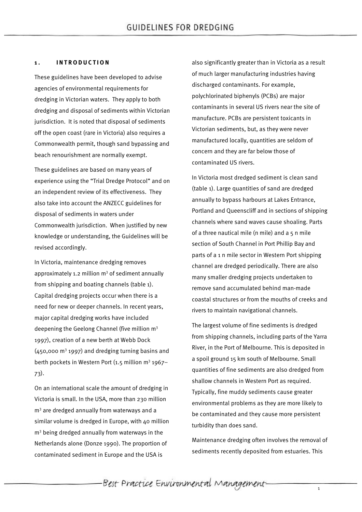#### **1 . INTRODUCTION**

These guidelines have been developed to advise agencies of environmental requirements for dredging in Victorian waters. They apply to both dredging and disposal of sediments within Victorian jurisdiction. It is noted that disposal of sediments off the open coast (rare in Victoria) also requires a Commonwealth permit, though sand bypassing and beach renourishment are normally exempt.

These guidelines are based on many years of experience using the "Trial Dredge Protocol" and on an independent review of its effectiveness. They also take into account the ANZECC guidelines for disposal of sediments in waters under Commonwealth jurisdiction. When justified by new knowledge or understanding, the Guidelines will be revised accordingly.

In Victoria, maintenance dredging removes approximately 1.2 million  $m<sup>3</sup>$  of sediment annually from shipping and boating channels (table 1). Capital dredging projects occur when there is a need for new or deeper channels. In recent years, major capital dredging works have included deepening the Geelong Channel (five million m<sup>3</sup> 1997), creation of a new berth at Webb Dock  $(450,000 \text{ m}^3)$  1997) and dredging turning basins and berth pockets in Western Port (1.5 million m<sup>3</sup> 1967– 73).

On an international scale the amount of dredging in Victoria is small. In the USA, more than 230 million m<sup>3</sup> are dredged annually from waterways and a similar volume is dredged in Europe, with 40 million m<sup>3</sup> being dredged annually from waterways in the Netherlands alone (Donze 1990). The proportion of contaminated sediment in Europe and the USA is

also significantly greater than in Victoria as a result of much larger manufacturing industries having discharged contaminants. For example, polychlorinated biphenyls (PCBs) are major contaminants in several US rivers near the site of manufacture. PCBs are persistent toxicants in Victorian sediments, but, as they were never manufactured locally, quantities are seldom of concern and they are far below those of contaminated US rivers.

In Victoria most dredged sediment is clean sand (table 1). Large quantities of sand are dredged annually to bypass harbours at Lakes Entrance, Portland and Queenscliff and in sections of shipping channels where sand waves cause shoaling. Parts of a three nautical mile (n mile) and a 5 n mile section of South Channel in Port Phillip Bay and parts of a 1 n mile sector in Western Port shipping channel are dredged periodically. There are also many smaller dredging projects undertaken to remove sand accumulated behind man-made coastal structures or from the mouths of creeks and rivers to maintain navigational channels.

The largest volume of fine sediments is dredged from shipping channels, including parts of the Yarra River, in the Port of Melbourne. This is deposited in a spoil ground 15 km south of Melbourne. Small quantities of fine sediments are also dredged from shallow channels in Western Port as required. Typically, fine muddy sediments cause greater environmental problems as they are more likely to be contaminated and they cause more persistent turbidity than does sand.

Maintenance dredging often involves the removal of sediments recently deposited from estuaries. This

-Best Practice Environmental Management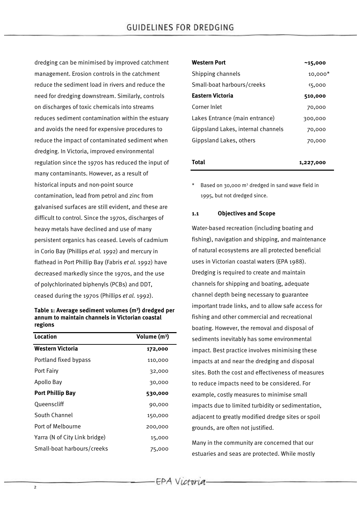dredging can be minimised by improved catchment management. Erosion controls in the catchment reduce the sediment load in rivers and reduce the need for dredging downstream. Similarly, controls on discharges of toxic chemicals into streams reduces sediment contamination within the estuary and avoids the need for expensive procedures to reduce the impact of contaminated sediment when dredging. In Victoria, improved environmental regulation since the 1970s has reduced the input of many contaminants. However, as a result of historical inputs and non-point source contamination, lead from petrol and zinc from galvanised surfaces are still evident, and these are difficult to control. Since the 1970s, discharges of heavy metals have declined and use of many persistent organics has ceased. Levels of cadmium in Corio Bay (Phillips *et al.* 1992) and mercury in flathead in Port Phillip Bay (Fabris *et al.* 1992) have decreased markedly since the 1970s, and the use of polychlorinated biphenyls (PCBs) and DDT, ceased during the 1970s (Phillips *et al.* 1992).

#### **Table 1: Average sediment volumes (m<sup>3</sup> ) dredged per annum to maintain channels in Victorian coastal regions**

| Location                      | Volume $(m^3)$ |
|-------------------------------|----------------|
| <b>Western Victoria</b>       | 172,000        |
| Portland fixed bypass         | 110,000        |
| Port Fairy                    | 32,000         |
| Apollo Bay                    | 30,000         |
| <b>Port Phillip Bay</b>       | 530,000        |
| Oueenscliff                   | 90,000         |
| South Channel                 | 150,000        |
| Port of Melbourne             | 200,000        |
| Yarra (N of City Link bridge) | 15,000         |
| Small-boat harbours/creeks    | 75,000         |

| <b>Western Port</b>                | ~15,000   |
|------------------------------------|-----------|
| Shipping channels                  | $10,000*$ |
| Small-boat harbours/creeks         | 5,000     |
| Eastern Victoria                   | 510,000   |
| Corner Inlet                       | 70,000    |
| Lakes Entrance (main entrance)     | 300,000   |
| Gippsland Lakes, internal channels | 70,000    |
| Gippsland Lakes, others            | 70,000    |
|                                    |           |
| Total                              | 1.227.000 |

\* Based on 30,000 m<sup>3</sup> dredged in sand wave field in 1995, but not dredged since.

#### **1.1 Objectives and Scope**

Water-based recreation (including boating and fishing), navigation and shipping, and maintenance of natural ecosystems are all protected beneficial uses in Victorian coastal waters (EPA 1988). Dredging is required to create and maintain channels for shipping and boating, adequate channel depth being necessary to guarantee important trade links, and to allow safe access for fishing and other commercial and recreational boating. However, the removal and disposal of sediments inevitably has some environmental impact. Best practice involves minimising these impacts at and near the dredging and disposal sites. Both the cost and effectiveness of measures to reduce impacts need to be considered. For example, costly measures to minimise small impacts due to limited turbidity or sedimentation, adjacent to greatly modified dredge sites or spoil grounds, are often not justified.

Many in the community are concerned that our estuaries and seas are protected. While mostly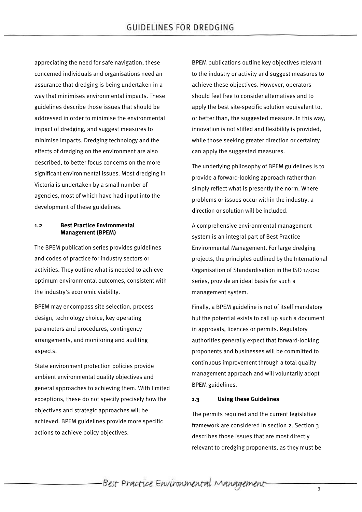appreciating the need for safe navigation, these concerned individuals and organisations need an assurance that dredging is being undertaken in a way that minimises environmental impacts. These guidelines describe those issues that should be addressed in order to minimise the environmental impact of dredging, and suggest measures to minimise impacts. Dredging technology and the effects of dredging on the environment are also described, to better focus concerns on the more significant environmental issues. Most dredging in Victoria is undertaken by a small number of agencies, most of which have had input into the development of these guidelines.

#### **1.2 Best Practice Environmental Management (BPEM)**

The BPEM publication series provides guidelines and codes of practice for industry sectors or activities. They outline what is needed to achieve optimum environmental outcomes, consistent with the industry's economic viability.

BPEM may encompass site selection, process design, technology choice, key operating parameters and procedures, contingency arrangements, and monitoring and auditing aspects.

State environment protection policies provide ambient environmental quality objectives and general approaches to achieving them. With limited exceptions, these do not specify precisely how the objectives and strategic approaches will be achieved. BPEM guidelines provide more specific actions to achieve policy objectives.

BPEM publications outline key objectives relevant to the industry or activity and suggest measures to achieve these objectives. However, operators should feel free to consider alternatives and to apply the best site-specific solution equivalent to, or better than, the suggested measure. In this way, innovation is not stifled and flexibility is provided, while those seeking greater direction or certainty can apply the suggested measures.

The underlying philosophy of BPEM guidelines is to provide a forward-looking approach rather than simply reflect what is presently the norm. Where problems or issues occur within the industry, a direction or solution will be included.

A comprehensive environmental management system is an integral part of Best Practice Environmental Management. For large dredging projects, the principles outlined by the International Organisation of Standardisation in the ISO 14000 series, provide an ideal basis for such a management system.

Finally, a BPEM guideline is not of itself mandatory but the potential exists to call up such a document in approvals, licences or permits. Regulatory authorities generally expect that forward-looking proponents and businesses will be committed to continuous improvement through a total quality management approach and will voluntarily adopt BPEM guidelines.

#### **1.3 Using these Guidelines**

The permits required and the current legislative framework are considered in section 2. Section 3 describes those issues that are most directly relevant to dredging proponents, as they must be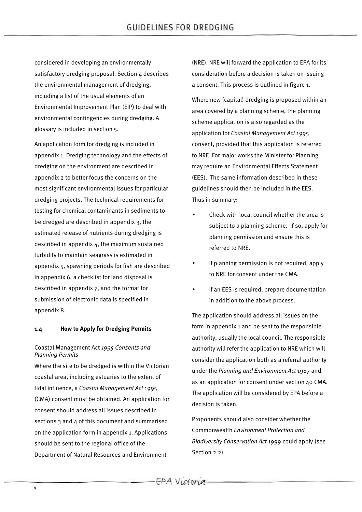considered in developing an environmentally satisfactory dredging proposal. Section 4 describes the environmental management of dredging, including a list of the usual elements of an Environmental Improvement Plan (EIP) to deal with environmental contingencies during dredging. A glossary is included in section 5.

An application form for dredging is included in appendix 1. Dredging technology and the effects of dredging on the environment are described in appendix 2 to better focus the concerns on the most significant environmental issues for particular dredging projects. The technical requirements for testing for chemical contaminants in sediments to be dredged are described in appendix 3, the estimated release of nutrients during dredging is described in appendix 4, the maximum sustained turbidity to maintain seagrass is estimated in appendix 5, spawning periods for fish are described in appendix 6, a checklist for land disposal is described in appendix 7, and the format for submission of electronic data is specified in appendix 8.

#### **1.4 How to Apply for Dredging Permits**

## Coastal Management Act *1995 Consents and Planning Permits*

Where the site to be dredged is within the Victorian coastal area, including estuaries to the extent of tidal influence, a *Coastal Management Act* 1995 (CMA) consent must be obtained. An application for consent should address all issues described in sections 3 and 4 of this document and summarised on the application form in appendix 1. Applications should be sent to the regional office of the Department of Natural Resources and Environment

(NRE). NRE will forward the application to EPA for its consideration before a decision is taken on issuing a consent. This process is outlined in figure 1.

Where new (capital) dredging is proposed within an area covered by a planning scheme, the planning scheme application is also regarded as the application for *Coastal Management Act* 1995 consent, provided that this application is referred to NRE. For major works the Minister for Planning may require an Environmental Effects Statement (EES). The same information described in these guidelines should then be included in the EES. Thus in summary:

- Check with local council whether the area is subject to a planning scheme. If so, apply for planning permission and ensure this is referred to NRE.
- If planning permission is not required, apply to NRE for consent under the CMA.
- If an EES is required, prepare documentation in addition to the above process.

The application should address all issues on the form in appendix 1 and be sent to the responsible authority, usually the local council. The responsible authority will refer the application to NRE which will consider the application both as a referral authority under the *Planning and Environment Act* 1987 and as an application for consent under section 40 CMA. The application will be considered by EPA before a decision is taken.

Proponents should also consider whether the Commonwealth *Environment Protection and Biodiversity Conservation Act* 1999 could apply (see Section 2.2).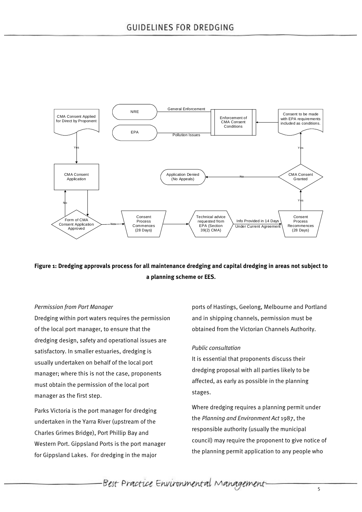

# **Figure 1: Dredging approvals process for all maintenance dredging and capital dredging in areas not subject to a planning scheme or EES.**

#### *Permission from Port Manager*

Dredging within port waters requires the permission of the local port manager, to ensure that the dredging design, safety and operational issues are satisfactory. In smaller estuaries, dredging is usually undertaken on behalf of the local port manager; where this is not the case, proponents must obtain the permission of the local port manager as the first step.

Parks Victoria is the port manager for dredging undertaken in the Yarra River (upstream of the Charles Grimes Bridge), Port Phillip Bay and Western Port. Gippsland Ports is the port manager for Gippsland Lakes. For dredging in the major

ports of Hastings, Geelong, Melbourne and Portland and in shipping channels, permission must be obtained from the Victorian Channels Authority.

#### *Public consultation*

It is essential that proponents discuss their dredging proposal with all parties likely to be affected, as early as possible in the planning stages.

Where dredging requires a planning permit under the *Planning and Environment Act* 1987, the responsible authority (usually the municipal council) may require the proponent to give notice of the planning permit application to any people who

Best Practice Environmental Management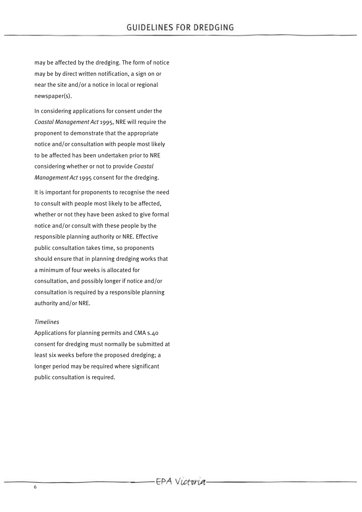may be affected by the dredging. The form of notice may be by direct written notification, a sign on or near the site and/or a notice in local or regional newspaper(s).

In considering applications for consent under the *Coastal Management Act* 1995, NRE will require the proponent to demonstrate that the appropriate notice and/or consultation with people most likely to be affected has been undertaken prior to NRE considering whether or not to provide *Coastal Management Act* 1995 consent for the dredging.

It is important for proponents to recognise the need to consult with people most likely to be affected, whether or not they have been asked to give formal notice and/or consult with these people by the responsible planning authority or NRE. Effective public consultation takes time, so proponents should ensure that in planning dredging works that a minimum of four weeks is allocated for consultation, and possibly longer if notice and/or consultation is required by a responsible planning authority and/or NRE.

#### *Timelines*

Applications for planning permits and CMA s.40 consent for dredging must normally be submitted at least six weeks before the proposed dredging; a longer period may be required where significant public consultation is required.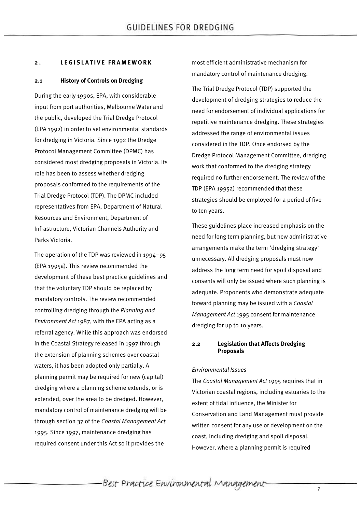## **2 . LEGISLATIVE FRAME WORK**

## **2.1 History of Controls on Dredging**

During the early 1990s, EPA, with considerable input from port authorities, Melbourne Water and the public, developed the Trial Dredge Protocol (EPA 1992) in order to set environmental standards for dredging in Victoria. Since 1992 the Dredge Protocol Management Committee (DPMC) has considered most dredging proposals in Victoria. Its role has been to assess whether dredging proposals conformed to the requirements of the Trial Dredge Protocol (TDP). The DPMC included representatives from EPA, Department of Natural Resources and Environment, Department of Infrastructure, Victorian Channels Authority and Parks Victoria.

The operation of the TDP was reviewed in 1994–95 (EPA 1995a). This review recommended the development of these best practice guidelines and that the voluntary TDP should be replaced by mandatory controls. The review recommended controlling dredging through the *Planning and Environment Act* 1987, with the EPA acting as a referral agency. While this approach was endorsed in the Coastal Strategy released in 1997 through the extension of planning schemes over coastal waters, it has been adopted only partially. A planning permit may be required for new (capital) dredging where a planning scheme extends, or is extended, over the area to be dredged. However, mandatory control of maintenance dredging will be through section 37 of the *Coastal Management Act* 1995. Since 1997, maintenance dredging has required consent under this Act so it provides the

most efficient administrative mechanism for mandatory control of maintenance dredging.

The Trial Dredge Protocol (TDP) supported the development of dredging strategies to reduce the need for endorsement of individual applications for repetitive maintenance dredging. These strategies addressed the range of environmental issues considered in the TDP. Once endorsed by the Dredge Protocol Management Committee, dredging work that conformed to the dredging strategy required no further endorsement. The review of the TDP (EPA 1995a) recommended that these strategies should be employed for a period of five to ten years.

These guidelines place increased emphasis on the need for long term planning, but new administrative arrangements make the term 'dredging strategy' unnecessary. All dredging proposals must now address the long term need for spoil disposal and consents will only be issued where such planning is adequate. Proponents who demonstrate adequate forward planning may be issued with a *Coastal Management Act* 1995 consent for maintenance dredging for up to 10 years.

## **2.2 Legislation that Affects Dredging Proposals**

## *Environmental Issues*

The *Coastal Management Act* 1995 requires that in Victorian coastal regions, including estuaries to the extent of tidal influence, the Minister for Conservation and Land Management must provide written consent for any use or development on the coast, including dredging and spoil disposal. However, where a planning permit is required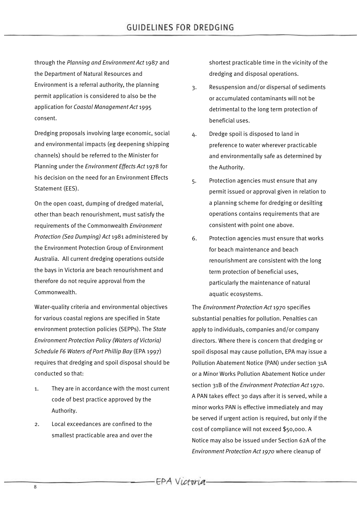through the *Planning and Environment Act* 1987 and the Department of Natural Resources and Environment is a referral authority, the planning permit application is considered to also be the application for *Coastal Management Act* 1995 consent.

Dredging proposals involving large economic, social and environmental impacts (eg deepening shipping channels) should be referred to the Minister for Planning under the *Environment Effects Act* 1978 for his decision on the need for an Environment Effects Statement (EES).

On the open coast, dumping of dredged material, other than beach renourishment, must satisfy the requirements of the Commonwealth *Environment Protection (Sea Dumping) Act* 1981 administered by the Environment Protection Group of Environment Australia. All current dredging operations outside the bays in Victoria are beach renourishment and therefore do not require approval from the Commonwealth.

Water-quality criteria and environmental objectives for various coastal regions are specified in State environment protection policies (SEPPs). The *State Environment Protection Policy (Waters of Victoria) Schedule F6 Waters of Port Phillip Bay* (EPA 1997) requires that dredging and spoil disposal should be conducted so that:

- 1. They are in accordance with the most current code of best practice approved by the Authority.
- 2. Local exceedances are confined to the smallest practicable area and over the

shortest practicable time in the vicinity of the dredging and disposal operations.

- 3. Resuspension and/or dispersal of sediments or accumulated contaminants will not be detrimental to the long term protection of beneficial uses.
- 4. Dredge spoil is disposed to land in preference to water wherever practicable and environmentally safe as determined by the Authority.
- 5. Protection agencies must ensure that any permit issued or approval given in relation to a planning scheme for dredging or desilting operations contains requirements that are consistent with point one above.
- 6. Protection agencies must ensure that works for beach maintenance and beach renourishment are consistent with the long term protection of beneficial uses, particularly the maintenance of natural aquatic ecosystems.

The *Environment Protection Act* 1970 specifies substantial penalties for pollution. Penalties can apply to individuals, companies and/or company directors. Where there is concern that dredging or spoil disposal may cause pollution, EPA may issue a Pollution Abatement Notice (PAN) under section 31A or a Minor Works Pollution Abatement Notice under section 31B of the *Environment Protection Act* 1970. A PAN takes effect 30 days after it is served, while a minor works PAN is effective immediately and may be served if urgent action is required, but only if the cost of compliance will not exceed \$50,000. A Notice may also be issued under Section 62A of the *Environment Protection Act 1970* where cleanup of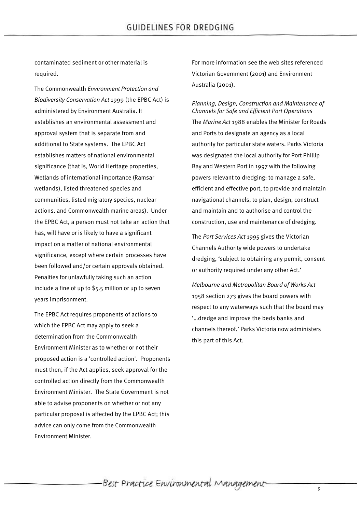contaminated sediment or other material is required.

The Commonwealth *Environment Protection and Biodiversity Conservation Act* 1999 (the EPBC Act) is administered by Environment Australia. It establishes an environmental assessment and approval system that is separate from and additional to State systems. The EPBC Act establishes matters of national environmental significance (that is, World Heritage properties, Wetlands of international importance (Ramsar wetlands), listed threatened species and communities, listed migratory species, nuclear actions, and Commonwealth marine areas). Under the EPBC Act, a person must not take an action that has, will have or is likely to have a significant impact on a matter of national environmental significance, except where certain processes have been followed and/or certain approvals obtained. Penalties for unlawfully taking such an action include a fine of up to \$5.5 million or up to seven years imprisonment.

The EPBC Act requires proponents of actions to which the EPBC Act may apply to seek a determination from the Commonwealth Environment Minister as to whether or not their proposed action is a 'controlled action'. Proponents must then, if the Act applies, seek approval for the controlled action directly from the Commonwealth Environment Minister. The State Government is not able to advise proponents on whether or not any particular proposal is affected by the EPBC Act; this advice can only come from the Commonwealth Environment Minister.

For more information see the web sites referenced Victorian Government (2001) and Environment Australia (2001).

#### *Planning, Design, Construction and Maintenance of Channels for Safe and Efficient Port Operations*

The *Marine Act* 1988 enables the Minister for Roads and Ports to designate an agency as a local authority for particular state waters. Parks Victoria was designated the local authority for Port Phillip Bay and Western Port in 1997 with the following powers relevant to dredging: to manage a safe, efficient and effective port, to provide and maintain navigational channels, to plan, design, construct and maintain and to authorise and control the construction, use and maintenance of dredging.

The *Port Services Act* 1995 gives the Victorian Channels Authority wide powers to undertake dredging, 'subject to obtaining any permit, consent or authority required under any other Act.'

*Melbourne and Metropolitan Board of Works Act* 1958 section 273 gives the board powers with respect to any waterways such that the board may '…dredge and improve the beds banks and channels thereof.' Parks Victoria now administers this part of this Act.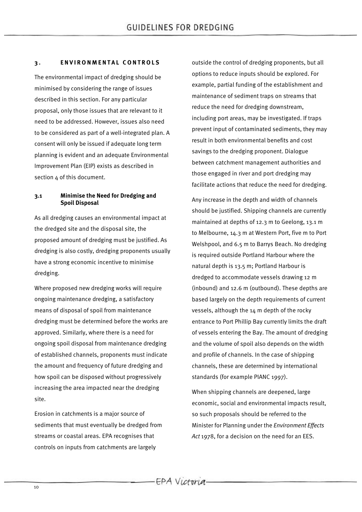## 3. **ENVIRONMENTAL CONTROLS**

The environmental impact of dredging should be minimised by considering the range of issues described in this section. For any particular proposal, only those issues that are relevant to it need to be addressed. However, issues also need to be considered as part of a well-integrated plan. A consent will only be issued if adequate long term planning is evident and an adequate Environmental Improvement Plan (EIP) exists as described in section 4 of this document.

## **3.1 Minimise the Need for Dredging and Spoil Disposal**

As all dredging causes an environmental impact at the dredged site and the disposal site, the proposed amount of dredging must be justified. As dredging is also costly, dredging proponents usually have a strong economic incentive to minimise dredging.

Where proposed new dredging works will require ongoing maintenance dredging, a satisfactory means of disposal of spoil from maintenance dredging must be determined before the works are approved. Similarly, where there is a need for ongoing spoil disposal from maintenance dredging of established channels, proponents must indicate the amount and frequency of future dredging and how spoil can be disposed without progressively increasing the area impacted near the dredging site.

Erosion in catchments is a major source of sediments that must eventually be dredged from streams or coastal areas. EPA recognises that controls on inputs from catchments are largely

outside the control of dredging proponents, but all options to reduce inputs should be explored. For example, partial funding of the establishment and maintenance of sediment traps on streams that reduce the need for dredging downstream, including port areas, may be investigated. If traps prevent input of contaminated sediments, they may result in both environmental benefits and cost savings to the dredging proponent. Dialogue between catchment management authorities and those engaged in river and port dredging may facilitate actions that reduce the need for dredging.

Any increase in the depth and width of channels should be justified. Shipping channels are currently maintained at depths of 12.3 m to Geelong, 13.1 m to Melbourne, 14.3 m at Western Port, five m to Port Welshpool, and 6.5 m to Barrys Beach. No dredging is required outside Portland Harbour where the natural depth is 13.5 m; Portland Harbour is dredged to accommodate vessels drawing 12 m (inbound) and 12.6 m (outbound). These depths are based largely on the depth requirements of current vessels, although the 14 m depth of the rocky entrance to Port Phillip Bay currently limits the draft of vessels entering the Bay. The amount of dredging and the volume of spoil also depends on the width and profile of channels. In the case of shipping channels, these are determined by international standards (for example PIANC 1997).

When shipping channels are deepened, large economic, social and environmental impacts result, so such proposals should be referred to the Minister for Planning under the *Environment Effects Act* 1978, for a decision on the need for an EES.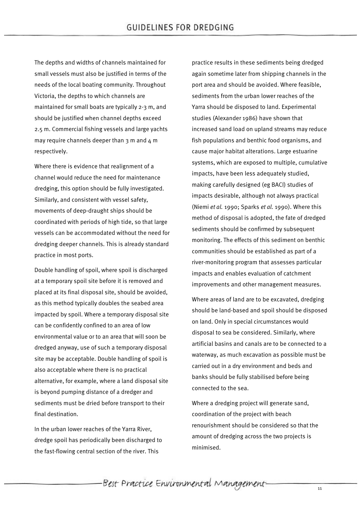The depths and widths of channels maintained for small vessels must also be justified in terms of the needs of the local boating community. Throughout Victoria, the depths to which channels are maintained for small boats are typically 2-3 m, and should be justified when channel depths exceed 2.5 m. Commercial fishing vessels and large yachts may require channels deeper than  $3$  m and  $4$  m respectively.

Where there is evidence that realignment of a channel would reduce the need for maintenance dredging, this option should be fully investigated. Similarly, and consistent with vessel safety, movements of deep-draught ships should be coordinated with periods of high tide, so that large vessels can be accommodated without the need for dredging deeper channels. This is already standard practice in most ports.

Double handling of spoil, where spoil is discharged at a temporary spoil site before it is removed and placed at its final disposal site, should be avoided, as this method typically doubles the seabed area impacted by spoil. Where a temporary disposal site can be confidently confined to an area of low environmental value or to an area that will soon be dredged anyway, use of such a temporary disposal site may be acceptable. Double handling of spoil is also acceptable where there is no practical alternative, for example, where a land disposal site is beyond pumping distance of a dredger and sediments must be dried before transport to their final destination.

In the urban lower reaches of the Yarra River, dredge spoil has periodically been discharged to the fast-flowing central section of the river. This

practice results in these sediments being dredged again sometime later from shipping channels in the port area and should be avoided. Where feasible, sediments from the urban lower reaches of the Yarra should be disposed to land. Experimental studies (Alexander 1986) have shown that increased sand load on upland streams may reduce fish populations and benthic food organisms, and cause major habitat alterations. Large estuarine systems, which are exposed to multiple, cumulative impacts, have been less adequately studied, making carefully designed (eg BACI) studies of impacts desirable, although not always practical (Niemi *et al.* 1990; Sparks *et al.* 1990). Where this method of disposal is adopted, the fate of dredged sediments should be confirmed by subsequent monitoring. The effects of this sediment on benthic communities should be established as part of a river-monitoring program that assesses particular impacts and enables evaluation of catchment improvements and other management measures.

Where areas of land are to be excavated, dredging should be land-based and spoil should be disposed on land. Only in special circumstances would disposal to sea be considered. Similarly, where artificial basins and canals are to be connected to a waterway, as much excavation as possible must be carried out in a dry environment and beds and banks should be fully stabilised before being connected to the sea.

Where a dredging project will generate sand, coordination of the project with beach renourishment should be considered so that the amount of dredging across the two projects is minimised.

-Best Practice Environmental Management-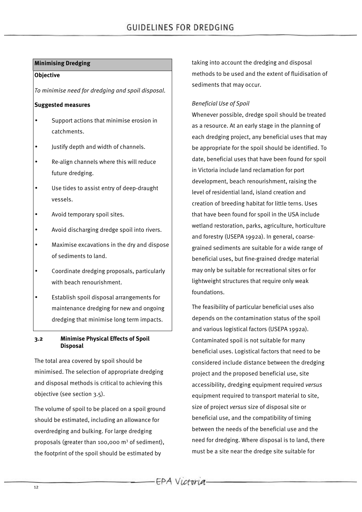## **Minimising Dredging**

#### **Objective**

*To minimise need for dredging and spoil disposal*.

#### **Suggested measures**

- Support actions that minimise erosion in catchments.
- Justify depth and width of channels.
- Re-align channels where this will reduce future dredging.
- Use tides to assist entry of deep-draught vessels.
- Avoid temporary spoil sites.
- Avoid discharging dredge spoil into rivers.
- Maximise excavations in the dry and dispose of sediments to land.
- Coordinate dredging proposals, particularly with beach renourishment.
- Establish spoil disposal arrangements for maintenance dredging for new and ongoing dredging that minimise long term impacts.

#### **3.2 Minimise Physical Effects of Spoil Disposal**

The total area covered by spoil should be minimised. The selection of appropriate dredging and disposal methods is critical to achieving this objective (see section 3.5).

The volume of spoil to be placed on a spoil ground should be estimated, including an allowance for overdredging and bulking. For large dredging proposals (greater than 100,000  $m<sup>3</sup>$  of sediment). the footprint of the spoil should be estimated by

taking into account the dredging and disposal methods to be used and the extent of fluidisation of sediments that may occur.

#### *Beneficial Use of Spoil*

Whenever possible, dredge spoil should be treated as a resource. At an early stage in the planning of each dredging project, any beneficial uses that may be appropriate for the spoil should be identified. To date, beneficial uses that have been found for spoil in Victoria include land reclamation for port development, beach renourishment, raising the level of residential land, island creation and creation of breeding habitat for little terns. Uses that have been found for spoil in the USA include wetland restoration, parks, agriculture, horticulture and forestry (USEPA 1992a). In general, coarsegrained sediments are suitable for a wide range of beneficial uses, but fine-grained dredge material may only be suitable for recreational sites or for lightweight structures that require only weak foundations.

The feasibility of particular beneficial uses also depends on the contamination status of the spoil and various logistical factors (USEPA 1992a). Contaminated spoil is not suitable for many beneficial uses. Logistical factors that need to be considered include distance between the dredging project and the proposed beneficial use, site accessibility, dredging equipment required *versus* equipment required to transport material to site, size of project *versus* size of disposal site or beneficial use, and the compatibility of timing between the needs of the beneficial use and the need for dredging. Where disposal is to land, there must be a site near the dredge site suitable for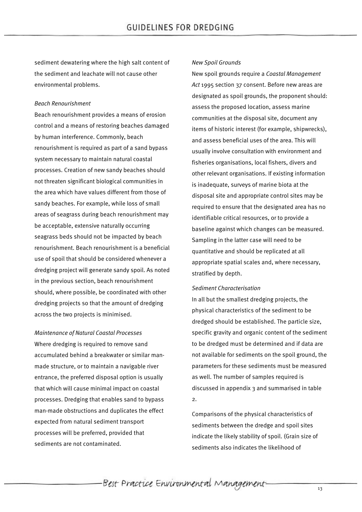sediment dewatering where the high salt content of the sediment and leachate will not cause other environmental problems.

## *Beach Renourishment*

Beach renourishment provides a means of erosion control and a means of restoring beaches damaged by human interference. Commonly, beach renourishment is required as part of a sand bypass system necessary to maintain natural coastal processes. Creation of new sandy beaches should not threaten significant biological communities in the area which have values different from those of sandy beaches. For example, while loss of small areas of seagrass during beach renourishment may be acceptable, extensive naturally occurring seagrass beds should not be impacted by beach renourishment. Beach renourishment is a beneficial use of spoil that should be considered whenever a dredging project will generate sandy spoil. As noted in the previous section, beach renourishment should, where possible, be coordinated with other dredging projects so that the amount of dredging across the two projects is minimised.

*Maintenance of Natural Coastal Processes* Where dredging is required to remove sand accumulated behind a breakwater or similar manmade structure, or to maintain a navigable river entrance, the preferred disposal option is usually that which will cause minimal impact on coastal processes. Dredging that enables sand to bypass man-made obstructions and duplicates the effect expected from natural sediment transport processes will be preferred, provided that sediments are not contaminated.

#### *New Spoil Grounds*

New spoil grounds require a *Coastal Management Act* 1995 section 37 consent. Before new areas are designated as spoil grounds, the proponent should: assess the proposed location, assess marine communities at the disposal site, document any items of historic interest (for example, shipwrecks), and assess beneficial uses of the area. This will usually involve consultation with environment and fisheries organisations, local fishers, divers and other relevant organisations. If existing information is inadequate, surveys of marine biota at the disposal site and appropriate control sites may be required to ensure that the designated area has no identifiable critical resources, or to provide a baseline against which changes can be measured. Sampling in the latter case will need to be quantitative and should be replicated at all appropriate spatial scales and, where necessary, stratified by depth.

#### *Sediment Characterisation*

In all but the smallest dredging projects, the physical characteristics of the sediment to be dredged should be established. The particle size, specific gravity and organic content of the sediment to be dredged must be determined and if data are not available for sediments on the spoil ground, the parameters for these sediments must be measured as well. The number of samples required is discussed in appendix 3 and summarised in table 2.

Comparisons of the physical characteristics of sediments between the dredge and spoil sites indicate the likely stability of spoil. (Grain size of sediments also indicates the likelihood of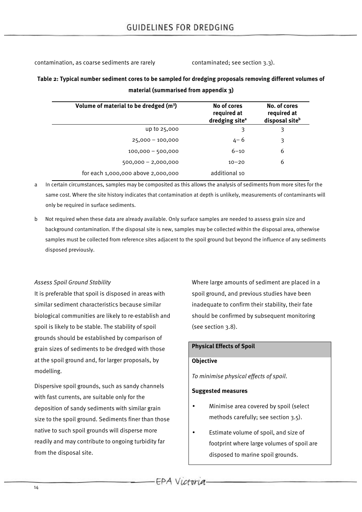contamination, as coarse sediments are rarely example on taminated; see section 3.3).

# **Table 2: Typical number sediment cores to be sampled for dredging proposals removing different volumes of material (summarised from appendix 3)**

| Volume of material to be dredged (m <sup>3</sup> ) | No of cores<br>required at<br>dredging site <sup>a</sup> | No. of cores<br>required at<br>disposal site <sup>b</sup> |
|----------------------------------------------------|----------------------------------------------------------|-----------------------------------------------------------|
| up to 25,000                                       | 3                                                        | 3                                                         |
| $25,000 - 100,000$                                 | $4 - 6$                                                  | 3                                                         |
| $100,000 - 500,000$                                | $6 - 10$                                                 | 6                                                         |
| $500,000 - 2,000,000$                              | $10 - 20$                                                | 6                                                         |
| for each 1,000,000 above 2,000,000                 | additional 10                                            |                                                           |

a In certain circumstances, samples may be composited as this allows the analysis of sediments from more sites for the same cost. Where the site history indicates that contamination at depth is unlikely, measurements of contaminants will only be required in surface sediments.

b Not required when these data are already available. Only surface samples are needed to assess grain size and background contamination. If the disposal site is new, samples may be collected within the disposal area, otherwise samples must be collected from reference sites adjacent to the spoil ground but beyond the influence of any sediments disposed previously.

## *Assess Spoil Ground Stability*

It is preferable that spoil is disposed in areas with similar sediment characteristics because similar biological communities are likely to re-establish and spoil is likely to be stable. The stability of spoil grounds should be established by comparison of grain sizes of sediments to be dredged with those at the spoil ground and, for larger proposals, by modelling.

Dispersive spoil grounds, such as sandy channels with fast currents, are suitable only for the deposition of sandy sediments with similar grain size to the spoil ground. Sediments finer than those native to such spoil grounds will disperse more readily and may contribute to ongoing turbidity far from the disposal site.

Where large amounts of sediment are placed in a spoil ground, and previous studies have been inadequate to confirm their stability, their fate should be confirmed by subsequent monitoring (see section 3.8).

## **Physical Effects of Spoil**

## **Objective**

*To minimise physical effects of spoil*.

## **Suggested measures**

- Minimise area covered by spoil (select methods carefully; see section 3.5).
- Estimate volume of spoil, and size of footprint where large volumes of spoil are disposed to marine spoil grounds.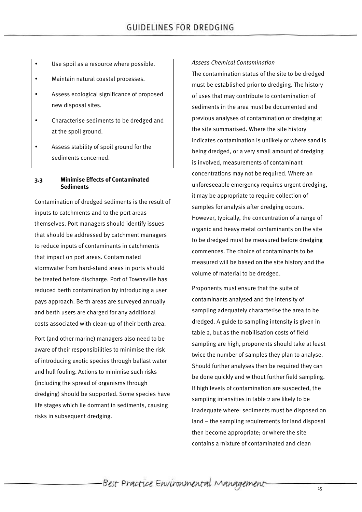- Use spoil as a resource where possible.
- Maintain natural coastal processes.
- Assess ecological significance of proposed new disposal sites.
- Characterise sediments to be dredged and at the spoil ground.
- Assess stability of spoil ground for the sediments concerned.

#### **3.3 Minimise Effects of Contaminated Sediments**

Contamination of dredged sediments is the result of inputs to catchments and to the port areas themselves. Port managers should identify issues that should be addressed by catchment managers to reduce inputs of contaminants in catchments that impact on port areas. Contaminated stormwater from hard-stand areas in ports should be treated before discharge. Port of Townsville has reduced berth contamination by introducing a user pays approach. Berth areas are surveyed annually and berth users are charged for any additional costs associated with clean-up of their berth area.

Port (and other marine) managers also need to be aware of their responsibilities to minimise the risk of introducing exotic species through ballast water and hull fouling. Actions to minimise such risks (including the spread of organisms through dredging) should be supported. Some species have life stages which lie dormant in sediments, causing risks in subsequent dredging.

#### *Assess Chemical Contamination*

The contamination status of the site to be dredged must be established prior to dredging. The history of uses that may contribute to contamination of sediments in the area must be documented and previous analyses of contamination or dredging at the site summarised. Where the site history indicates contamination is unlikely or where sand is being dredged, or a very small amount of dredging is involved, measurements of contaminant concentrations may not be required. Where an unforeseeable emergency requires urgent dredging, it may be appropriate to require collection of samples for analysis after dredging occurs. However, typically, the concentration of a range of organic and heavy metal contaminants on the site to be dredged must be measured before dredging commences. The choice of contaminants to be measured will be based on the site history and the volume of material to be dredged.

Proponents must ensure that the suite of contaminants analysed and the intensity of sampling adequately characterise the area to be dredged. A guide to sampling intensity is given in table 2, but as the mobilisation costs of field sampling are high, proponents should take at least twice the number of samples they plan to analyse. Should further analyses then be required they can be done quickly and without further field sampling. If high levels of contamination are suspected, the sampling intensities in table 2 are likely to be inadequate where: sediments must be disposed on land – the sampling requirements for land disposal then become appropriate; or where the site contains a mixture of contaminated and clean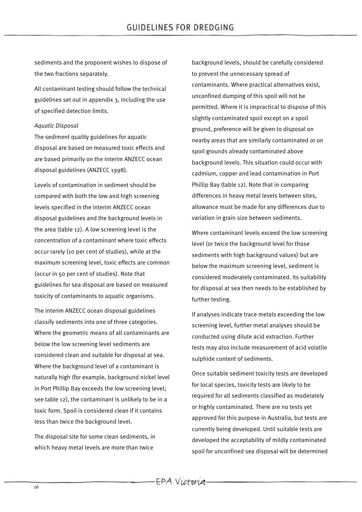sediments and the proponent wishes to dispose of the two fractions separately.

All contaminant testing should follow the technical guidelines set out in appendix 3, including the use of specified detection limits.

#### *Aquatic Disposal*

The sediment quality guidelines for aquatic disposal are based on measured toxic effects and are based primarily on the interim ANZECC ocean disposal guidelines (ANZECC 1998).

Levels of contamination in sediment should be compared with both the low and high screening levels specified in the interim ANZECC ocean disposal guidelines and the background levels in the area (table 12). A low screening level is the concentration of a contaminant where toxic effects occur rarely (10 per cent of studies), while at the maximum screening level, toxic effects are common (occur in 50 per cent of studies). Note that guidelines for sea disposal are based on measured toxicity of contaminants to aquatic organisms.

The interim ANZECC ocean disposal guidelines classify sediments into one of three categories. Where the geometric means of all contaminants are below the low screening level sediments are considered clean and suitable for disposal at sea. Where the background level of a contaminant is naturally high (for example, background nickel level in Port Phillip Bay exceeds the low screening level; see table 12), the contaminant is unlikely to be in a toxic form. Spoil is considered clean if it contains less than twice the background level.

The disposal site for some clean sediments, in which heavy metal levels are more than twice

background levels, should be carefully considered to prevent the unnecessary spread of contaminants. Where practical alternatives exist, unconfined dumping of this spoil will not be permitted. Where it is impractical to dispose of this slightly contaminated spoil except on a spoil ground, preference will be given to disposal on nearby areas that are similarly contaminated or on spoil grounds already contaminated above background levels. This situation could occur with cadmium, copper and lead contamination in Port Phillip Bay (table 12). Note that in comparing differences in heavy metal levels between sites, allowance must be made for any differences due to variation in grain size between sediments.

Where contaminant levels exceed the low screening level (or twice the background level for those sediments with high background values) but are below the maximum screening level, sediment is considered moderately contaminated. Its suitability for disposal at sea then needs to be established by further testing.

If analyses indicate trace metals exceeding the low screening level, further metal analyses should be conducted using dilute acid extraction. Further tests may also include measurement of acid volatile sulphide content of sediments.

Once suitable sediment toxicity tests are developed for local species, toxicity tests are likely to be required for all sediments classified as moderately or highly contaminated. There are no tests yet approved for this purpose in Australia, but tests are currently being developed. Until suitable tests are developed the acceptability of mildly contaminated spoil for unconfined sea disposal will be determined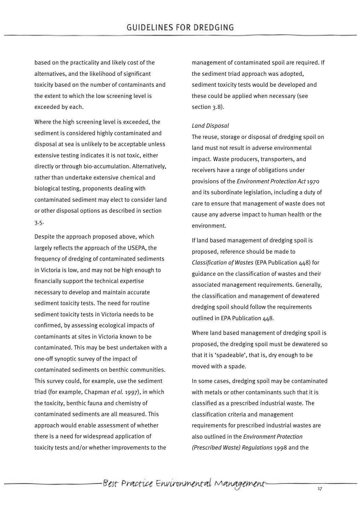based on the practicality and likely cost of the alternatives, and the likelihood of significant toxicity based on the number of contaminants and the extent to which the low screening level is exceeded by each.

Where the high screening level is exceeded, the sediment is considered highly contaminated and disposal at sea is unlikely to be acceptable unless extensive testing indicates it is not toxic, either directly or through bio-accumulation. Alternatively, rather than undertake extensive chemical and biological testing, proponents dealing with contaminated sediment may elect to consider land or other disposal options as described in section 3.5.

Despite the approach proposed above, which largely reflects the approach of the USEPA, the frequency of dredging of contaminated sediments in Victoria is low, and may not be high enough to financially support the technical expertise necessary to develop and maintain accurate sediment toxicity tests. The need for routine sediment toxicity tests in Victoria needs to be confirmed, by assessing ecological impacts of contaminants at sites in Victoria known to be contaminated. This may be best undertaken with a one-off synoptic survey of the impact of contaminated sediments on benthic communities. This survey could, for example, use the sediment triad (for example, Chapman *et al.* 1997), in which the toxicity, benthic fauna and chemistry of contaminated sediments are all measured. This approach would enable assessment of whether there is a need for widespread application of toxicity tests and/or whether improvements to the

management of contaminated spoil are required. If the sediment triad approach was adopted, sediment toxicity tests would be developed and these could be applied when necessary (see section 3.8).

#### *Land Disposal*

The reuse, storage or disposal of dredging spoil on land must not result in adverse environmental impact. Waste producers, transporters, and receivers have a range of obligations under provisions of the *Environment Protection Act* 1970 and its subordinate legislation, including a duty of care to ensure that management of waste does not cause any adverse impact to human health or the environment.

If land based management of dredging spoil is proposed, reference should be made to *Classification of Wastes* (EPA Publication 448) for guidance on the classification of wastes and their associated management requirements. Generally, the classification and management of dewatered dredging spoil should follow the requirements outlined in EPA Publication 448.

Where land based management of dredging spoil is proposed, the dredging spoil must be dewatered so that it is 'spadeable', that is, dry enough to be moved with a spade.

In some cases, dredging spoil may be contaminated with metals or other contaminants such that it is classified as a prescribed industrial waste. The classification criteria and management requirements for prescribed industrial wastes are also outlined in the *Environment Protection (Prescribed Waste) Regulations* 1998 and the

-Best Practice Environmental Management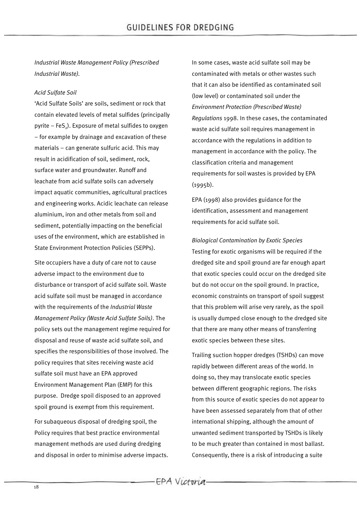*Industrial Waste Management Policy (Prescribed Industrial Waste).*

## *Acid Sulfate Soil*

'Acid Sulfate Soils' are soils, sediment or rock that contain elevated levels of metal sulfides (principally pyrite  $-$  FeS<sub>2</sub>). Exposure of metal sulfides to oxygen – for example by drainage and excavation of these materials – can generate sulfuric acid. This may result in acidification of soil, sediment, rock, surface water and groundwater. Runoff and leachate from acid sulfate soils can adversely impact aquatic communities, agricultural practices and engineering works. Acidic leachate can release aluminium, iron and other metals from soil and sediment, potentially impacting on the beneficial uses of the environment, which are established in State Environment Protection Policies (SEPPs).

Site occupiers have a duty of care not to cause adverse impact to the environment due to disturbance or transport of acid sulfate soil. Waste acid sulfate soil must be managed in accordance with the requirements of the *Industrial Waste Management Policy (Waste Acid Sulfate Soils)*. The policy sets out the management regime required for disposal and reuse of waste acid sulfate soil, and specifies the responsibilities of those involved. The policy requires that sites receiving waste acid sulfate soil must have an EPA approved Environment Management Plan (EMP) for this purpose. Dredge spoil disposed to an approved spoil ground is exempt from this requirement.

For subaqueous disposal of dredging spoil, the Policy requires that best practice environmental management methods are used during dredging and disposal in order to minimise adverse impacts. In some cases, waste acid sulfate soil may be contaminated with metals or other wastes such that it can also be identified as contaminated soil (low level) or contaminated soil under the *Environment Protection (Prescribed Waste) Regulations* 1998. In these cases, the contaminated waste acid sulfate soil requires management in accordance with the regulations in addition to management in accordance with the policy. The classification criteria and management requirements for soil wastes is provided by EPA (1995b).

EPA (1998) also provides guidance for the identification, assessment and management requirements for acid sulfate soil.

*Biological Contamination by Exotic Species* Testing for exotic organisms will be required if the dredged site and spoil ground are far enough apart that exotic species could occur on the dredged site but do not occur on the spoil ground. In practice, economic constraints on transport of spoil suggest that this problem will arise very rarely, as the spoil is usually dumped close enough to the dredged site that there are many other means of transferring exotic species between these sites.

Trailing suction hopper dredges (TSHDs) can move rapidly between different areas of the world. In doing so, they may translocate exotic species between different geographic regions. The risks from this source of exotic species do not appear to have been assessed separately from that of other international shipping, although the amount of unwanted sediment transported by TSHDs is likely to be much greater than contained in most ballast. Consequently, there is a risk of introducing a suite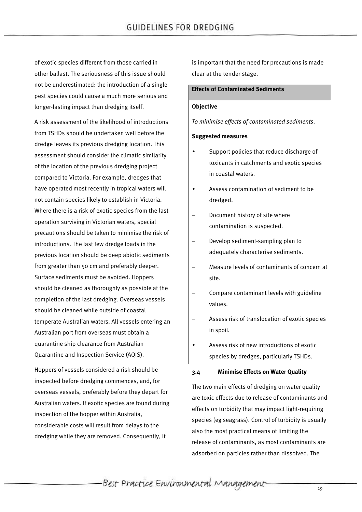of exotic species different from those carried in other ballast. The seriousness of this issue should not be underestimated: the introduction of a single pest species could cause a much more serious and longer-lasting impact than dredging itself.

A risk assessment of the likelihood of introductions from TSHDs should be undertaken well before the dredge leaves its previous dredging location. This assessment should consider the climatic similarity of the location of the previous dredging project compared to Victoria. For example, dredges that have operated most recently in tropical waters will not contain species likely to establish in Victoria. Where there is a risk of exotic species from the last operation surviving in Victorian waters, special precautions should be taken to minimise the risk of introductions. The last few dredge loads in the previous location should be deep abiotic sediments from greater than 50 cm and preferably deeper. Surface sediments must be avoided. Hoppers should be cleaned as thoroughly as possible at the completion of the last dredging. Overseas vessels should be cleaned while outside of coastal temperate Australian waters. All vessels entering an Australian port from overseas must obtain a quarantine ship clearance from Australian Quarantine and Inspection Service (AQIS).

Hoppers of vessels considered a risk should be inspected before dredging commences, and, for overseas vessels, preferably before they depart for Australian waters. If exotic species are found during inspection of the hopper within Australia, considerable costs will result from delays to the dredging while they are removed. Consequently, it

is important that the need for precautions is made clear at the tender stage.

## **Effects of Contaminated Sediments**

#### **Objective**

*To minimise effects of contaminated sediments*.

#### **Suggested measures**

- Support policies that reduce discharge of toxicants in catchments and exotic species in coastal waters.
- Assess contamination of sediment to be dredged.
- Document history of site where contamination is suspected.
- Develop sediment-sampling plan to adequately characterise sediments.
- Measure levels of contaminants of concern at site.
- Compare contaminant levels with guideline values.
- Assess risk of translocation of exotic species in spoil.
- Assess risk of new introductions of exotic species by dredges, particularly TSHDs.

#### **3.4 Minimise Effects on Water Quality**

The two main effects of dredging on water quality are toxic effects due to release of contaminants and effects on turbidity that may impact light-requiring species (eg seagrass). Control of turbidity is usually also the most practical means of limiting the release of contaminants, as most contaminants are adsorbed on particles rather than dissolved. The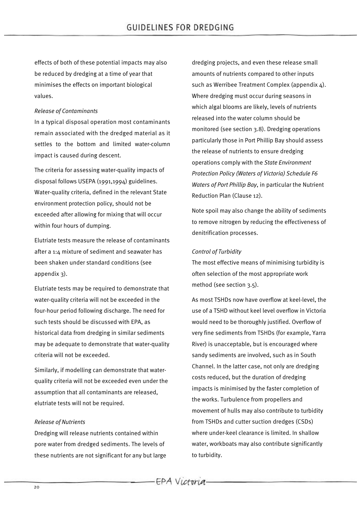effects of both of these potential impacts may also be reduced by dredging at a time of year that minimises the effects on important biological values.

## *Release of Contaminants*

In a typical disposal operation most contaminants remain associated with the dredged material as it settles to the bottom and limited water-column impact is caused during descent.

The criteria for assessing water-quality impacts of disposal follows USEPA (1991,1994) guidelines. Water-quality criteria, defined in the relevant State environment protection policy, should not be exceeded after allowing for mixing that will occur within four hours of dumping.

Elutriate tests measure the release of contaminants after a 1:4 mixture of sediment and seawater has been shaken under standard conditions (see appendix 3).

Elutriate tests may be required to demonstrate that water-quality criteria will not be exceeded in the four-hour period following discharge. The need for such tests should be discussed with EPA, as historical data from dredging in similar sediments may be adequate to demonstrate that water-quality criteria will not be exceeded.

Similarly, if modelling can demonstrate that waterquality criteria will not be exceeded even under the assumption that all contaminants are released, elutriate tests will not be required.

## *Release of Nutrients*

Dredging will release nutrients contained within pore water from dredged sediments. The levels of these nutrients are not significant for any but large dredging projects, and even these release small amounts of nutrients compared to other inputs such as Werribee Treatment Complex (appendix 4). Where dredging must occur during seasons in which algal blooms are likely, levels of nutrients released into the water column should be monitored (see section 3.8). Dredging operations particularly those in Port Phillip Bay should assess the release of nutrients to ensure dredging operations comply with the *State Environment Protection Policy (Waters of Victoria) Schedule F6 Waters of Port Phillip Bay*, in particular the Nutrient Reduction Plan (Clause 12).

Note spoil may also change the ability of sediments to remove nitrogen by reducing the effectiveness of denitrification processes.

#### *Control of Turbidity*

The most effective means of minimising turbidity is often selection of the most appropriate work method (see section 3.5).

As most TSHDs now have overflow at keel-level, the use of a TSHD without keel level overflow in Victoria would need to be thoroughly justified. Overflow of very fine sediments from TSHDs (for example, Yarra River) is unacceptable, but is encouraged where sandy sediments are involved, such as in South Channel. In the latter case, not only are dredging costs reduced, but the duration of dredging impacts is minimised by the faster completion of the works. Turbulence from propellers and movement of hulls may also contribute to turbidity from TSHDs and cutter suction dredges (CSDs) where under-keel clearance is limited. In shallow water, workboats may also contribute significantly to turbidity.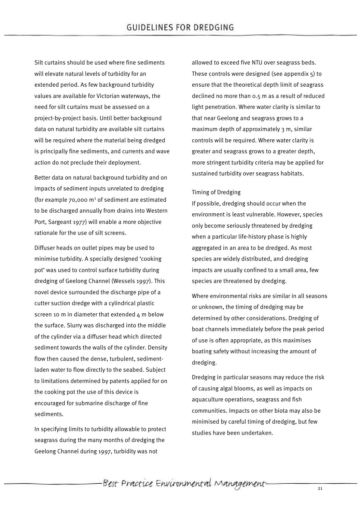Silt curtains should be used where fine sediments will elevate natural levels of turbidity for an extended period. As few background turbidity values are available for Victorian waterways, the need for silt curtains must be assessed on a project-by-project basis. Until better background data on natural turbidity are available silt curtains will be required where the material being dredged is principally fine sediments, and currents and wave action do not preclude their deployment.

Better data on natural background turbidity and on impacts of sediment inputs unrelated to dredging (for example  $70.000$  m<sup>3</sup> of sediment are estimated to be discharged annually from drains into Western Port, Sargeant 1977) will enable a more objective rationale for the use of silt screens.

Diffuser heads on outlet pipes may be used to minimise turbidity. A specially designed 'cooking pot' was used to control surface turbidity during dredging of Geelong Channel (Wessels 1997). This novel device surrounded the discharge pipe of a cutter suction dredge with a cylindrical plastic screen 10 m in diameter that extended  $4$  m below the surface. Slurry was discharged into the middle of the cylinder via a diffuser head which directed sediment towards the walls of the cylinder. Density flow then caused the dense, turbulent, sedimentladen water to flow directly to the seabed. Subject to limitations determined by patents applied for on the cooking pot the use of this device is encouraged for submarine discharge of fine sediments.

In specifying limits to turbidity allowable to protect seagrass during the many months of dredging the Geelong Channel during 1997, turbidity was not

allowed to exceed five NTU over seagrass beds. These controls were designed (see appendix 5) to ensure that the theoretical depth limit of seagrass declined no more than 0.5 m as a result of reduced light penetration. Where water clarity is similar to that near Geelong and seagrass grows to a maximum depth of approximately 3 m, similar controls will be required. Where water clarity is greater and seagrass grows to a greater depth, more stringent turbidity criteria may be applied for sustained turbidity over seagrass habitats.

#### Timing of Dredging

If possible, dredging should occur when the environment is least vulnerable. However, species only become seriously threatened by dredging when a particular life-history phase is highly aggregated in an area to be dredged. As most species are widely distributed, and dredging impacts are usually confined to a small area, few species are threatened by dredging.

Where environmental risks are similar in all seasons or unknown, the timing of dredging may be determined by other considerations. Dredging of boat channels immediately before the peak period of use is often appropriate, as this maximises boating safety without increasing the amount of dredging.

Dredging in particular seasons may reduce the risk of causing algal blooms, as well as impacts on aquaculture operations, seagrass and fish communities. Impacts on other biota may also be minimised by careful timing of dredging, but few studies have been undertaken.

-Best Practice Environmental Management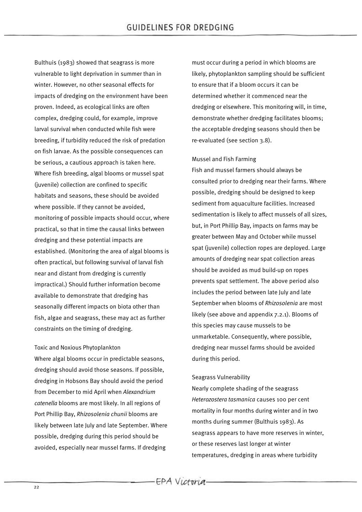Bulthuis (1983) showed that seagrass is more vulnerable to light deprivation in summer than in winter. However, no other seasonal effects for impacts of dredging on the environment have been proven. Indeed, as ecological links are often complex, dredging could, for example, improve larval survival when conducted while fish were breeding, if turbidity reduced the risk of predation on fish larvae. As the possible consequences can be serious, a cautious approach is taken here. Where fish breeding, algal blooms or mussel spat (juvenile) collection are confined to specific habitats and seasons, these should be avoided where possible. If they cannot be avoided, monitoring of possible impacts should occur, where practical, so that in time the causal links between dredging and these potential impacts are established. (Monitoring the area of algal blooms is often practical, but following survival of larval fish near and distant from dredging is currently impractical.) Should further information become available to demonstrate that dredging has seasonally different impacts on biota other than fish, algae and seagrass, these may act as further constraints on the timing of dredging.

#### Toxic and Noxious Phytoplankton

Where algal blooms occur in predictable seasons, dredging should avoid those seasons. If possible, dredging in Hobsons Bay should avoid the period from December to mid April when *Alexandrium catenella* blooms are most likely. In all regions of Port Phillip Bay, *Rhizosolenia chunii* blooms are likely between late July and late September. Where possible, dredging during this period should be avoided, especially near mussel farms. If dredging

must occur during a period in which blooms are likely, phytoplankton sampling should be sufficient to ensure that if a bloom occurs it can be determined whether it commenced near the dredging or elsewhere. This monitoring will, in time, demonstrate whether dredging facilitates blooms; the acceptable dredging seasons should then be re-evaluated (see section 3.8).

#### Mussel and Fish Farming

Fish and mussel farmers should always be consulted prior to dredging near their farms. Where possible, dredging should be designed to keep sediment from aquaculture facilities. Increased sedimentation is likely to affect mussels of all sizes, but, in Port Phillip Bay, impacts on farms may be greater between May and October while mussel spat (juvenile) collection ropes are deployed. Large amounts of dredging near spat collection areas should be avoided as mud build-up on ropes prevents spat settlement. The above period also includes the period between late July and late September when blooms of *Rhizosolenia* are most likely (see above and appendix 7.2.1). Blooms of this species may cause mussels to be unmarketable. Consequently, where possible, dredging near mussel farms should be avoided during this period.

#### Seagrass Vulnerability

Nearly complete shading of the seagrass *Heterozostera tasmanica* causes 100 per cent mortality in four months during winter and in two months during summer (Bulthuis 1983). As seagrass appears to have more reserves in winter, or these reserves last longer at winter temperatures, dredging in areas where turbidity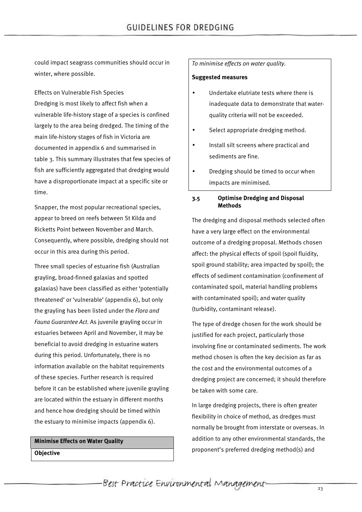could impact seagrass communities should occur in winter, where possible.

Effects on Vulnerable Fish Species Dredging is most likely to affect fish when a vulnerable life-history stage of a species is confined largely to the area being dredged. The timing of the main life-history stages of fish in Victoria are documented in appendix 6 and summarised in table 3. This summary illustrates that few species of fish are sufficiently aggregated that dredging would have a disproportionate impact at a specific site or time.

Snapper, the most popular recreational species, appear to breed on reefs between St Kilda and Ricketts Point between November and March. Consequently, where possible, dredging should not occur in this area during this period.

Three small species of estuarine fish (Australian grayling, broad-finned galaxias and spotted galaxias) have been classified as either 'potentially threatened' or 'vulnerable' (appendix 6), but only the grayling has been listed under the *Flora and Fauna Guarantee Act*. As juvenile grayling occur in estuaries between April and November, it may be beneficial to avoid dredging in estuarine waters during this period. Unfortunately, there is no information available on the habitat requirements of these species. Further research is required before it can be established where juvenile grayling are located within the estuary in different months and hence how dredging should be timed within the estuary to minimise impacts (appendix 6).

**Minimise Effects on Water Quality Objective**

### *To minimise effects on water quality.*

#### **Suggested measures**

- Undertake elutriate tests where there is inadequate data to demonstrate that waterquality criteria will not be exceeded.
- Select appropriate dredging method.
- Install silt screens where practical and sediments are fine.
- Dredging should be timed to occur when impacts are minimised.

#### **3.5 Optimise Dredging and Disposal Methods**

The dredging and disposal methods selected often have a very large effect on the environmental outcome of a dredging proposal. Methods chosen affect: the physical effects of spoil (spoil fluidity, spoil ground stability; area impacted by spoil); the effects of sediment contamination (confinement of contaminated spoil, material handling problems with contaminated spoil); and water quality (turbidity, contaminant release).

The type of dredge chosen for the work should be justified for each project, particularly those involving fine or contaminated sediments. The work method chosen is often the key decision as far as the cost and the environmental outcomes of a dredging project are concerned; it should therefore be taken with some care.

In large dredging projects, there is often greater flexibility in choice of method, as dredges must normally be brought from interstate or overseas. In addition to any other environmental standards, the proponent's preferred dredging method(s) and

Best Practice Environmental Management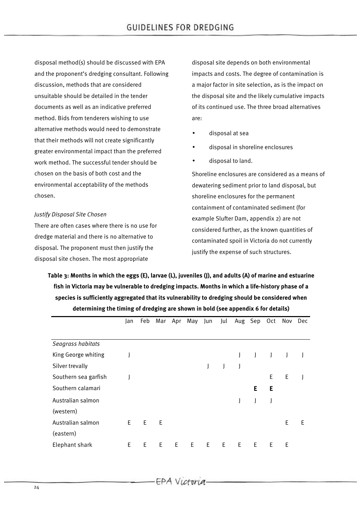disposal method(s) should be discussed with EPA and the proponent's dredging consultant. Following discussion, methods that are considered unsuitable should be detailed in the tender documents as well as an indicative preferred method. Bids from tenderers wishing to use alternative methods would need to demonstrate that their methods will not create significantly greater environmental impact than the preferred work method. The successful tender should be chosen on the basis of both cost and the environmental acceptability of the methods chosen.

## *Justify Disposal Site Chosen*

There are often cases where there is no use for dredge material and there is no alternative to disposal. The proponent must then justify the disposal site chosen. The most appropriate

disposal site depends on both environmental impacts and costs. The degree of contamination is a major factor in site selection, as is the impact on the disposal site and the likely cumulative impacts of its continued use. The three broad alternatives are:

- disposal at sea
- disposal in shoreline enclosures
- disposal to land.

Shoreline enclosures are considered as a means of dewatering sediment prior to land disposal, but shoreline enclosures for the permanent containment of contaminated sediment (for example Slufter Dam, appendix 2) are not considered further, as the known quantities of contaminated spoil in Victoria do not currently justify the expense of such structures.

**Table 3: Months in which the eggs (E), larvae (L), juveniles (J), and adults (A) of marine and estuarine fish in Victoria may be vulnerable to dredging impacts. Months in which a life-history phase of a species is sufficiently aggregated that its vulnerability to dredging should be considered when determining the timing of dredging are shown in bold (see appendix 6 for details)**

|                      | Jan | Feb | Mar | Apr | May | Jun | Jul | Aug | Sep | Oct | Nov | Dec |
|----------------------|-----|-----|-----|-----|-----|-----|-----|-----|-----|-----|-----|-----|
|                      |     |     |     |     |     |     |     |     |     |     |     |     |
| Seagrass habitats    |     |     |     |     |     |     |     |     |     |     |     |     |
| King George whiting  |     |     |     |     |     |     |     |     |     |     |     |     |
| Silver trevally      |     |     |     |     |     |     |     |     |     |     |     |     |
| Southern sea garfish |     |     |     |     |     |     |     |     |     | E   | E   |     |
| Southern calamari    |     |     |     |     |     |     |     |     | Е   | Е   |     |     |
| Australian salmon    |     |     |     |     |     |     |     | J   |     |     |     |     |
| (western)            |     |     |     |     |     |     |     |     |     |     |     |     |
| Australian salmon    | E   | E   | E.  |     |     |     |     |     |     |     | Ε   | E   |
| (eastern)            |     |     |     |     |     |     |     |     |     |     |     |     |
| Elephant shark       | E   | E   | E   | Е   | E   | E.  | E   | Ε   | E   | E   | Е   |     |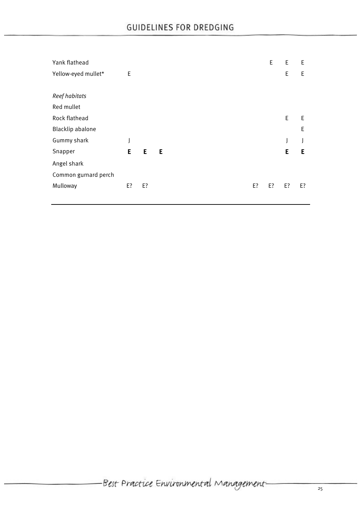| Yank flathead        |    |    |   |  |    | E. | E  | E  |
|----------------------|----|----|---|--|----|----|----|----|
| Yellow-eyed mullet*  | E  |    |   |  |    |    | E  | E  |
|                      |    |    |   |  |    |    |    |    |
| Reef habitats        |    |    |   |  |    |    |    |    |
| Red mullet           |    |    |   |  |    |    |    |    |
| Rock flathead        |    |    |   |  |    |    | E  | E  |
| Blacklip abalone     |    |    |   |  |    |    |    | E  |
| Gummy shark          | J  |    |   |  |    |    | J  |    |
| Snapper              | E  | E  | E |  |    |    | E  | Е  |
| Angel shark          |    |    |   |  |    |    |    |    |
| Common gurnard perch |    |    |   |  |    |    |    |    |
| Mulloway             | E? | E? |   |  | E? | E? | E? | E? |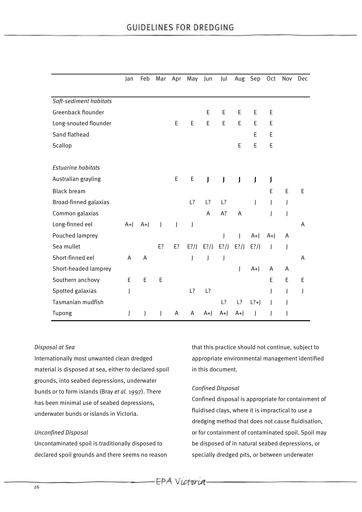|                           | Jan  | Feb  | Mar | Apr          | May     | Jun          | Jul          | Aug     | Sep                  | Oct          | Nov | Dec |
|---------------------------|------|------|-----|--------------|---------|--------------|--------------|---------|----------------------|--------------|-----|-----|
|                           |      |      |     |              |         |              |              |         |                      |              |     |     |
| Soft-sediment habitats    |      |      |     |              |         |              |              |         |                      |              |     |     |
| Greenback flounder        |      |      |     |              |         | E            | E            | E       | Е                    | Е            |     |     |
| Long-snouted flounder     |      |      |     | E            | E       | E            | E            | E       | E                    | E            |     |     |
| Sand flathead             |      |      |     |              |         |              |              |         | Ε                    | E            |     |     |
| Scallop                   |      |      |     |              |         |              |              | E       | E                    | E            |     |     |
|                           |      |      |     |              |         |              |              |         |                      |              |     |     |
| <b>Estuarine habitats</b> |      |      |     |              |         |              |              |         |                      |              |     |     |
| Australian grayling       |      |      |     | E            | E       | $\mathbf{I}$ | $\mathsf{I}$ | J       | J                    | J            |     |     |
| <b>Black bream</b>        |      |      |     |              |         |              |              |         |                      | E            | E   | E   |
| Broad-finned galaxias     |      |      |     |              | L?      | L?           | L?           |         | $\mathsf{I}$         | J            | J   |     |
| Common galaxias           |      |      |     |              |         | A            | A?           | A       |                      | J            | J   |     |
| Long-finned eel           | $A+$ | $A+$ | J   | $\mathsf{I}$ | J       |              |              |         |                      |              |     | A   |
| Pouched lamprey           |      |      |     |              |         |              | I            | T       | $A+$                 | $A+$         | A   |     |
| Sea mullet                |      |      | E?  | E?           | $E$ ?/J | $E$ ?/J      | $E$ ?/J      | $E$ ?/J | $E$ ?/J              | $\mathsf{l}$ | J   |     |
| Short-finned eel          | A    | A    |     |              | J       | J            | J            |         |                      |              |     | A   |
| Short-headed lamprey      |      |      |     |              |         |              |              | J       | $A+$                 | A            | Α   |     |
| Southern anchovy          | E    | E    | E   |              |         |              |              |         |                      | E            | E   | E   |
| Spotted galaxias          | J    |      |     |              | L?      | L?           |              |         |                      | J            | J   | J   |
| Tasmanian mudfish         |      |      |     |              |         |              | L?           | L?      | $\lfloor ?+ \rfloor$ | $\mathsf{I}$ | J   |     |
| Tupong                    | J    | J    | J   | А            | A       | $A+$         | $A+$         | $A+$    | J                    |              | J   |     |

#### *Disposal at Sea*

Internationally most unwanted clean dredged material is disposed at sea, either to declared spoil grounds, into seabed depressions, underwater bunds or to form islands (Bray *et al.* 1997). There has been minimal use of seabed depressions, underwater bunds or islands in Victoria.

#### *Unconfined Disposal*

Uncontaminated spoil is traditionally disposed to declared spoil grounds and there seems no reason that this practice should not continue, subject to appropriate environmental management identified in this document.

#### *Confined Disposal*

Confined disposal is appropriate for containment of fluidised clays, where it is impractical to use a dredging method that does not cause fluidisation, or for containment of contaminated spoil. Spoil may be disposed of in natural seabed depressions, or specially dredged pits, or between underwater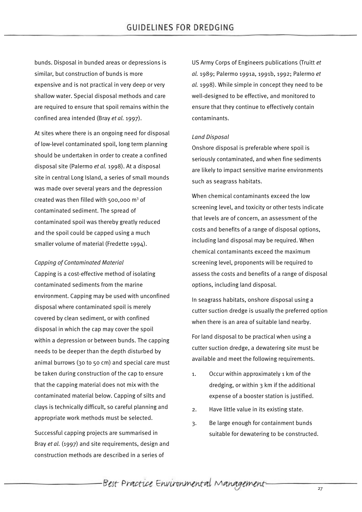bunds. Disposal in bunded areas or depressions is similar, but construction of bunds is more expensive and is not practical in very deep or very shallow water. Special disposal methods and care are required to ensure that spoil remains within the confined area intended (Bray *et al.* 1997).

At sites where there is an ongoing need for disposal of low-level contaminated spoil, long term planning should be undertaken in order to create a confined disposal site (Palermo *et al.* 1998). At a disposal site in central Long Island, a series of small mounds was made over several years and the depression created was then filled with 500,000  $m<sup>3</sup>$  of contaminated sediment. The spread of contaminated spoil was thereby greatly reduced and the spoil could be capped using a much smaller volume of material (Fredette 1994).

#### *Capping of Contaminated Material*

Capping is a cost-effective method of isolating contaminated sediments from the marine environment. Capping may be used with unconfined disposal where contaminated spoil is merely covered by clean sediment, or with confined disposal in which the cap may cover the spoil within a depression or between bunds. The capping needs to be deeper than the depth disturbed by animal burrows (30 to 50 cm) and special care must be taken during construction of the cap to ensure that the capping material does not mix with the contaminated material below. Capping of silts and clays is technically difficult, so careful planning and appropriate work methods must be selected.

Successful capping projects are summarised in Bray *et al.* (1997) and site requirements, design and construction methods are described in a series of

US Army Corps of Engineers publications (Truitt *et al.* 1989; Palermo 1991a, 1991b, 1992; Palermo *et al.* 1998). While simple in concept they need to be well-designed to be effective, and monitored to ensure that they continue to effectively contain contaminants.

## *Land Disposal*

Onshore disposal is preferable where spoil is seriously contaminated, and when fine sediments are likely to impact sensitive marine environments such as seagrass habitats.

When chemical contaminants exceed the low screening level, and toxicity or other tests indicate that levels are of concern, an assessment of the costs and benefits of a range of disposal options, including land disposal may be required. When chemical contaminants exceed the maximum screening level, proponents will be required to assess the costs and benefits of a range of disposal options, including land disposal.

In seagrass habitats, onshore disposal using a cutter suction dredge is usually the preferred option when there is an area of suitable land nearby.

For land disposal to be practical when using a cutter suction dredge, a dewatering site must be available and meet the following requirements.

- 1. Occur within approximately 1 km of the dredging, or within 3 km if the additional expense of a booster station is justified.
- 2. Have little value in its existing state.
- 3. Be large enough for containment bunds suitable for dewatering to be constructed.

-Best Practice Environmental Management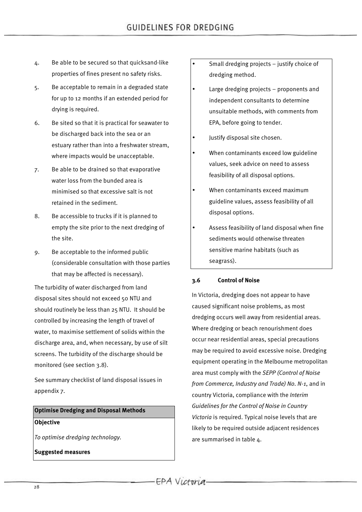- 4. Be able to be secured so that quicksand-like properties of fines present no safety risks.
- 5. Be acceptable to remain in a degraded state for up to 12 months if an extended period for drying is required.
- 6. Be sited so that it is practical for seawater to be discharged back into the sea or an estuary rather than into a freshwater stream, where impacts would be unacceptable.
- 7. Be able to be drained so that evaporative water loss from the bunded area is minimised so that excessive salt is not retained in the sediment.
- 8. Be accessible to trucks if it is planned to empty the site prior to the next dredging of the site.
- 9. Be acceptable to the informed public (considerable consultation with those parties that may be affected is necessary).

The turbidity of water discharged from land disposal sites should not exceed 50 NTU and should routinely be less than 25 NTU. It should be controlled by increasing the length of travel of water, to maximise settlement of solids within the discharge area, and, when necessary, by use of silt screens. The turbidity of the discharge should be monitored (see section 3.8).

See summary checklist of land disposal issues in appendix 7.

# **Optimise Dredging and Disposal Methods Objective**

*To optimise dredging technology.*

**Suggested measures**

- Small dredging projects justify choice of dredging method.
- Large dredging projects proponents and independent consultants to determine unsuitable methods, with comments from EPA, before going to tender.
- Justify disposal site chosen.
- When contaminants exceed low guideline values, seek advice on need to assess feasibility of all disposal options.
- When contaminants exceed maximum guideline values, assess feasibility of all disposal options.
- Assess feasibility of land disposal when fine sediments would otherwise threaten sensitive marine habitats (such as seagrass).

## **3.6 Control of Noise**

In Victoria, dredging does not appear to have caused significant noise problems, as most dredging occurs well away from residential areas. Where dredging or beach renourishment does occur near residential areas, special precautions may be required to avoid excessive noise. Dredging equipment operating in the Melbourne metropolitan area must comply with the *SEPP (Control of Noise from Commerce, Industry and Trade) No*. *N-1*, and in country Victoria, compliance with the *Interim Guidelines for the Control of Noise in Country Victoria* is required. Typical noise levels that are likely to be required outside adjacent residences are summarised in table 4.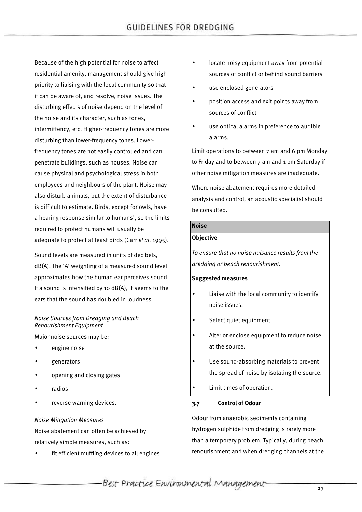Because of the high potential for noise to affect residential amenity, management should give high priority to liaising with the local community so that it can be aware of, and resolve, noise issues. The disturbing effects of noise depend on the level of the noise and its character, such as tones, intermittency, etc. Higher-frequency tones are more disturbing than lower-frequency tones. Lowerfrequency tones are not easily controlled and can penetrate buildings, such as houses. Noise can cause physical and psychological stress in both employees and neighbours of the plant. Noise may also disturb animals, but the extent of disturbance is difficult to estimate. Birds, except for owls, have a hearing response similar to humans', so the limits required to protect humans will usually be adequate to protect at least birds (Carr *et al*. 1995).

Sound levels are measured in units of decibels, dB(A). The 'A' weighting of a measured sound level approximates how the human ear perceives sound. If a sound is intensified by 10  $dB(A)$ , it seems to the ears that the sound has doubled in loudness.

## *Noise Sources from Dredging and Beach Renourishment Equipment*

Major noise sources may be:

- engine noise
- generators
- opening and closing gates
- radios
- reverse warning devices.

#### *Noise Mitigation Measures*

Noise abatement can often be achieved by relatively simple measures, such as:

fit efficient muffling devices to all engines

- locate noisy equipment away from potential sources of conflict or behind sound barriers
- use enclosed generators
- position access and exit points away from sources of conflict
- use optical alarms in preference to audible alarms.

Limit operations to between 7 am and 6 pm Monday to Friday and to between 7 am and 1 pm Saturday if other noise mitigation measures are inadequate.

Where noise abatement requires more detailed analysis and control, an acoustic specialist should be consulted.

## **Noise**

#### **Objective**

*To ensure that no noise nuisance results from the dredging or beach renourishment*.

#### **Suggested measures**

- Liaise with the local community to identify noise issues.
- Select quiet equipment.
- Alter or enclose equipment to reduce noise at the source.
- Use sound-absorbing materials to prevent the spread of noise by isolating the source.
- Limit times of operation.

## **3.7 Control of Odour**

Odour from anaerobic sediments containing hydrogen sulphide from dredging is rarely more than a temporary problem. Typically, during beach renourishment and when dredging channels at the

Best Practice Environmental Management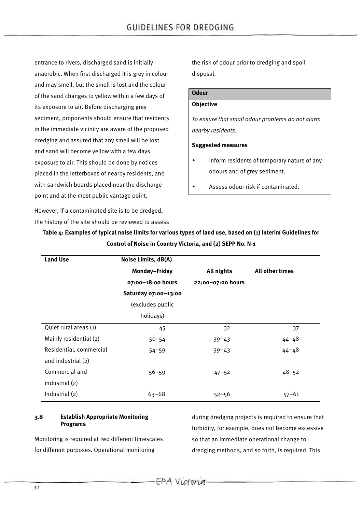entrance to rivers, discharged sand is initially anaerobic. When first discharged it is grey in colour and may smell, but the smell is lost and the colour of the sand changes to yellow within a few days of its exposure to air. Before discharging grey sediment, proponents should ensure that residents in the immediate vicinity are aware of the proposed dredging and assured that any smell will be lost and sand will become yellow with a few days exposure to air. This should be done by notices placed in the letterboxes of nearby residents, and with sandwich boards placed near the discharge point and at the most public vantage point.

However, if a contaminated site is to be dredged, the history of the site should be reviewed to assess the risk of odour prior to dredging and spoil disposal.

## **Odour**

## **Objective**

*To ensure that small odour problems do not alarm nearby residents.*

#### **Suggested measures**

- Inform residents of temporary nature of any odours and of grey sediment.
- Assess odour risk if contaminated.

| <b>Land Use</b>         | Noise Limits, dB(A)  |                   |                 |  |
|-------------------------|----------------------|-------------------|-----------------|--|
|                         | Monday-Friday        | All nights        | All other times |  |
|                         | 07:00-18:00 hours    | 22:00-07:00 hours |                 |  |
|                         | Saturday 07:00-13:00 |                   |                 |  |
|                         | (excludes public     |                   |                 |  |
|                         | holidays)            |                   |                 |  |
| Quiet rural areas (1)   | 45                   | 32                | 37              |  |
| Mainly residential (2)  | $50 - 54$            | $39 - 43$         | $44 - 48$       |  |
| Residential, commercial | $54 - 59$            | $39 - 43$         | $44 - 48$       |  |
| and industrial (2)      |                      |                   |                 |  |
| Commercial and          | $56 - 59$            | $47 - 52$         | $48 - 52$       |  |
| industrial (2)          |                      |                   |                 |  |
| Industrial (2)          | $63 - 68$            | $52 - 56$         | $57 - 61$       |  |

**Table 4: Examples of typical noise limits for various types of land use, based on (1) Interim Guidelines for Control of Noise in Country Victoria, and (2) SEPP No. N-1**

## **3.8 Establish Appropriate Monitoring Programs**

Monitoring is required at two different timescales for different purposes. Operational monitoring

during dredging projects is required to ensure that turbidity, for example, does not become excessive so that an immediate operational change to dredging methods, and so forth, is required. This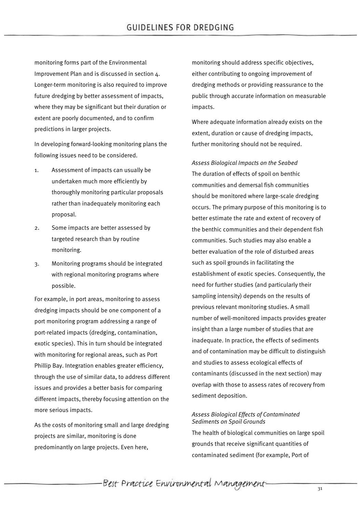monitoring forms part of the Environmental Improvement Plan and is discussed in section 4. Longer-term monitoring is also required to improve future dredging by better assessment of impacts, where they may be significant but their duration or extent are poorly documented, and to confirm predictions in larger projects.

In developing forward-looking monitoring plans the following issues need to be considered.

- 1. Assessment of impacts can usually be undertaken much more efficiently by thoroughly monitoring particular proposals rather than inadequately monitoring each proposal.
- 2. Some impacts are better assessed by targeted research than by routine monitoring.
- 3. Monitoring programs should be integrated with regional monitoring programs where possible.

For example, in port areas, monitoring to assess dredging impacts should be one component of a port monitoring program addressing a range of port-related impacts (dredging, contamination, exotic species). This in turn should be integrated with monitoring for regional areas, such as Port Phillip Bay. Integration enables greater efficiency, through the use of similar data, to address different issues and provides a better basis for comparing different impacts, thereby focusing attention on the more serious impacts.

As the costs of monitoring small and large dredging projects are similar, monitoring is done predominantly on large projects. Even here,

monitoring should address specific objectives, either contributing to ongoing improvement of dredging methods or providing reassurance to the public through accurate information on measurable impacts.

Where adequate information already exists on the extent, duration or cause of dredging impacts, further monitoring should not be required.

*Assess Biological Impacts on the Seabed* The duration of effects of spoil on benthic communities and demersal fish communities should be monitored where large-scale dredging occurs. The primary purpose of this monitoring is to better estimate the rate and extent of recovery of the benthic communities and their dependent fish communities. Such studies may also enable a better evaluation of the role of disturbed areas such as spoil grounds in facilitating the establishment of exotic species. Consequently, the need for further studies (and particularly their sampling intensity) depends on the results of previous relevant monitoring studies. A small number of well-monitored impacts provides greater insight than a large number of studies that are inadequate. In practice, the effects of sediments and of contamination may be difficult to distinguish and studies to assess ecological effects of contaminants (discussed in the next section) may overlap with those to assess rates of recovery from sediment deposition.

### *Assess Biological Effects of Contaminated Sediments on Spoil Grounds*

The health of biological communities on large spoil grounds that receive significant quantities of contaminated sediment (for example, Port of

Best Practice Environmental Management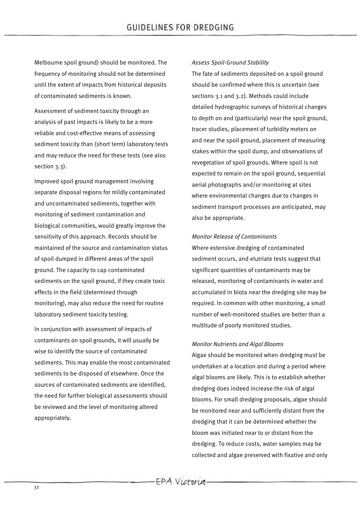Melbourne spoil ground) should be monitored. The frequency of monitoring should not be determined until the extent of impacts from historical deposits of contaminated sediments is known.

Assessment of sediment toxicity through an analysis of past impacts is likely to be a more reliable and cost-effective means of assessing sediment toxicity than (short term) laboratory tests and may reduce the need for these tests (see also section 3.3).

Improved spoil ground management involving separate disposal regions for mildly contaminated and uncontaminated sediments, together with monitoring of sediment contamination and biological communities, would greatly improve the sensitivity of this approach. Records should be maintained of the source and contamination status of spoil dumped in different areas of the spoil ground. The capacity to cap contaminated sediments on the spoil ground, if they create toxic effects in the field (determined through monitoring), may also reduce the need for routine laboratory sediment toxicity testing.

In conjunction with assessment of impacts of contaminants on spoil grounds, it will usually be wise to identify the source of contaminated sediments. This may enable the most contaminated sediments to be disposed of elsewhere. Once the sources of contaminated sediments are identified, the need for further biological assessments should be reviewed and the level of monitoring altered appropriately.

### *Assess Spoil-Ground Stability*

The fate of sediments deposited on a spoil ground should be confirmed where this is uncertain (see sections 3.1 and 3.2). Methods could include detailed hydrographic surveys of historical changes to depth on and (particularly) near the spoil ground, tracer studies, placement of turbidity meters on and near the spoil ground, placement of measuring stakes within the spoil dump, and observations of revegetation of spoil grounds. Where spoil is not expected to remain on the spoil ground, sequential aerial photographs and/or monitoring at sites where environmental changes due to changes in sediment transport processes are anticipated, may also be appropriate.

### *Monitor Release of Contaminants*

Where extensive dredging of contaminated sediment occurs, and elutriate tests suggest that significant quantities of contaminants may be released, monitoring of contaminants in water and accumulated in biota near the dredging site may be required. In common with other monitoring, a small number of well-monitored studies are better than a multitude of poorly monitored studies.

### *Monitor Nutrients and Algal Blooms*

Algae should be monitored when dredging must be undertaken at a location and during a period where algal blooms are likely. This is to establish whether dredging does indeed increase the risk of algal blooms. For small dredging proposals, algae should be monitored near and sufficiently distant from the dredging that it can be determined whether the bloom was initiated near to or distant from the dredging. To reduce costs, water samples may be collected and algae preserved with fixative and only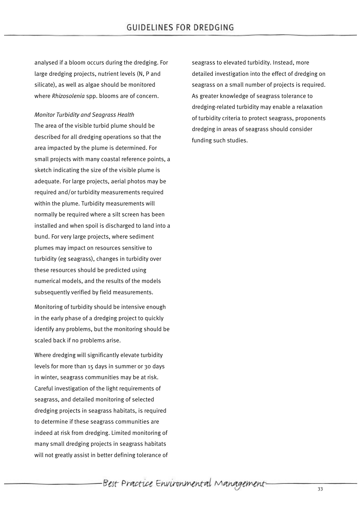analysed if a bloom occurs during the dredging. For large dredging projects, nutrient levels (N, P and silicate), as well as algae should be monitored where *Rhizosolenia* spp. blooms are of concern.

### *Monitor Turbidity and Seagrass Health*

The area of the visible turbid plume should be described for all dredging operations so that the area impacted by the plume is determined. For small projects with many coastal reference points, a sketch indicating the size of the visible plume is adequate. For large projects, aerial photos may be required and/or turbidity measurements required within the plume. Turbidity measurements will normally be required where a silt screen has been installed and when spoil is discharged to land into a bund. For very large projects, where sediment plumes may impact on resources sensitive to turbidity (eg seagrass), changes in turbidity over these resources should be predicted using numerical models, and the results of the models subsequently verified by field measurements.

Monitoring of turbidity should be intensive enough in the early phase of a dredging project to quickly identify any problems, but the monitoring should be scaled back if no problems arise.

Where dredging will significantly elevate turbidity levels for more than 15 days in summer or 30 days in winter, seagrass communities may be at risk. Careful investigation of the light requirements of seagrass, and detailed monitoring of selected dredging projects in seagrass habitats, is required to determine if these seagrass communities are indeed at risk from dredging. Limited monitoring of many small dredging projects in seagrass habitats will not greatly assist in better defining tolerance of seagrass to elevated turbidity. Instead, more detailed investigation into the effect of dredging on seagrass on a small number of projects is required. As greater knowledge of seagrass tolerance to dredging-related turbidity may enable a relaxation of turbidity criteria to protect seagrass, proponents dredging in areas of seagrass should consider funding such studies.

-Best Practice Environmental Management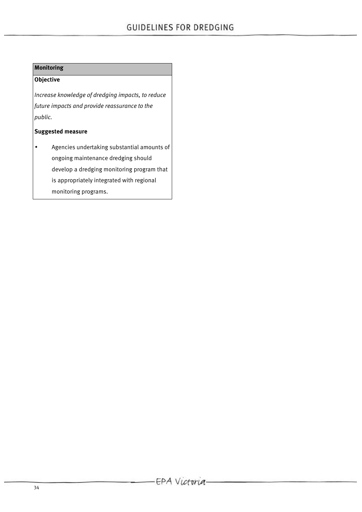# **Monitoring**

# **Objective**

*Increase knowledge of dredging impacts, to reduce future impacts and provide reassurance to the public.*

# **Suggested measure**

• Agencies undertaking substantial amounts of ongoing maintenance dredging should develop a dredging monitoring program that is appropriately integrated with regional monitoring programs.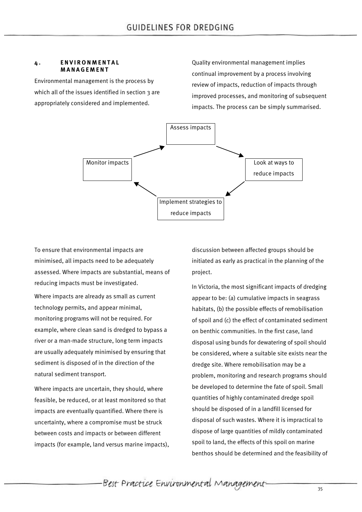#### **4 . ENVIRONMENTAL MANAGEMENT**

Environmental management is the process by which all of the issues identified in section 3 are appropriately considered and implemented.

Quality environmental management implies continual improvement by a process involving review of impacts, reduction of impacts through improved processes, and monitoring of subsequent impacts. The process can be simply summarised.



To ensure that environmental impacts are minimised, all impacts need to be adequately assessed. Where impacts are substantial, means of reducing impacts must be investigated.

Where impacts are already as small as current technology permits, and appear minimal, monitoring programs will not be required. For example, where clean sand is dredged to bypass a river or a man-made structure, long term impacts are usually adequately minimised by ensuring that sediment is disposed of in the direction of the natural sediment transport.

Where impacts are uncertain, they should, where feasible, be reduced, or at least monitored so that impacts are eventually quantified. Where there is uncertainty, where a compromise must be struck between costs and impacts or between different impacts (for example, land versus marine impacts), discussion between affected groups should be initiated as early as practical in the planning of the project.

In Victoria, the most significant impacts of dredging appear to be: (a) cumulative impacts in seagrass habitats, (b) the possible effects of remobilisation of spoil and (c) the effect of contaminated sediment on benthic communities. In the first case, land disposal using bunds for dewatering of spoil should be considered, where a suitable site exists near the dredge site. Where remobilisation may be a problem, monitoring and research programs should be developed to determine the fate of spoil. Small quantities of highly contaminated dredge spoil should be disposed of in a landfill licensed for disposal of such wastes. Where it is impractical to dispose of large quantities of mildly contaminated spoil to land, the effects of this spoil on marine benthos should be determined and the feasibility of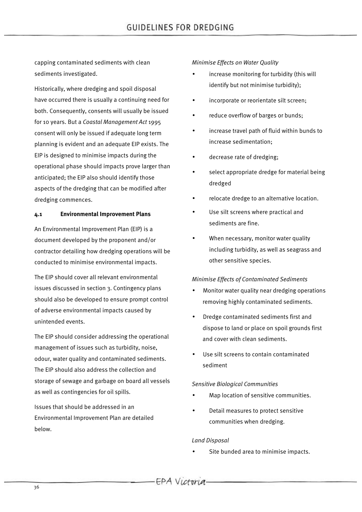capping contaminated sediments with clean sediments investigated.

Historically, where dredging and spoil disposal have occurred there is usually a continuing need for both. Consequently, consents will usually be issued for 10 years. But a *Coastal Management Act* 1995 consent will only be issued if adequate long term planning is evident and an adequate EIP exists. The EIP is designed to minimise impacts during the operational phase should impacts prove larger than anticipated; the EIP also should identify those aspects of the dredging that can be modified after dredging commences.

### **4.1 Environmental Improvement Plans**

An Environmental Improvement Plan (EIP) is a document developed by the proponent and/or contractor detailing how dredging operations will be conducted to minimise environmental impacts.

The EIP should cover all relevant environmental issues discussed in section 3. Contingency plans should also be developed to ensure prompt control of adverse environmental impacts caused by unintended events.

The EIP should consider addressing the operational management of issues such as turbidity, noise, odour, water quality and contaminated sediments. The EIP should also address the collection and storage of sewage and garbage on board all vessels as well as contingencies for oil spills.

Issues that should be addressed in an Environmental Improvement Plan are detailed below.

### *Minimise Effects on Water Quality*

- increase monitoring for turbidity (this will identify but not minimise turbidity);
- incorporate or reorientate silt screen;
- reduce overflow of barges or bunds;
- increase travel path of fluid within bunds to increase sedimentation;
- decrease rate of dredging;
- select appropriate dredge for material being dredged
- relocate dredge to an alternative location.
- Use silt screens where practical and sediments are fine.
- When necessary, monitor water quality including turbidity, as well as seagrass and other sensitive species.

### *Minimise Effects of Contaminated Sediments*

- Monitor water quality near dredging operations removing highly contaminated sediments.
- Dredge contaminated sediments first and dispose to land or place on spoil grounds first and cover with clean sediments.
- Use silt screens to contain contaminated sediment

### *Sensitive Biological Communities*

- Map location of sensitive communities.
- Detail measures to protect sensitive communities when dredging.

### *Land Disposal*

Site bunded area to minimise impacts.

-EPA Victoria.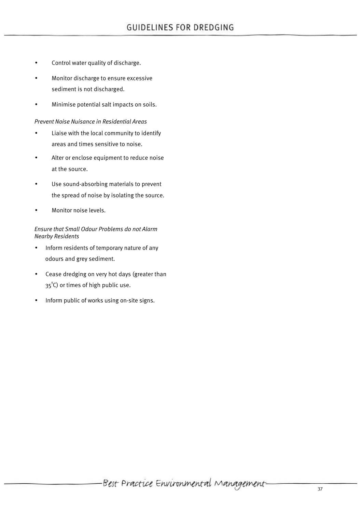- Control water quality of discharge.
- Monitor discharge to ensure excessive sediment is not discharged.
- Minimise potential salt impacts on soils.

### *Prevent Noise Nuisance in Residential Areas*

- Liaise with the local community to identify areas and times sensitive to noise.
- Alter or enclose equipment to reduce noise at the source.
- Use sound-absorbing materials to prevent the spread of noise by isolating the source.
- Monitor noise levels.

*Ensure that Small Odour Problems do not Alarm Nearby Residents*

- Inform residents of temporary nature of any odours and grey sediment.
- Cease dredging on very hot days (greater than 35°C) or times of high public use.
- Inform public of works using on-site signs.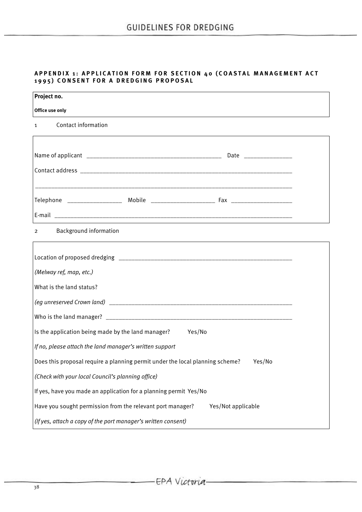## **APPENDIX 1: APPLICATION FORM FOR SECTION 40 (COASTAL MANAGEMENT ACT 1995) CONSENT FOR A DREDGING PROPOSAL**

| Project no.                                                                   |                    |
|-------------------------------------------------------------------------------|--------------------|
| Office use only                                                               |                    |
| <b>Contact information</b><br>$\mathbf{1}$                                    |                    |
|                                                                               |                    |
|                                                                               |                    |
|                                                                               |                    |
|                                                                               |                    |
|                                                                               |                    |
|                                                                               |                    |
| Background information<br>$\overline{2}$                                      |                    |
|                                                                               |                    |
|                                                                               |                    |
| (Melway ref, map, etc.)                                                       |                    |
| What is the land status?                                                      |                    |
|                                                                               |                    |
|                                                                               |                    |
| Is the application being made by the land manager? Yes/No                     |                    |
| If no, please attach the land manager's written support                       |                    |
| Does this proposal require a planning permit under the local planning scheme? | Yes/No             |
| (Check with your local Council's planning office)                             |                    |
| If yes, have you made an application for a planning permit Yes/No             |                    |
| Have you sought permission from the relevant port manager?                    | Yes/Not applicable |
| (If yes, attach a copy of the port manager's written consent)                 |                    |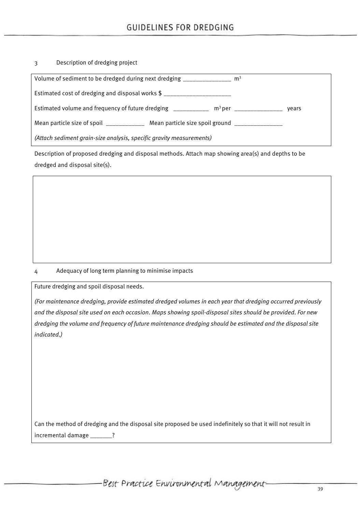# 3 Description of dredging project

| Volume of sediment to be dredged during next dredging _______________<br>m <sup>3</sup>        |       |
|------------------------------------------------------------------------------------------------|-------|
| Estimated cost of dredging and disposal works \$ ________________________________              |       |
| Estimated volume and frequency of future dredging ____________ m <sup>3</sup> per ____________ | vears |
| Mean particle size of spoil ______________ Mean particle size spoil ground __________          |       |
| (Attach sediment grain-size analysis, specific gravity measurements)                           |       |

Description of proposed dredging and disposal methods. Attach map showing area(s) and depths to be dredged and disposal site(s).

### 4 Adequacy of long term planning to minimise impacts

Future dredging and spoil disposal needs.

*(For maintenance dredging, provide estimated dredged volumes in each year that dredging occurred previously and the disposal site used on each occasion*. *Maps showing spoil-disposal sites should be provided*. *For new dredging the volume and frequency of future maintenance dredging should be estimated and the disposal site indicated*.*)*

Can the method of dredging and the disposal site proposed be used indefinitely so that it will not result in incremental damage \_\_\_\_\_\_\_?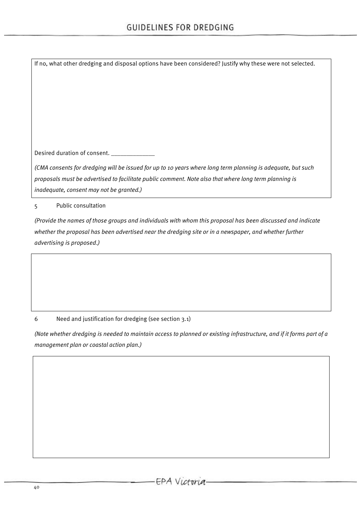If no, what other dredging and disposal options have been considered? Justify why these were not selected. Desired duration of consent. \_\_\_\_\_\_\_\_\_\_\_\_\_\_\_\_ *(CMA consents for dredging will be issued for up to 10 years where long term planning is adequate, but such proposals must be advertised to facilitate public comment*. *Note also that where long term planning is inadequate, consent may not be granted.)*

5 Public consultation

*(Provide the names of those groups and individuals with whom this proposal has been discussed and indicate whether the proposal has been advertised near the dredging site or in a newspaper, and whether further advertising is proposed*.*)*

6 Need and justification for dredging (see section 3.1)

*(Note whether dredging is needed to maintain access to planned or existing infrastructure, and if it forms part of a management plan or coastal action plan.)*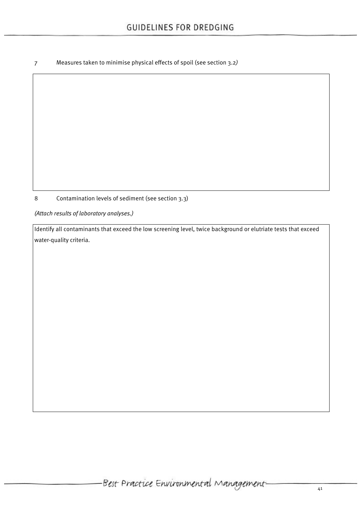7 Measures taken to minimise physical effects of spoil (see section 3.2*)*

8 Contamination levels of sediment (see section 3.3)

*(Attach results of laboratory analyses.)*

Identify all contaminants that exceed the low screening level, twice background or elutriate tests that exceed water-quality criteria.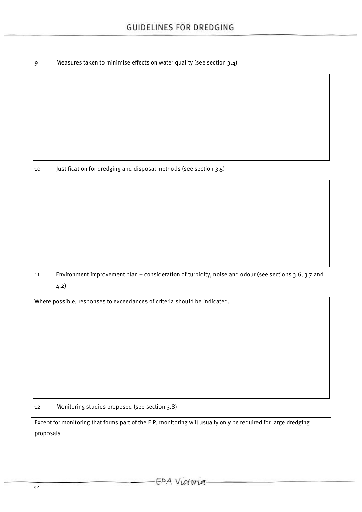9 Measures taken to minimise effects on water quality (see section 3.4)

10 Justification for dredging and disposal methods (see section 3.5)

11 Environment improvement plan *–* consideration of turbidity, noise and odour (see sections 3.6, 3.7 and 4.2)

Where possible, responses to exceedances of criteria should be indicated.

12 Monitoring studies proposed (see section 3.8)

Except for monitoring that forms part of the EIP, monitoring will usually only be required for large dredging proposals.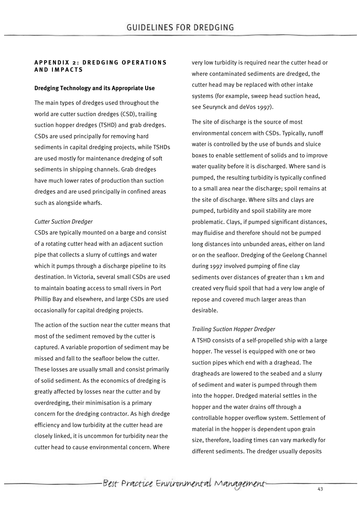### **APPENDIX 2: DREDGING OPERATIONS AND IMPACTS**

### **Dredging Technology and its Appropriate Use**

The main types of dredges used throughout the world are cutter suction dredges (CSD), trailing suction hopper dredges (TSHD) and grab dredges. CSDs are used principally for removing hard sediments in capital dredging projects, while TSHDs are used mostly for maintenance dredging of soft sediments in shipping channels. Grab dredges have much lower rates of production than suction dredges and are used principally in confined areas such as alongside wharfs.

### *Cutter Suction Dredger*

CSDs are typically mounted on a barge and consist of a rotating cutter head with an adjacent suction pipe that collects a slurry of cuttings and water which it pumps through a discharge pipeline to its destination. In Victoria, several small CSDs are used to maintain boating access to small rivers in Port Phillip Bay and elsewhere, and large CSDs are used occasionally for capital dredging projects.

The action of the suction near the cutter means that most of the sediment removed by the cutter is captured. A variable proportion of sediment may be missed and fall to the seafloor below the cutter. These losses are usually small and consist primarily of solid sediment. As the economics of dredging is greatly affected by losses near the cutter and by overdredging, their minimisation is a primary concern for the dredging contractor. As high dredge efficiency and low turbidity at the cutter head are closely linked, it is uncommon for turbidity near the cutter head to cause environmental concern. Where

very low turbidity is required near the cutter head or where contaminated sediments are dredged, the cutter head may be replaced with other intake systems (for example, sweep head suction head, see Seurynck and deVos 1997).

The site of discharge is the source of most environmental concern with CSDs. Typically, runoff water is controlled by the use of bunds and sluice boxes to enable settlement of solids and to improve water quality before it is discharged. Where sand is pumped, the resulting turbidity is typically confined to a small area near the discharge; spoil remains at the site of discharge. Where silts and clays are pumped, turbidity and spoil stability are more problematic. Clays, if pumped significant distances, may fluidise and therefore should not be pumped long distances into unbunded areas, either on land or on the seafloor. Dredging of the Geelong Channel during 1997 involved pumping of fine clay sediments over distances of greater than 1 km and created very fluid spoil that had a very low angle of repose and covered much larger areas than desirable.

### *Trailing Suction Hopper Dredger*

A TSHD consists of a self-propelled ship with a large hopper. The vessel is equipped with one or two suction pipes which end with a draghead. The dragheads are lowered to the seabed and a slurry of sediment and water is pumped through them into the hopper. Dredged material settles in the hopper and the water drains off through a controllable hopper overflow system. Settlement of material in the hopper is dependent upon grain size, therefore, loading times can vary markedly for different sediments. The dredger usually deposits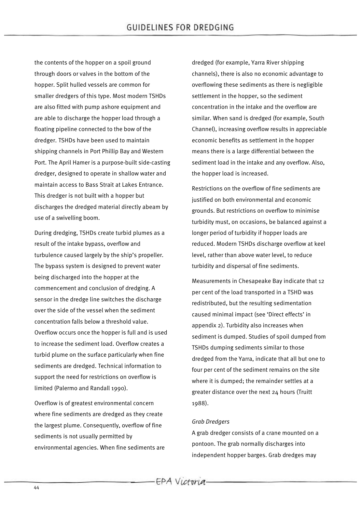the contents of the hopper on a spoil ground through doors or valves in the bottom of the hopper. Split hulled vessels are common for smaller dredgers of this type. Most modern TSHDs are also fitted with pump ashore equipment and are able to discharge the hopper load through a floating pipeline connected to the bow of the dredger. TSHDs have been used to maintain shipping channels in Port Phillip Bay and Western Port. The April Hamer is a purpose-built side-casting dredger, designed to operate in shallow water and maintain access to Bass Strait at Lakes Entrance. This dredger is not built with a hopper but discharges the dredged material directly abeam by use of a swivelling boom.

During dredging, TSHDs create turbid plumes as a result of the intake bypass, overflow and turbulence caused largely by the ship's propeller. The bypass system is designed to prevent water being discharged into the hopper at the commencement and conclusion of dredging. A sensor in the dredge line switches the discharge over the side of the vessel when the sediment concentration falls below a threshold value. Overflow occurs once the hopper is full and is used to increase the sediment load. Overflow creates a turbid plume on the surface particularly when fine sediments are dredged. Technical information to support the need for restrictions on overflow is limited (Palermo and Randall 1990).

Overflow is of greatest environmental concern where fine sediments are dredged as they create the largest plume. Consequently, overflow of fine sediments is not usually permitted by environmental agencies. When fine sediments are dredged (for example, Yarra River shipping channels), there is also no economic advantage to overflowing these sediments as there is negligible settlement in the hopper, so the sediment concentration in the intake and the overflow are similar. When sand is dredged (for example, South Channel), increasing overflow results in appreciable economic benefits as settlement in the hopper means there is a large differential between the sediment load in the intake and any overflow. Also, the hopper load is increased.

Restrictions on the overflow of fine sediments are justified on both environmental and economic grounds. But restrictions on overflow to minimise turbidity must, on occasions, be balanced against a longer period of turbidity if hopper loads are reduced. Modern TSHDs discharge overflow at keel level, rather than above water level, to reduce turbidity and dispersal of fine sediments.

Measurements in Chesapeake Bay indicate that 12 per cent of the load transported in a TSHD was redistributed, but the resulting sedimentation caused minimal impact (see 'Direct effects' in appendix 2). Turbidity also increases when sediment is dumped. Studies of spoil dumped from TSHDs dumping sediments similar to those dredged from the Yarra, indicate that all but one to four per cent of the sediment remains on the site where it is dumped; the remainder settles at a greater distance over the next 24 hours (Truitt 1988).

### *Grab Dredgers*

A grab dredger consists of a crane mounted on a pontoon. The grab normally discharges into independent hopper barges. Grab dredges may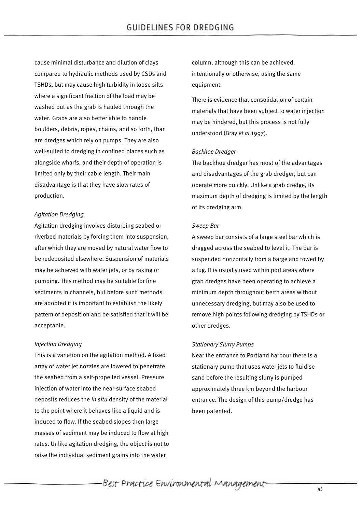cause minimal disturbance and dilution of clays compared to hydraulic methods used by CSDs and TSHDs, but may cause high turbidity in loose silts where a significant fraction of the load may be washed out as the grab is hauled through the water. Grabs are also better able to handle boulders, debris, ropes, chains, and so forth, than are dredges which rely on pumps. They are also well-suited to dredging in confined places such as alongside wharfs, and their depth of operation is limited only by their cable length. Their main disadvantage is that they have slow rates of production.

### *Agitation Dredging*

Agitation dredging involves disturbing seabed or riverbed materials by forcing them into suspension, after which they are moved by natural water flow to be redeposited elsewhere. Suspension of materials may be achieved with water jets, or by raking or pumping. This method may be suitable for fine sediments in channels, but before such methods are adopted it is important to establish the likely pattern of deposition and be satisfied that it will be acceptable.

### *Injection Dredging*

This is a variation on the agitation method. A fixed array of water jet nozzles are lowered to penetrate the seabed from a self-propelled vessel. Pressure injection of water into the near-surface seabed deposits reduces the *in situ* density of the material to the point where it behaves like a liquid and is induced to flow. If the seabed slopes then large masses of sediment may be induced to flow at high rates. Unlike agitation dredging, the object is not to raise the individual sediment grains into the water

column, although this can be achieved, intentionally or otherwise, using the same equipment.

There is evidence that consolidation of certain materials that have been subject to water injection may be hindered, but this process is not fully understood (Bray *et al.*1997).

### *Backhoe Dredger*

The backhoe dredger has most of the advantages and disadvantages of the grab dredger, but can operate more quickly. Unlike a grab dredge, its maximum depth of dredging is limited by the length of its dredging arm.

### *Sweep Bar*

A sweep bar consists of a large steel bar which is dragged across the seabed to level it. The bar is suspended horizontally from a barge and towed by a tug. It is usually used within port areas where grab dredges have been operating to achieve a minimum depth throughout berth areas without unnecessary dredging, but may also be used to remove high points following dredging by TSHDs or other dredges.

### *Stationary Slurry Pumps*

Near the entrance to Portland harbour there is a stationary pump that uses water jets to fluidise sand before the resulting slurry is pumped approximately three km beyond the harbour entrance. The design of this pump/dredge has been patented.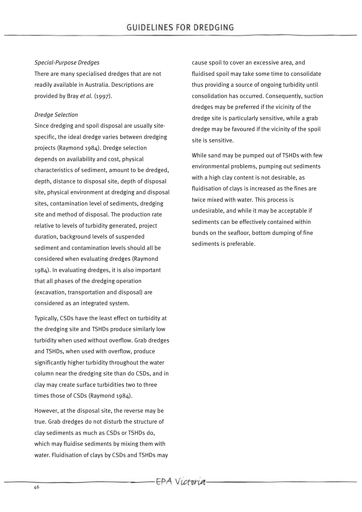### *Special-Purpose Dredges*

There are many specialised dredges that are not readily available in Australia. Descriptions are provided by Bray *et al.* (1997).

### *Dredge Selection*

Since dredging and spoil disposal are usually sitespecific, the ideal dredge varies between dredging projects (Raymond 1984). Dredge selection depends on availability and cost, physical characteristics of sediment, amount to be dredged, depth, distance to disposal site, depth of disposal site, physical environment at dredging and disposal sites, contamination level of sediments, dredging site and method of disposal. The production rate relative to levels of turbidity generated, project duration, background levels of suspended sediment and contamination levels should all be considered when evaluating dredges (Raymond 1984). In evaluating dredges, it is also important that all phases of the dredging operation (excavation, transportation and disposal) are considered as an integrated system.

Typically, CSDs have the least effect on turbidity at the dredging site and TSHDs produce similarly low turbidity when used without overflow. Grab dredges and TSHDs, when used with overflow, produce significantly higher turbidity throughout the water column near the dredging site than do CSDs, and in clay may create surface turbidities two to three times those of CSDs (Raymond 1984).

However, at the disposal site, the reverse may be true. Grab dredges do not disturb the structure of clay sediments as much as CSDs or TSHDs do, which may fluidise sediments by mixing them with water. Fluidisation of clays by CSDs and TSHDs may cause spoil to cover an excessive area, and fluidised spoil may take some time to consolidate thus providing a source of ongoing turbidity until consolidation has occurred. Consequently, suction dredges may be preferred if the vicinity of the dredge site is particularly sensitive, while a grab dredge may be favoured if the vicinity of the spoil site is sensitive.

While sand may be pumped out of TSHDs with few environmental problems, pumping out sediments with a high clay content is not desirable, as fluidisation of clays is increased as the fines are twice mixed with water. This process is undesirable, and while it may be acceptable if sediments can be effectively contained within bunds on the seafloor, bottom dumping of fine sediments is preferable.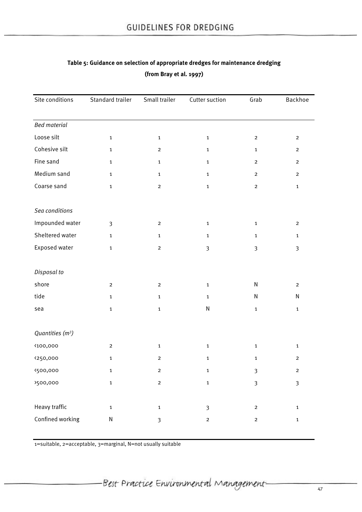| Standard trailer | Small trailer           | Cutter suction | Grab                    | Backhoe                 |
|------------------|-------------------------|----------------|-------------------------|-------------------------|
|                  |                         |                |                         |                         |
|                  |                         |                |                         |                         |
| $\mathbf 1$      | $\mathbf 1$             | $\mathbf 1$    | $\overline{2}$          | $\overline{2}$          |
| $\mathbf{1}$     | $\overline{c}$          | $\mathbf 1$    | $\mathbf{1}$            | $\overline{c}$          |
| $\mathbf 1$      | $\mathbf{1}$            | $\mathbf 1$    | $\overline{2}$          | $\overline{2}$          |
| $\mathbf 1$      | $\mathbf 1$             | $\mathbf 1$    | $\overline{2}$          | $\overline{2}$          |
| $\mathbf 1$      | $\overline{c}$          | $\mathbf 1$    | $\overline{2}$          | $\mathbf 1$             |
|                  |                         |                |                         |                         |
|                  |                         |                |                         |                         |
| $\overline{3}$   | $\mathbf{2}$            | $\mathbf 1$    | $\mathbf{1}$            | $\mathbf 2$             |
| $\mathbf{1}$     | $\mathbf{1}$            | $\mathbf{1}$   | $\mathbf{1}$            | $\mathbf{1}$            |
| $\mathbf 1$      | $\mathbf{2}$            | $\mathfrak{Z}$ | $\mathfrak{Z}$          | $\mathfrak{Z}$          |
|                  |                         |                |                         |                         |
|                  |                         |                |                         |                         |
| $\overline{2}$   | $\overline{2}$          | $\mathbf 1$    | N                       | $\overline{2}$          |
| $\mathbf 1$      | $\mathbf{1}$            | $\mathbf{1}$   | N                       | ${\sf N}$               |
| $\mathbf 1$      | $\mathbf 1$             | ${\sf N}$      | $\mathbf 1$             | $\mathbf 1$             |
|                  |                         |                |                         |                         |
|                  |                         |                |                         |                         |
| $\mathbf 2$      | $\mathbf 1$             | $\mathbf 1$    | $\mathbf{1}$            | $\mathbf 1$             |
| $\mathbf{1}$     | $\mathbf 2$             | $\mathbf 1$    | $\mathbf{1}$            | $\mathbf 2$             |
| $\mathbf{1}$     | $\overline{\mathbf{c}}$ | $\mathbf 1$    | $\mathfrak{Z}$          | $\mathbf 2$             |
| $\mathbf 1$      | $\mathbf 2$             | $\mathbf 1$    | $\mathfrak{Z}$          | $\overline{\mathbf{3}}$ |
|                  |                         |                |                         |                         |
| $\mathbf 1$      | $\mathbf 1$             | $\mathfrak{Z}$ | $\mathbf 2$             | $\mathbf 1$             |
| N                | $\mathfrak{Z}$          | $\mathbf 2$    | $\overline{\mathbf{c}}$ | $\mathbf 1$             |
|                  |                         |                |                         |                         |

# **Table 5: Guidance on selection of appropriate dredges for maintenance dredging (from Bray et al. 1997)**

1=suitable, 2=acceptable, 3=marginal, N=not usually suitable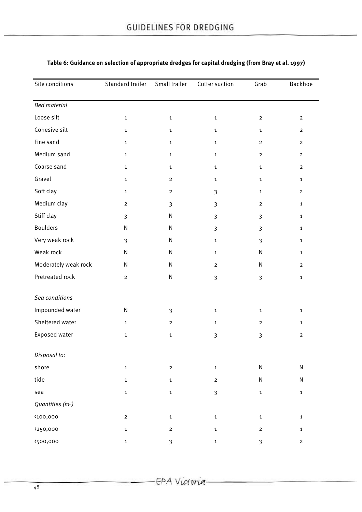| Site conditions              | Standard trailer        | Small trailer           | Cutter suction | Grab           | Backhoe        |
|------------------------------|-------------------------|-------------------------|----------------|----------------|----------------|
| <b>Bed material</b>          |                         |                         |                |                |                |
| Loose silt                   | $\mathbf{1}$            | $\mathbf{1}$            | $\mathbf 1$    | $\overline{2}$ | $\overline{2}$ |
| Cohesive silt                | $\mathbf{1}$            | $\mathbf{1}$            | $\mathbf{1}$   | $\mathbf{1}$   | $\overline{2}$ |
| Fine sand                    | $\mathbf 1$             | $\mathbf 1$             | $\mathbf{1}$   | $\overline{2}$ | $\overline{2}$ |
| Medium sand                  | $\mathbf{1}$            | $\mathbf{1}$            | $\mathbf 1$    | $\overline{2}$ | $\overline{2}$ |
| Coarse sand                  | $\mathbf{1}$            | $\mathbf{1}$            | $\mathbf{1}$   | $\mathbf{1}$   | $\overline{2}$ |
| Gravel                       | $\mathbf 1$             | $\overline{\mathbf{c}}$ | $\mathbf{1}$   | $\mathbf{1}$   | $\mathbf{1}$   |
| Soft clay                    | $\mathbf{1}$            | $\overline{2}$          | $\overline{3}$ | $\mathbf{1}$   | $\overline{2}$ |
| Medium clay                  | $\overline{\mathbf{c}}$ | 3                       | 3              | $\overline{2}$ | $\mathbf{1}$   |
| Stiff clay                   | $\mathfrak{Z}$          | ${\sf N}$               | 3              | 3              | $\mathbf{1}$   |
| <b>Boulders</b>              | ${\sf N}$               | ${\sf N}$               | 3              | $\overline{3}$ | $\mathbf{1}$   |
| Very weak rock               | $\overline{\mathbf{3}}$ | N                       | $\mathbf 1$    | 3              | $\mathbf{1}$   |
| Weak rock                    | N                       | N                       | $\mathbf{1}$   | ${\sf N}$      | $\mathbf{1}$   |
| Moderately weak rock         | N                       | $\mathsf{N}$            | $\mathbf{2}$   | ${\sf N}$      | $\overline{2}$ |
| Pretreated rock              | $\mathbf{2}$            | ${\sf N}$               | 3              | 3              | $\mathbf{1}$   |
| Sea conditions               |                         |                         |                |                |                |
| Impounded water              | N                       | 3                       | $\mathbf{1}$   | $\mathbf{1}$   | $\mathbf{1}$   |
| Sheltered water              | $\mathbf{1}$            | $\overline{2}$          | $\mathbf{1}$   | $\overline{2}$ | $\mathbf{1}$   |
| Exposed water                | $\mathbf{1}$            | $\mathbf 1$             | 3              | 3              | $\overline{2}$ |
| Disposal to:                 |                         |                         |                |                |                |
| shore                        | $\mathbf 1$             | $\overline{2}$          | $\mathbf 1$    | ${\sf N}$      | ${\sf N}$      |
| tide                         | $\mathbf 1$             | $\mathbf 1$             | $\mathbf 2$    | ${\sf N}$      | N              |
| sea                          | $\mathbf 1$             | $\mathbf 1$             | 3              | $\mathbf 1$    | $\mathbf{1}$   |
| Quantities (m <sup>3</sup> ) |                         |                         |                |                |                |
| <100,000                     | $\mathbf{2}$            | $\mathbf 1$             | $\mathbf 1$    | $\mathbf 1$    | $\mathbf 1$    |
| <250,000                     | $\mathbf 1$             | $\overline{\mathbf{c}}$ | $\mathbf 1$    | $\mathbf 2$    | 1              |
| <500,000                     | $\mathbf 1$             | $\mathbf{3}$            | $\mathbf 1$    | $\mathbf{3}$   | $\overline{c}$ |

# **Table 6: Guidance on selection of appropriate dredges for capital dredging (from Bray et al. 1997)**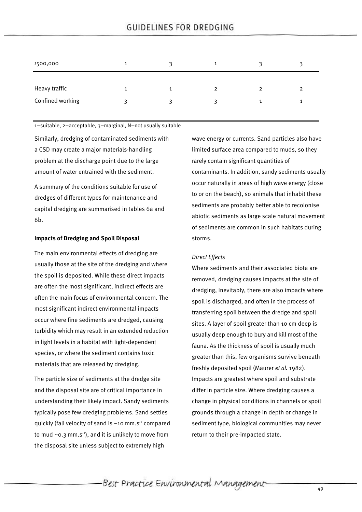# **GUIDELINES FOR DREDGING**

| >500,000         | 1 |   |                |   |   |
|------------------|---|---|----------------|---|---|
| Heavy traffic    | 1 |   | $\overline{2}$ | 2 | 2 |
| Confined working | ર | ર | ₹              |   |   |

1=suitable, 2=acceptable, 3=marginal, N=not usually suitable

Similarly, dredging of contaminated sediments with a CSD may create a major materials-handling problem at the discharge point due to the large amount of water entrained with the sediment.

A summary of the conditions suitable for use of dredges of different types for maintenance and capital dredging are summarised in tables 6a and 6b.

#### **Impacts of Dredging and Spoil Disposal**

The main environmental effects of dredging are usually those at the site of the dredging and where the spoil is deposited. While these direct impacts are often the most significant, indirect effects are often the main focus of environmental concern. The most significant indirect environmental impacts occur where fine sediments are dredged, causing turbidity which may result in an extended reduction in light levels in a habitat with light-dependent species, or where the sediment contains toxic materials that are released by dredging.

The particle size of sediments at the dredge site and the disposal site are of critical importance in understanding their likely impact. Sandy sediments typically pose few dredging problems. Sand settles quickly (fall velocity of sand is  $~10$  mm.s<sup>-1</sup> compared to mud  $\sim$  0.3 mm.s<sup>-1</sup>), and it is unlikely to move from the disposal site unless subject to extremely high

wave energy or currents. Sand particles also have limited surface area compared to muds, so they rarely contain significant quantities of contaminants. In addition, sandy sediments usually occur naturally in areas of high wave energy (close to or on the beach), so animals that inhabit these sediments are probably better able to recolonise abiotic sediments as large scale natural movement of sediments are common in such habitats during storms.

### *Direct Effects*

Where sediments and their associated biota are removed, dredging causes impacts at the site of dredging, Inevitably, there are also impacts where spoil is discharged, and often in the process of transferring spoil between the dredge and spoil sites. A layer of spoil greater than 10 cm deep is usually deep enough to bury and kill most of the fauna. As the thickness of spoil is usually much greater than this, few organisms survive beneath freshly deposited spoil (Maurer *et al.* 1982). Impacts are greatest where spoil and substrate differ in particle size. Where dredging causes a change in physical conditions in channels or spoil grounds through a change in depth or change in sediment type, biological communities may never return to their pre-impacted state.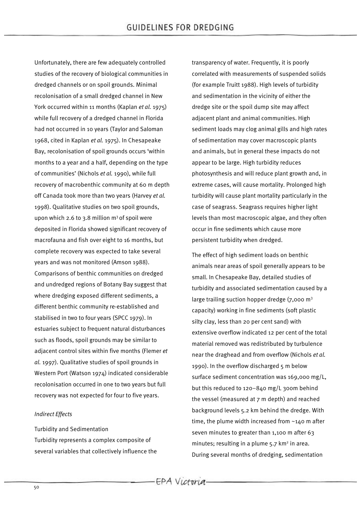Unfortunately, there are few adequately controlled studies of the recovery of biological communities in dredged channels or on spoil grounds. Minimal recolonisation of a small dredged channel in New York occurred within 11 months (Kaplan *et al.* 1975) while full recovery of a dredged channel in Florida had not occurred in 10 years (Taylor and Saloman 1968, cited in Kaplan *et al.* 1975). In Chesapeake Bay, recolonisation of spoil grounds occurs 'within months to a year and a half, depending on the type of communities' (Nichols *et al.* 1990), while full recovery of macrobenthic community at 60 m depth off Canada took more than two years (Harvey *et al.* 1998). Qualitative studies on two spoil grounds, upon which 2.6 to 3.8 million  $m^3$  of spoil were deposited in Florida showed significant recovery of macrofauna and fish over eight to 16 months, but complete recovery was expected to take several years and was not monitored (Amson 1988). Comparisons of benthic communities on dredged and undredged regions of Botany Bay suggest that where dredging exposed different sediments, a different benthic community re-established and stabilised in two to four years (SPCC 1979). In estuaries subject to frequent natural disturbances such as floods, spoil grounds may be similar to adjacent control sites within five months (Flemer *et al.* 1997). Qualitative studies of spoil grounds in Western Port (Watson 1974) indicated considerable recolonisation occurred in one to two years but full recovery was not expected for four to five years.

### *Indirect Effects*

Turbidity and Sedimentation Turbidity represents a complex composite of several variables that collectively influence the transparency of water. Frequently, it is poorly correlated with measurements of suspended solids (for example Truitt 1988). High levels of turbidity and sedimentation in the vicinity of either the dredge site or the spoil dump site may affect adjacent plant and animal communities. High sediment loads may clog animal gills and high rates of sedimentation may cover macroscopic plants and animals, but in general these impacts do not appear to be large. High turbidity reduces photosynthesis and will reduce plant growth and, in extreme cases, will cause mortality. Prolonged high turbidity will cause plant mortality particularly in the case of seagrass. Seagrass requires higher light levels than most macroscopic algae, and they often occur in fine sediments which cause more persistent turbidity when dredged.

The effect of high sediment loads on benthic animals near areas of spoil generally appears to be small. In Chesapeake Bay, detailed studies of turbidity and associated sedimentation caused by a large trailing suction hopper dredge  $(7,000 \text{ m}^3)$ capacity) working in fine sediments (soft plastic silty clay, less than 20 per cent sand) with extensive overflow indicated 12 per cent of the total material removed was redistributed by turbulence near the draghead and from overflow (Nichols *et al.* 1990). In the overflow discharged 5 m below surface sediment concentration was 169,000 mg/L, but this reduced to 120–840 mg/L 300m behind the vessel (measured at 7 m depth) and reached background levels 5.2 km behind the dredge. With time, the plume width increased from ~140 m after seven minutes to greater than 1,100 m after 63 minutes: resulting in a plume  $5.7 \text{ km}^2$  in area. During several months of dredging, sedimentation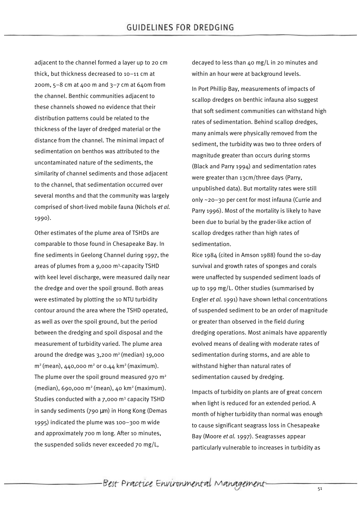adjacent to the channel formed a layer up to 20 cm thick, but thickness decreased to 10–11 cm at 200m,  $5-8$  cm at 400 m and  $3-7$  cm at 640m from the channel. Benthic communities adjacent to these channels showed no evidence that their distribution patterns could be related to the thickness of the layer of dredged material or the distance from the channel. The minimal impact of sedimentation on benthos was attributed to the uncontaminated nature of the sediments, the similarity of channel sediments and those adjacent to the channel, that sedimentation occurred over several months and that the community was largely comprised of short-lived mobile fauna (Nichols *et al.* 1990).

Other estimates of the plume area of TSHDs are comparable to those found in Chesapeake Bay. In fine sediments in Geelong Channel during 1997, the areas of plumes from a 9,000 m<sup>3</sup>-capacity TSHD with keel level discharge, were measured daily near the dredge and over the spoil ground. Both areas were estimated by plotting the 10 NTU turbidity contour around the area where the TSHD operated, as well as over the spoil ground, but the period between the dredging and spoil disposal and the measurement of turbidity varied. The plume area around the dredge was  $3,200$  m<sup>2</sup> (median) 19,000  $m^2$  (mean),  $440.000 \text{ m}^2$  or 0.44 km<sup>2</sup> (maximum). The plume over the spoil ground measured 970  $m<sup>2</sup>$ (median), 690,000 m2 (mean), 40 km2 (maximum). Studies conducted with a  $7.000$  m<sup>3</sup> capacity TSHD in sandy sediments (790 μm) in Hong Kong (Demas 1995) indicated the plume was 100–300 m wide and approximately 700 m long. After 10 minutes, the suspended solids never exceeded 70 mg/L,

decayed to less than 40 mg/L in 20 minutes and within an hour were at background levels.

In Port Phillip Bay, measurements of impacts of scallop dredges on benthic infauna also suggest that soft sediment communities can withstand high rates of sedimentation. Behind scallop dredges, many animals were physically removed from the sediment, the turbidity was two to three orders of magnitude greater than occurs during storms (Black and Parry 1994) and sedimentation rates were greater than 13cm/three days (Parry, unpublished data). But mortality rates were still only ~20–30 per cent for most infauna (Currie and Parry 1996). Most of the mortality is likely to have been due to burial by the grader-like action of scallop dredges rather than high rates of sedimentation.

Rice 1984 (cited in Amson 1988) found the 10-day survival and growth rates of sponges and corals were unaffected by suspended sediment loads of up to 199 mg/L. Other studies (summarised by Engler *et al.* 1991) have shown lethal concentrations of suspended sediment to be an order of magnitude or greater than observed in the field during dredging operations. Most animals have apparently evolved means of dealing with moderate rates of sedimentation during storms, and are able to withstand higher than natural rates of sedimentation caused by dredging.

Impacts of turbidity on plants are of great concern when light is reduced for an extended period. A month of higher turbidity than normal was enough to cause significant seagrass loss in Chesapeake Bay (Moore *et al.* 1997). Seagrasses appear particularly vulnerable to increases in turbidity as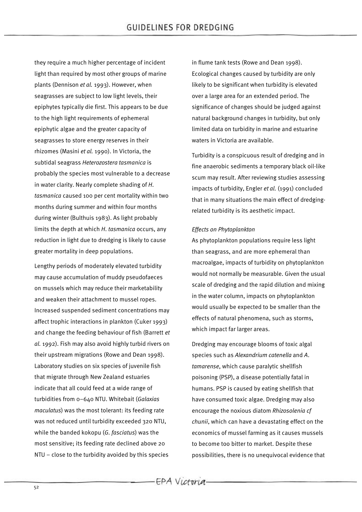they require a much higher percentage of incident light than required by most other groups of marine plants (Dennison *et al.* 1993). However, when seagrasses are subject to low light levels, their epiphytes typically die first. This appears to be due to the high light requirements of ephemeral epiphytic algae and the greater capacity of seagrasses to store energy reserves in their rhizomes (Masini *et al.* 1990). In Victoria, the subtidal seagrass *Heterozostera tasmanica* is probably the species most vulnerable to a decrease in water clarity. Nearly complete shading of *H*. *tasmanica* caused 100 per cent mortality within two months during summer and within four months during winter (Bulthuis 1983). As light probably limits the depth at which *H*. *tasmanica* occurs, any reduction in light due to dredging is likely to cause greater mortality in deep populations.

Lengthy periods of moderately elevated turbidity may cause accumulation of muddy pseudofaeces on mussels which may reduce their marketability and weaken their attachment to mussel ropes. Increased suspended sediment concentrations may affect trophic interactions in plankton (Cuker 1993) and change the feeding behaviour of fish (Barrett *et al.* 1992). Fish may also avoid highly turbid rivers on their upstream migrations (Rowe and Dean 1998). Laboratory studies on six species of juvenile fish that migrate through New Zealand estuaries indicate that all could feed at a wide range of turbidities from 0–640 NTU. Whitebait (*Galaxias maculatus*) was the most tolerant: its feeding rate was not reduced until turbidity exceeded 320 NTU, while the banded kokopu (*G*. *fasciatus*) was the most sensitive; its feeding rate declined above 20 NTU – close to the turbidity avoided by this species

in flume tank tests (Rowe and Dean 1998). Ecological changes caused by turbidity are only likely to be significant when turbidity is elevated over a large area for an extended period. The significance of changes should be judged against natural background changes in turbidity, but only limited data on turbidity in marine and estuarine waters in Victoria are available.

Turbidity is a conspicuous result of dredging and in fine anaerobic sediments a temporary black oil-like scum may result. After reviewing studies assessing impacts of turbidity, Engler *et al.* (1991) concluded that in many situations the main effect of dredgingrelated turbidity is its aesthetic impact.

### *Effects on Phytoplankton*

As phytoplankton populations require less light than seagrass, and are more ephemeral than macroalgae, impacts of turbidity on phytoplankton would not normally be measurable. Given the usual scale of dredging and the rapid dilution and mixing in the water column, impacts on phytoplankton would usually be expected to be smaller than the effects of natural phenomena, such as storms, which impact far larger areas.

Dredging may encourage blooms of toxic algal species such as *Alexandrium catenella* and *A*. *tamarense*, which cause paralytic shellfish poisoning (PSP), a disease potentially fatal in humans. PSP is caused by eating shellfish that have consumed toxic algae. Dredging may also encourage the noxious diatom *Rhizosolenia cf chunii*, which can have a devastating effect on the economics of mussel farming as it causes mussels to become too bitter to market. Despite these possibilities, there is no unequivocal evidence that

-EPA Victoria.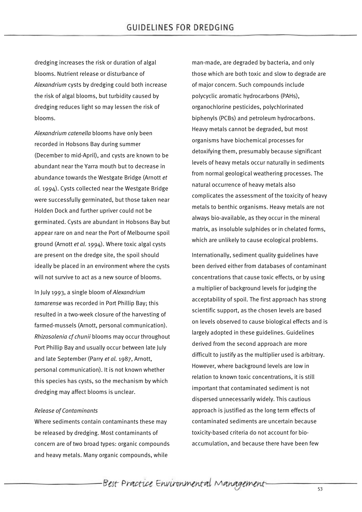dredging increases the risk or duration of algal blooms. Nutrient release or disturbance of *Alexandrium* cysts by dredging could both increase the risk of algal blooms, but turbidity caused by dredging reduces light so may lessen the risk of blooms.

*Alexandrium catenella* blooms have only been recorded in Hobsons Bay during summer (December to mid-April), and cysts are known to be abundant near the Yarra mouth but to decrease in abundance towards the Westgate Bridge (Arnott *et al.* 1994). Cysts collected near the Westgate Bridge were successfully germinated, but those taken near Holden Dock and further upriver could not be germinated. Cysts are abundant in Hobsons Bay but appear rare on and near the Port of Melbourne spoil ground (Arnott *et al.* 1994). Where toxic algal cysts are present on the dredge site, the spoil should ideally be placed in an environment where the cysts will not survive to act as a new source of blooms.

In July 1993, a single bloom of *Alexandrium tamarense* was recorded in Port Phillip Bay; this resulted in a two-week closure of the harvesting of farmed-mussels (Arnott, personal communication). *Rhizosolenia cf chunii* blooms may occur throughout Port Phillip Bay and usually occur between late July and late September (Parry *et al.* 1987, Arnott, personal communication). It is not known whether this species has cysts, so the mechanism by which dredging may affect blooms is unclear.

#### *Release of Contaminants*

Where sediments contain contaminants these may be released by dredging. Most contaminants of concern are of two broad types: organic compounds and heavy metals. Many organic compounds, while

man-made, are degraded by bacteria, and only those which are both toxic and slow to degrade are of major concern. Such compounds include polycyclic aromatic hydrocarbons (PAHs), organochlorine pesticides, polychlorinated biphenyls (PCBs) and petroleum hydrocarbons. Heavy metals cannot be degraded, but most organisms have biochemical processes for detoxifying them, presumably because significant levels of heavy metals occur naturally in sediments from normal geological weathering processes. The natural occurrence of heavy metals also complicates the assessment of the toxicity of heavy metals to benthic organisms. Heavy metals are not always bio-available, as they occur in the mineral matrix, as insoluble sulphides or in chelated forms, which are unlikely to cause ecological problems.

Internationally, sediment quality guidelines have been derived either from databases of contaminant concentrations that cause toxic effects, or by using a multiplier of background levels for judging the acceptability of spoil. The first approach has strong scientific support, as the chosen levels are based on levels observed to cause biological effects and is largely adopted in these guidelines. Guidelines derived from the second approach are more difficult to justify as the multiplier used is arbitrary. However, where background levels are low in relation to known toxic concentrations, it is still important that contaminated sediment is not dispersed unnecessarily widely. This cautious approach is justified as the long term effects of contaminated sediments are uncertain because toxicity-based criteria do not account for bioaccumulation, and because there have been few

-Best Practice Environmental Management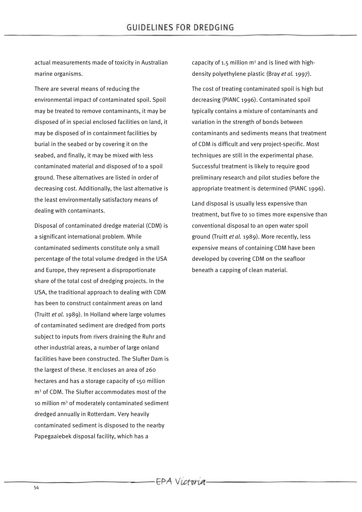actual measurements made of toxicity in Australian marine organisms.

There are several means of reducing the environmental impact of contaminated spoil. Spoil may be treated to remove contaminants, it may be disposed of in special enclosed facilities on land, it may be disposed of in containment facilities by burial in the seabed or by covering it on the seabed, and finally, it may be mixed with less contaminated material and disposed of to a spoil ground. These alternatives are listed in order of decreasing cost. Additionally, the last alternative is the least environmentally satisfactory means of dealing with contaminants.

Disposal of contaminated dredge material (CDM) is a significant international problem. While contaminated sediments constitute only a small percentage of the total volume dredged in the USA and Europe, they represent a disproportionate share of the total cost of dredging projects. In the USA, the traditional approach to dealing with CDM has been to construct containment areas on land (Truitt *et al.* 1989). In Holland where large volumes of contaminated sediment are dredged from ports subject to inputs from rivers draining the Ruhr and other industrial areas, a number of large onland facilities have been constructed. The Slufter Dam is the largest of these. It encloses an area of 260 hectares and has a storage capacity of 150 million m<sup>3</sup> of CDM. The Slufter accommodates most of the 10 million  $m^3$  of moderately contaminated sediment dredged annually in Rotterdam. Very heavily contaminated sediment is disposed to the nearby Papegaaiebek disposal facility, which has a

capacity of 1.5 million  $m<sup>3</sup>$  and is lined with highdensity polyethylene plastic (Bray *et al.* 1997).

The cost of treating contaminated spoil is high but decreasing (PIANC 1996). Contaminated spoil typically contains a mixture of contaminants and variation in the strength of bonds between contaminants and sediments means that treatment of CDM is difficult and very project-specific. Most techniques are still in the experimental phase. Successful treatment is likely to require good preliminary research and pilot studies before the appropriate treatment is determined (PIANC 1996).

Land disposal is usually less expensive than treatment, but five to 10 times more expensive than conventional disposal to an open water spoil ground (Truitt *et al.* 1989). More recently, less expensive means of containing CDM have been developed by covering CDM on the seafloor beneath a capping of clean material.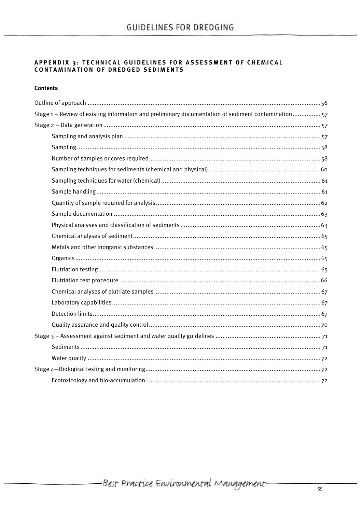# APPENDIX 3: TECHNICAL GUIDELINES FOR ASSESSMENT OF CHEMICAL CONTAMINATION OF DREDGED SEDIMENTS

### **Contents**

| Stage 1 - Review of existing information and preliminary documentation of sediment contamination57 |  |
|----------------------------------------------------------------------------------------------------|--|
|                                                                                                    |  |
|                                                                                                    |  |
|                                                                                                    |  |
|                                                                                                    |  |
|                                                                                                    |  |
|                                                                                                    |  |
|                                                                                                    |  |
|                                                                                                    |  |
|                                                                                                    |  |
|                                                                                                    |  |
|                                                                                                    |  |
|                                                                                                    |  |
|                                                                                                    |  |
|                                                                                                    |  |
|                                                                                                    |  |
|                                                                                                    |  |
|                                                                                                    |  |
|                                                                                                    |  |
|                                                                                                    |  |
|                                                                                                    |  |
|                                                                                                    |  |
|                                                                                                    |  |
|                                                                                                    |  |
|                                                                                                    |  |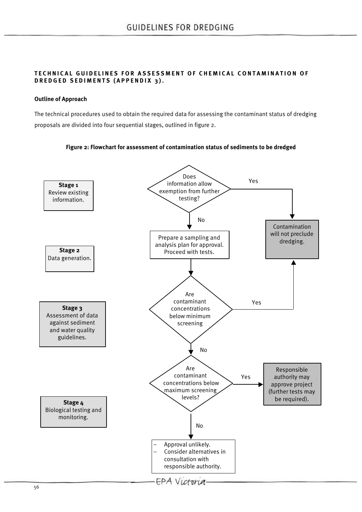### **TECHNICAL GUIDELINES FOR ASSESSMENT OF CHEMICAL CONTAMINATION OF DREDGED SEDIMENTS (APPENDIX 3).**

### **Outline of Approach**

The technical procedures used to obtain the required data for assessing the contaminant status of dredging proposals are divided into four sequential stages, outlined in figure 2.



### **Figure 2: Flowchart for assessment of contamination status of sediments to be dredged**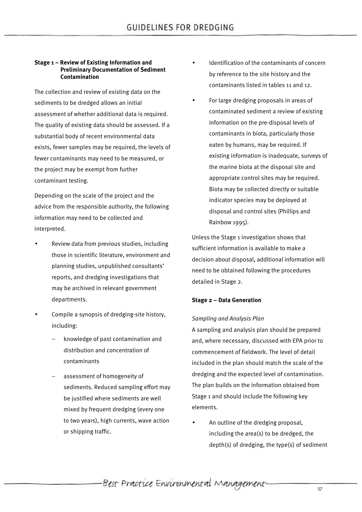### **Stage 1 – Review of Existing Information and Preliminary Documentation of Sediment Contamination**

The collection and review of existing data on the sediments to be dredged allows an initial assessment of whether additional data is required. The quality of existing data should be assessed. If a substantial body of recent environmental data exists, fewer samples may be required, the levels of fewer contaminants may need to be measured, or the project may be exempt from further contaminant testing.

Depending on the scale of the project and the advice from the responsible authority, the following information may need to be collected and interpreted.

- Review data from previous studies, including those in scientific literature, environment and planning studies, unpublished consultants' reports, and dredging investigations that may be archived in relevant government departments.
- Compile a synopsis of dredging-site history, including:
	- knowledge of past contamination and distribution and concentration of contaminants
	- assessment of homogeneity of sediments. Reduced sampling effort may be justified where sediments are well mixed by frequent dredging (every one to two years), high currents, wave action or shipping traffic.
- Identification of the contaminants of concern by reference to the site history and the contaminants listed in tables 11 and 12.
- For large dredging proposals in areas of contaminated sediment a review of existing information on the pre-disposal levels of contaminants in biota, particularly those eaten by humans, may be required. If existing information is inadequate, surveys of the marine biota at the disposal site and appropriate control sites may be required. Biota may be collected directly or suitable indicator species may be deployed at disposal and control sites (Phillips and Rainbow 1995).

Unless the Stage 1 investigation shows that sufficient information is available to make a decision about disposal, additional information will need to be obtained following the procedures detailed in Stage 2.

### **Stage 2 – Data Generation**

### *Sampling and Analysis Plan*

A sampling and analysis plan should be prepared and, where necessary, discussed with EPA prior to commencement of fieldwork. The level of detail included in the plan should match the scale of the dredging and the expected level of contamination. The plan builds on the information obtained from Stage 1 and should include the following key elements.

• An outline of the dredging proposal, including the area(s) to be dredged, the depth(s) of dredging, the type(s) of sediment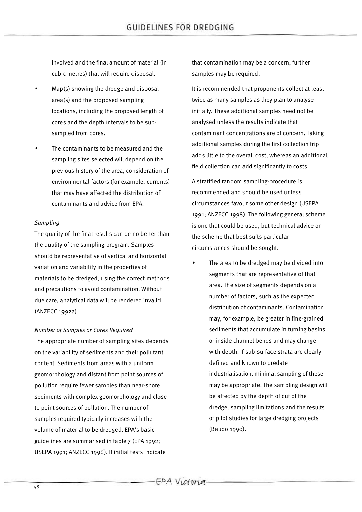involved and the final amount of material (in cubic metres) that will require disposal.

- Map(s) showing the dredge and disposal area(s) and the proposed sampling locations, including the proposed length of cores and the depth intervals to be subsampled from cores.
- The contaminants to be measured and the sampling sites selected will depend on the previous history of the area, consideration of environmental factors (for example, currents) that may have affected the distribution of contaminants and advice from EPA.

### *Sampling*

The quality of the final results can be no better than the quality of the sampling program. Samples should be representative of vertical and horizontal variation and variability in the properties of materials to be dredged, using the correct methods and precautions to avoid contamination. Without due care, analytical data will be rendered invalid (ANZECC 1992a).

*Number of Samples or Cores Required*

The appropriate number of sampling sites depends on the variability of sediments and their pollutant content. Sediments from areas with a uniform geomorphology and distant from point sources of pollution require fewer samples than near-shore sediments with complex geomorphology and close to point sources of pollution. The number of samples required typically increases with the volume of material to be dredged. EPA's basic guidelines are summarised in table 7 (EPA 1992; USEPA 1991; ANZECC 1996). If initial tests indicate

that contamination may be a concern, further samples may be required.

It is recommended that proponents collect at least twice as many samples as they plan to analyse initially. These additional samples need not be analysed unless the results indicate that contaminant concentrations are of concern. Taking additional samples during the first collection trip adds little to the overall cost, whereas an additional field collection can add significantly to costs.

A stratified random sampling-procedure is recommended and should be used unless circumstances favour some other design (USEPA 1991; ANZECC 1998). The following general scheme is one that could be used, but technical advice on the scheme that best suits particular circumstances should be sought.

The area to be dredged may be divided into segments that are representative of that area. The size of segments depends on a number of factors, such as the expected distribution of contaminants. Contamination may, for example, be greater in fine-grained sediments that accumulate in turning basins or inside channel bends and may change with depth. If sub-surface strata are clearly defined and known to predate industrialisation, minimal sampling of these may be appropriate. The sampling design will be affected by the depth of cut of the dredge, sampling limitations and the results of pilot studies for large dredging projects (Baudo 1990).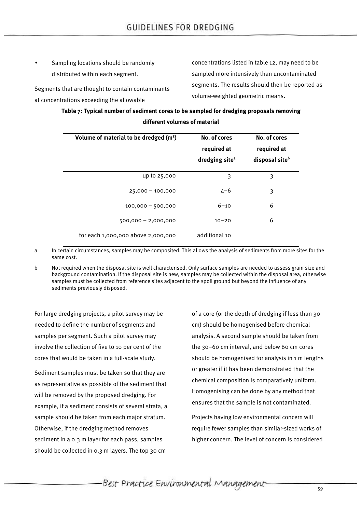• Sampling locations should be randomly distributed within each segment.

Segments that are thought to contain contaminants at concentrations exceeding the allowable

concentrations listed in table 12, may need to be sampled more intensively than uncontaminated segments. The results should then be reported as volume-weighted geometric means.

# **Table 7: Typical number of sediment cores to be sampled for dredging proposals removing different volumes of material**

| Volume of material to be dredged (m <sup>3</sup> ) | No. of cores<br>required at<br>dredging site <sup>a</sup> | No. of cores<br>required at<br>disposal site <sup>b</sup> |
|----------------------------------------------------|-----------------------------------------------------------|-----------------------------------------------------------|
|                                                    |                                                           |                                                           |
| up to 25,000                                       | 3                                                         | 3                                                         |
| $25,000 - 100,000$                                 | $4 - 6$                                                   | 3                                                         |
| $100,000 - 500,000$                                | $6 - 10$                                                  | 6                                                         |
| $500,000 - 2,000,000$                              | $10 - 20$                                                 | 6                                                         |
| for each 1,000,000 above 2,000,000                 | additional 10                                             |                                                           |

a In certain circumstances, samples may be composited. This allows the analysis of sediments from more sites for the same cost.

b Not required when the disposal site is well characterised. Only surface samples are needed to assess grain size and background contamination. If the disposal site is new, samples may be collected within the disposal area, otherwise samples must be collected from reference sites adjacent to the spoil ground but beyond the influence of any sediments previously disposed.

For large dredging projects, a pilot survey may be needed to define the number of segments and samples per segment. Such a pilot survey may involve the collection of five to 10 per cent of the cores that would be taken in a full-scale study.

Sediment samples must be taken so that they are as representative as possible of the sediment that will be removed by the proposed dredging. For example, if a sediment consists of several strata, a sample should be taken from each major stratum. Otherwise, if the dredging method removes sediment in a 0.3 m layer for each pass, samples should be collected in 0.3 m layers. The top 30 cm

of a core (or the depth of dredging if less than 30 cm) should be homogenised before chemical analysis. A second sample should be taken from the 30–60 cm interval, and below 60 cm cores should be homogenised for analysis in 1 m lengths or greater if it has been demonstrated that the chemical composition is comparatively uniform. Homogenising can be done by any method that ensures that the sample is not contaminated.

Projects having low environmental concern will require fewer samples than similar-sized works of higher concern. The level of concern is considered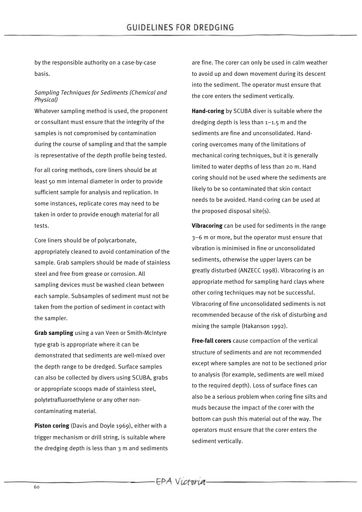by the responsible authority on a case-by-case basis.

### *Sampling Techniques for Sediments (Chemical and Physical)*

Whatever sampling method is used, the proponent or consultant must ensure that the integrity of the samples is not compromised by contamination during the course of sampling and that the sample is representative of the depth profile being tested.

For all coring methods, core liners should be at least 50 mm internal diameter in order to provide sufficient sample for analysis and replication. In some instances, replicate cores may need to be taken in order to provide enough material for all tests.

Core liners should be of polycarbonate, appropriately cleaned to avoid contamination of the sample. Grab samplers should be made of stainless steel and free from grease or corrosion. All sampling devices must be washed clean between each sample. Subsamples of sediment must not be taken from the portion of sediment in contact with the sampler.

**Grab sampling** using a van Veen or Smith-McIntyre type grab is appropriate where it can be demonstrated that sediments are well-mixed over the depth range to be dredged. Surface samples can also be collected by divers using SCUBA, grabs or appropriate scoops made of stainless steel, polytetrafluoroethylene or any other noncontaminating material.

**Piston coring** (Davis and Doyle 1969), either with a trigger mechanism or drill string, is suitable where the dredging depth is less than 3 m and sediments are fine. The corer can only be used in calm weather to avoid up and down movement during its descent into the sediment. The operator must ensure that the core enters the sediment vertically.

**Hand-coring** by SCUBA diver is suitable where the dredging depth is less than 1–1.5 m and the sediments are fine and unconsolidated. Handcoring overcomes many of the limitations of mechanical coring techniques, but it is generally limited to water depths of less than 20 m. Hand coring should not be used where the sediments are likely to be so contaminated that skin contact needs to be avoided. Hand-coring can be used at the proposed disposal site(s).

**Vibracoring** can be used for sediments in the range 3–6 m or more, but the operator must ensure that vibration is minimised in fine or unconsolidated sediments, otherwise the upper layers can be greatly disturbed (ANZECC 1998). Vibracoring is an appropriate method for sampling hard clays where other coring techniques may not be successful. Vibracoring of fine unconsolidated sediments is not recommended because of the risk of disturbing and mixing the sample (Hakanson 1992).

**Free-fall corers** cause compaction of the vertical structure of sediments and are not recommended except where samples are not to be sectioned prior to analysis (for example, sediments are well mixed to the required depth). Loss of surface fines can also be a serious problem when coring fine silts and muds because the impact of the corer with the bottom can push this material out of the way. The operators must ensure that the corer enters the sediment vertically.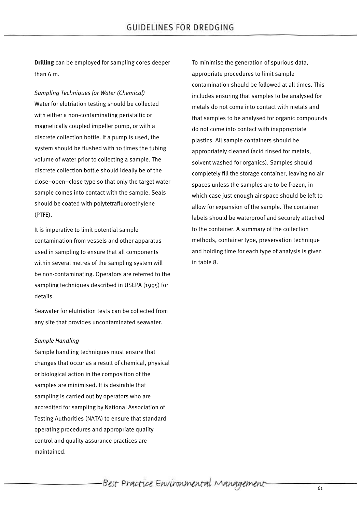**Drilling** can be employed for sampling cores deeper than 6 m.

*Sampling Techniques for Water (Chemical)* Water for elutriation testing should be collected with either a non-contaminating peristaltic or magnetically coupled impeller pump, or with a discrete collection bottle. If a pump is used, the system should be flushed with 10 times the tubing volume of water prior to collecting a sample. The discrete collection bottle should ideally be of the close–open–close type so that only the target water sample comes into contact with the sample. Seals should be coated with polytetrafluoroethylene (PTFE).

It is imperative to limit potential sample contamination from vessels and other apparatus used in sampling to ensure that all components within several metres of the sampling system will be non-contaminating. Operators are referred to the sampling techniques described in USEPA (1995) for details.

Seawater for elutriation tests can be collected from any site that provides uncontaminated seawater.

### *Sample Handling*

Sample handling techniques must ensure that changes that occur as a result of chemical, physical or biological action in the composition of the samples are minimised. It is desirable that sampling is carried out by operators who are accredited for sampling by National Association of Testing Authorities (NATA) to ensure that standard operating procedures and appropriate quality control and quality assurance practices are maintained.

To minimise the generation of spurious data, appropriate procedures to limit sample contamination should be followed at all times. This includes ensuring that samples to be analysed for metals do not come into contact with metals and that samples to be analysed for organic compounds do not come into contact with inappropriate plastics. All sample containers should be appropriately cleaned (acid rinsed for metals, solvent washed for organics). Samples should completely fill the storage container, leaving no air spaces unless the samples are to be frozen, in which case just enough air space should be left to allow for expansion of the sample. The container labels should be waterproof and securely attached to the container. A summary of the collection methods, container type, preservation technique and holding time for each type of analysis is given in table 8.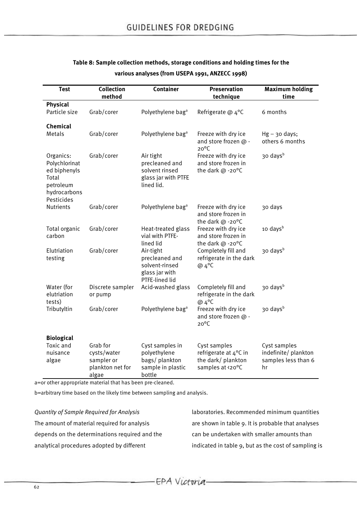| <b>Test</b>                                                                                    | <b>Collection</b><br>method                                        | <b>Container</b>                                                                   | Preservation<br>technique                                                       | <b>Maximum holding</b><br>time                                    |
|------------------------------------------------------------------------------------------------|--------------------------------------------------------------------|------------------------------------------------------------------------------------|---------------------------------------------------------------------------------|-------------------------------------------------------------------|
| <b>Physical</b>                                                                                |                                                                    |                                                                                    |                                                                                 |                                                                   |
| Particle size                                                                                  | Grab/corer                                                         | Polyethylene bag <sup>a</sup>                                                      | Refrigerate @ 4°C                                                               | 6 months                                                          |
| Chemical                                                                                       |                                                                    |                                                                                    |                                                                                 |                                                                   |
| Metals                                                                                         | Grab/corer                                                         | Polyethylene bag <sup>a</sup>                                                      | Freeze with dry ice<br>and store frozen @ -<br>$20^{\circ}$ C                   | $Hg - 30$ days;<br>others 6 months                                |
| Organics:<br>Polychlorinat<br>ed biphenyls<br>Total<br>petroleum<br>hydrocarbons<br>Pesticides | Grab/corer                                                         | Air tight<br>precleaned and<br>solvent rinsed<br>glass jar with PTFE<br>lined lid. | Freeze with dry ice<br>and store frozen in<br>the dark @ -20°C                  | 30 days <sup>b</sup>                                              |
| Nutrients                                                                                      | Grab/corer                                                         | Polyethylene bag <sup>a</sup>                                                      | Freeze with dry ice<br>and store frozen in<br>the dark $@ -20°C$                | 30 days                                                           |
| Total organic<br>carbon                                                                        | Grab/corer                                                         | Heat-treated glass<br>vial with PTFE-<br>lined lid                                 | Freeze with dry ice<br>and store frozen in<br>the dark @ -20°C                  | 10 days <sup>b</sup>                                              |
| Elutriation<br>testing                                                                         | Grab/corer                                                         | Air-tight<br>precleaned and<br>solvent-rinsed<br>glass jar with<br>PTFE-lined lid  | Completely fill and<br>refrigerate in the dark<br>@ 4°C                         | 30 days <sup>b</sup>                                              |
| Water (for<br>elutriation<br>tests)                                                            | Discrete sampler<br>or pump                                        | Acid-washed glass                                                                  | Completely fill and<br>refrigerate in the dark<br>@ 4°C                         | 30 daysb                                                          |
| Tributyltin                                                                                    | Grab/corer                                                         | Polyethylene bag <sup>a</sup>                                                      | Freeze with dry ice<br>and store frozen @ -<br>$20^{\circ}$ C                   | 30 days <sup>b</sup>                                              |
| <b>Biological</b>                                                                              |                                                                    |                                                                                    |                                                                                 |                                                                   |
| Toxic and<br>nuisance<br>algae                                                                 | Grab for<br>cysts/water<br>sampler or<br>plankton net for<br>algae | Cyst samples in<br>polyethylene<br>bags/plankton<br>sample in plastic<br>bottle    | Cyst samples<br>refrigerate at 4°C in<br>the dark/ plankton<br>samples at <20°C | Cyst samples<br>indefinite/ plankton<br>samples less than 6<br>hr |

# **Table 8: Sample collection methods, storage conditions and holding times for the various analyses (from USEPA 1991, ANZECC 1998)**

a=or other appropriate material that has been pre-cleaned.

b=arbitrary time based on the likely time between sampling and analysis.

*Quantity of Sample Required for Analysis* The amount of material required for analysis depends on the determinations required and the analytical procedures adopted by different

laboratories. Recommended minimum quantities are shown in table 9. It is probable that analyses can be undertaken with smaller amounts than indicated in table 9, but as the cost of sampling is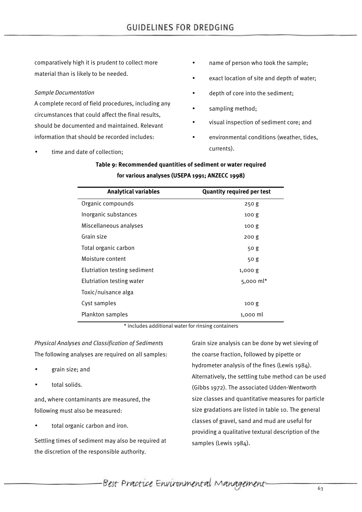comparatively high it is prudent to collect more material than is likely to be needed.

### *Sample Documentation*

A complete record of field procedures, including any circumstances that could affect the final results, should be documented and maintained. Relevant information that should be recorded includes:

time and date of collection:

- name of person who took the sample;
- exact location of site and depth of water;
- depth of core into the sediment;
- sampling method;
- visual inspection of sediment core; and
- environmental conditions (weather, tides, currents).

# **Table 9: Recommended quantities of sediment or water required for various analyses (USEPA 1991; ANZECC 1998)**

| <b>Analytical variables</b>  | <b>Quantity required per test</b> |
|------------------------------|-----------------------------------|
| Organic compounds            | 250g                              |
| Inorganic substances         | 100 <sub>g</sub>                  |
| Miscellaneous analyses       | 100 <sub>g</sub>                  |
| Grain size                   | 200 <sub>g</sub>                  |
| Total organic carbon         | 50g                               |
| Moisture content             | 50 g                              |
| Elutriation testing sediment | 1,000 g                           |
| Elutriation testing water    | $5,000 \text{ ml}^*$              |
| Toxic/nuisance alga          |                                   |
| Cyst samples                 | 100 <sub>g</sub>                  |
| Plankton samples             | 1,000 ml                          |

\* includes additional water for rinsing containers

*Physical Analyses and Classification of Sediments* The following analyses are required on all samples:

- grain size; and
- total solids.

and, where contaminants are measured, the following must also be measured:

total organic carbon and iron.

Settling times of sediment may also be required at the discretion of the responsible authority.

Grain size analysis can be done by wet sieving of the coarse fraction, followed by pipette or hydrometer analysis of the fines (Lewis 1984). Alternatively, the settling tube method can be used (Gibbs 1972). The associated Udden-Wentworth size classes and quantitative measures for particle size gradations are listed in table 10. The general classes of gravel, sand and mud are useful for providing a qualitative textural description of the samples (Lewis 1984).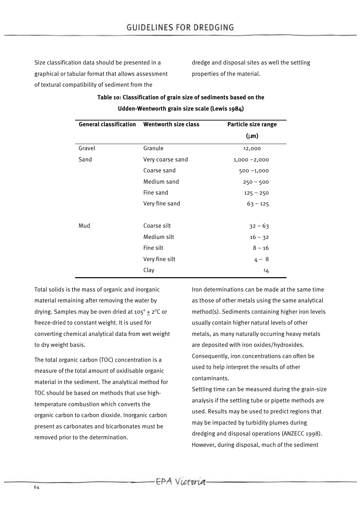Size classification data should be presented in a graphical or tabular format that allows assessment of textural compatibility of sediment from the

dredge and disposal sites as well the settling properties of the material.

# **Table 10: Classification of grain size of sediments based on the Udden-Wentworth grain size scale (Lewis 1984)**

| <b>General classification Wentworth size class</b> |                  | Particle size range |
|----------------------------------------------------|------------------|---------------------|
|                                                    |                  | $(\mu m)$           |
| Gravel                                             | Granule          | <sup>2</sup> ,000   |
| Sand                                               | Very coarse sand | $1,000 - 2,000$     |
|                                                    | Coarse sand      | $500 - 1,000$       |
|                                                    | Medium sand      | $250 - 500$         |
|                                                    | Fine sand        | $125 - 250$         |
|                                                    | Very fine sand   | $63 - 125$          |
| Mud                                                | Coarse silt      | $32 - 63$           |
|                                                    | Medium silt      | $16 - 32$           |
|                                                    | Fine silt        | $8 - 16$            |
|                                                    | Very fine silt   | $4 - 8$             |
|                                                    | Clay             | ∢4                  |

Total solids is the mass of organic and inorganic material remaining after removing the water by drying. Samples may be oven dried at  $105^\circ + 2^\circ C$  or freeze-dried to constant weight. It is used for converting chemical analytical data from wet weight to dry weight basis.

The total organic carbon (TOC) concentration is a measure of the total amount of oxidisable organic material in the sediment. The analytical method for TOC should be based on methods that use hightemperature combustion which converts the organic carbon to carbon dioxide. Inorganic carbon present as carbonates and bicarbonates must be removed prior to the determination.

Iron determinations can be made at the same time as those of other metals using the same analytical method(s). Sediments containing higher iron levels usually contain higher natural levels of other metals, as many naturally occurring heavy metals are deposited with iron oxides/hydroxides. Consequently, iron concentrations can often be used to help interpret the results of other contaminants.

Settling time can be measured during the grain-size analysis if the settling tube or pipette methods are used. Results may be used to predict regions that may be impacted by turbidity plumes during dredging and disposal operations (ANZECC 1998). However, during disposal, much of the sediment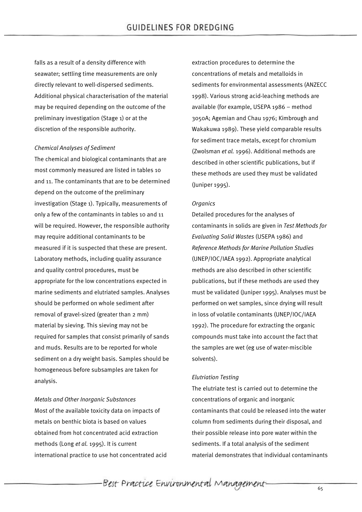falls as a result of a density difference with seawater; settling time measurements are only directly relevant to well-dispersed sediments. Additional physical characterisation of the material may be required depending on the outcome of the preliminary investigation (Stage 1) or at the discretion of the responsible authority.

#### *Chemical Analyses of Sediment*

The chemical and biological contaminants that are most commonly measured are listed in tables 10 and 11. The contaminants that are to be determined depend on the outcome of the preliminary investigation (Stage 1). Typically, measurements of only a few of the contaminants in tables 10 and 11 will be required. However, the responsible authority may require additional contaminants to be measured if it is suspected that these are present. Laboratory methods, including quality assurance and quality control procedures, must be appropriate for the low concentrations expected in marine sediments and elutriated samples. Analyses should be performed on whole sediment after removal of gravel-sized (greater than 2 mm) material by sieving. This sieving may not be required for samples that consist primarily of sands and muds. Results are to be reported for whole sediment on a dry weight basis. Samples should be homogeneous before subsamples are taken for analysis.

#### *Metals and Other Inorganic Substances*

Most of the available toxicity data on impacts of metals on benthic biota is based on values obtained from hot concentrated acid extraction methods (Long *et al.* 1995). It is current international practice to use hot concentrated acid extraction procedures to determine the concentrations of metals and metalloids in sediments for environmental assessments (ANZECC 1998). Various strong acid-leaching methods are available (for example, USEPA 1986 – method 3050A; Agemian and Chau 1976; Kimbrough and Wakakuwa 1989). These yield comparable results for sediment trace metals, except for chromium (Zwolsman *et al.* 1996). Additional methods are described in other scientific publications, but if these methods are used they must be validated (Juniper 1995).

### *Organics*

Detailed procedures for the analyses of contaminants in solids are given in *Test Methods for Evaluating Solid Wastes* (USEPA 1986) and *Reference Methods for Marine Pollution Studies* (UNEP/IOC/IAEA 1992). Appropriate analytical methods are also described in other scientific publications, but if these methods are used they must be validated (Juniper 1995). Analyses must be performed on wet samples, since drying will result in loss of volatile contaminants (UNEP/IOC/IAEA 1992). The procedure for extracting the organic compounds must take into account the fact that the samples are wet (eg use of water-miscible solvents).

#### *Elutriation Testing*

The elutriate test is carried out to determine the concentrations of organic and inorganic contaminants that could be released into the water column from sediments during their disposal, and their possible release into pore water within the sediments. If a total analysis of the sediment material demonstrates that individual contaminants

Best Practice Environmental Management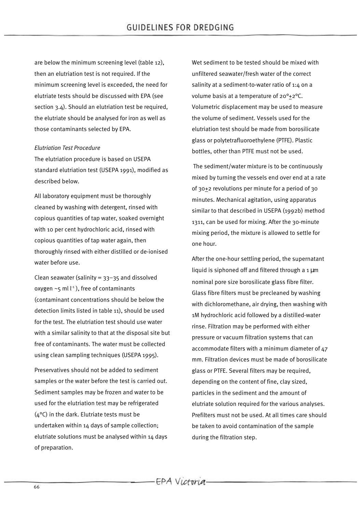are below the minimum screening level (table 12), then an elutriation test is not required. If the minimum screening level is exceeded, the need for elutriate tests should be discussed with EPA (see section 3.4). Should an elutriation test be required, the elutriate should be analysed for iron as well as those contaminants selected by EPA.

### *Elutriation Test Procedure*

The elutriation procedure is based on USEPA standard elutriation test (USEPA 1991), modified as described below.

All laboratory equipment must be thoroughly cleaned by washing with detergent, rinsed with copious quantities of tap water, soaked overnight with 10 per cent hydrochloric acid, rinsed with copious quantities of tap water again, then thoroughly rinsed with either distilled or de-ionised water before use.

Clean seawater (salinity =  $33-35$  and dissolved oxygen  $\sim$ 5 ml  $l^{-1}$ ), free of contaminants (contaminant concentrations should be below the detection limits listed in table 11), should be used for the test. The elutriation test should use water with a similar salinity to that at the disposal site but free of contaminants. The water must be collected using clean sampling techniques (USEPA 1995).

Preservatives should not be added to sediment samples or the water before the test is carried out. Sediment samples may be frozen and water to be used for the elutriation test may be refrigerated  $(4^{\circ}C)$  in the dark. Elutriate tests must be undertaken within 14 days of sample collection; elutriate solutions must be analysed within  $14$  days of preparation.

Wet sediment to be tested should be mixed with unfiltered seawater/fresh water of the correct salinity at a sediment-to-water ratio of 1:4 on a volume basis at a temperature of 20°+2°C. Volumetric displacement may be used to measure the volume of sediment. Vessels used for the elutriation test should be made from borosilicate glass or polytetrafluoroethylene (PTFE). Plastic bottles, other than PTFE must not be used.

 The sediment/water mixture is to be continuously mixed by turning the vessels end over end at a rate of 30+2 revolutions per minute for a period of 30 minutes. Mechanical agitation, using apparatus similar to that described in USEPA (1992b) method 1311, can be used for mixing. After the 30-minute mixing period, the mixture is allowed to settle for one hour.

After the one-hour settling period, the supernatant liquid is siphoned off and filtered through a 1 μm nominal pore size borosilicate glass fibre filter. Glass fibre filters must be precleaned by washing with dichloromethane, air drying, then washing with 1M hydrochloric acid followed by a distilled-water rinse. Filtration may be performed with either pressure or vacuum filtration systems that can accommodate filters with a minimum diameter of 47 mm. Filtration devices must be made of borosilicate glass or PTFE. Several filters may be required, depending on the content of fine, clay sized, particles in the sediment and the amount of elutriate solution required for the various analyses. Prefilters must not be used. At all times care should be taken to avoid contamination of the sample during the filtration step.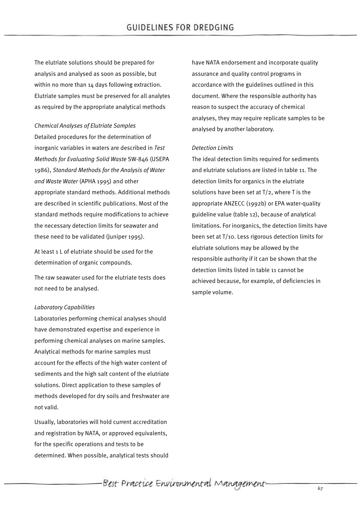The elutriate solutions should be prepared for analysis and analysed as soon as possible, but within no more than 14 days following extraction. Elutriate samples must be preserved for all analytes as required by the appropriate analytical methods

*Chemical Analyses of Elutriate Samples* Detailed procedures for the determination of inorganic variables in waters are described in *Test Methods for Evaluating Solid Waste* SW-846 (USEPA 1986), *Standard Methods for the Analysis of Water and Waste Water* (APHA 1995) and other appropriate standard methods. Additional methods are described in scientific publications. Most of the standard methods require modifications to achieve the necessary detection limits for seawater and these need to be validated (Juniper 1995).

At least 1 L of elutriate should be used for the determination of organic compounds.

The raw seawater used for the elutriate tests does not need to be analysed.

#### *Laboratory Capabilities*

Laboratories performing chemical analyses should have demonstrated expertise and experience in performing chemical analyses on marine samples. Analytical methods for marine samples must account for the effects of the high water content of sediments and the high salt content of the elutriate solutions. Direct application to these samples of methods developed for dry soils and freshwater are not valid.

Usually, laboratories will hold current accreditation and registration by NATA, or approved equivalents, for the specific operations and tests to be determined. When possible, analytical tests should have NATA endorsement and incorporate quality assurance and quality control programs in accordance with the guidelines outlined in this document. Where the responsible authority has reason to suspect the accuracy of chemical analyses, they may require replicate samples to be analysed by another laboratory.

#### *Detection Limits*

The ideal detection limits required for sediments and elutriate solutions are listed in table 11. The detection limits for organics in the elutriate solutions have been set at T/2, where T is the appropriate ANZECC (1992b) or EPA water-quality guideline value (table 12), because of analytical limitations. For inorganics, the detection limits have been set at T/10. Less rigorous detection limits for elutriate solutions may be allowed by the responsible authority if it can be shown that the detection limits listed in table 11 cannot be achieved because, for example, of deficiencies in sample volume.

-Best Practice Environmental Management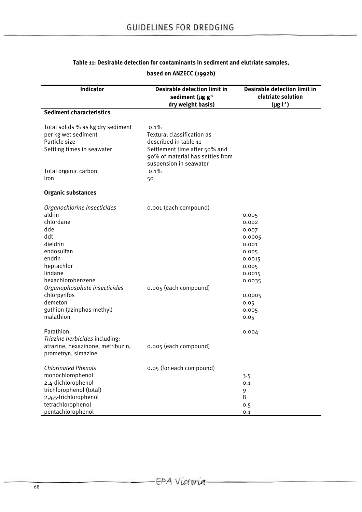# **Table 11: Desirable detection for contaminants in sediment and elutriate samples,**

#### **Indicator Desirable detection limit in sediment (**μ**g g-1 dry weight basis) Desirable detection limit in elutriate solution (**μ**g l-1 ) Sediment characteristics** Total solids % as kg dry sediment per kg wet sediment Particle size Settling times in seawater Total organic carbon Iron 0.1% Textural classification as described in table 11 Settlement time after 50% and 90% of material has settles from suspension in seawater 0.1% 50 **Organic substances** *Organochlorine insecticides* aldrin chlordane dde ddt dieldrin endosulfan endrin heptachlor lindane hexachlorobenzene *Organophosphate insecticides* chlorpyrifos demeton guthion (azinphos-methyl) malathion 0.001 (each compound) 0.005 (each compound) 0.005 0.002 0.007 0.0005 0.001 0.005 0.0015 0.005 0.0015 0.0035 0.0005 0.05 0.005 0.05 Parathion *Triazine herbicides* including: atrazine, hexazinone, metribuzin, prometryn, simazine 0.005 (each compound) 0.004 *Chlorinated Phenols* monochlorophenol 2,4-dichlorophenol trichlorophenol (total) 2,4,5-trichlorophenol tetrachlorophenol pentachlorophenol 0.05 (for each compound) 3.5 0.1 9 8 0.5

#### **based on ANZECC (1992b)**

0.1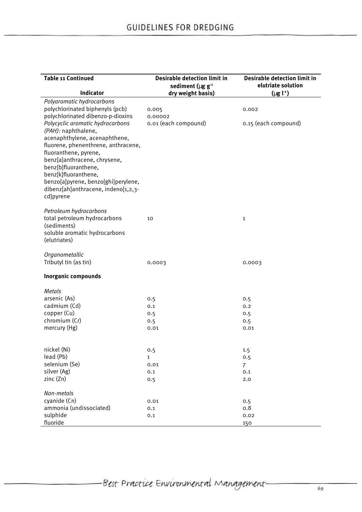| <b>Table 11 Continued</b>                                            | <b>Desirable detection limit in</b><br>sediment ( $\mu$ g g <sup>-1</sup> | <b>Desirable detection limit in</b><br>elutriate solution |
|----------------------------------------------------------------------|---------------------------------------------------------------------------|-----------------------------------------------------------|
| Indicator                                                            | dry weight basis)                                                         | $(\mu g l^{-1})$                                          |
| Polyaromatic hydrocarbons                                            |                                                                           |                                                           |
| polychlorinated biphenyls (pcb)                                      | 0.005                                                                     | 0.002                                                     |
| polychlorinated dibenzo-p-dioxins                                    | 0.00002                                                                   |                                                           |
| Polycyclic aromatic hydrocarbons                                     | 0.01 (each compound)                                                      | 0.15 (each compound)                                      |
| (PAH): naphthalene,                                                  |                                                                           |                                                           |
| acenaphthylene, acenaphthene,<br>fluorene, phenenthrene, anthracene, |                                                                           |                                                           |
| fluoranthene, pyrene,                                                |                                                                           |                                                           |
| benz[a]anthracene, chrysene,                                         |                                                                           |                                                           |
| benz[b]fluoranthene,                                                 |                                                                           |                                                           |
| benz[k]fluoranthene,                                                 |                                                                           |                                                           |
| benzo[a]pyrene, benzo[ghi]perylene,                                  |                                                                           |                                                           |
| dibenz[ah]anthracene, indeno[1,2,3-                                  |                                                                           |                                                           |
| cd]pyrene                                                            |                                                                           |                                                           |
| Petroleum hydrocarbons                                               |                                                                           |                                                           |
| total petroleum hydrocarbons                                         | 10                                                                        | 1                                                         |
| (sediments)                                                          |                                                                           |                                                           |
| soluble aromatic hydrocarbons                                        |                                                                           |                                                           |
| (elutriates)                                                         |                                                                           |                                                           |
| Organometallic                                                       |                                                                           |                                                           |
| Tributyl tin (as tin)                                                | 0.0003                                                                    | 0.0003                                                    |
| <b>Inorganic compounds</b>                                           |                                                                           |                                                           |
| Metals                                                               |                                                                           |                                                           |
| arsenic (As)                                                         | 0.5                                                                       | 0.5                                                       |
| cadmium (Cd)                                                         | 0.1                                                                       | 0.2                                                       |
| copper (Cu)                                                          | 0.5                                                                       | 0.5                                                       |
| chromium (Cr)                                                        | 0.5                                                                       | 0.5                                                       |
| mercury (Hg)                                                         | 0.01                                                                      | 0.01                                                      |
|                                                                      |                                                                           |                                                           |
| nickel (Ni)                                                          | 0.5                                                                       | 1.5                                                       |
| lead (Pb)<br>selenium (Se)                                           | $\mathbf{1}$                                                              | 0.5                                                       |
| silver (Ag)                                                          | 0.01<br>0.1                                                               | $\overline{7}$<br>0.1                                     |
| zinc(Zn)                                                             | 0.5                                                                       | 2.0                                                       |
| Non-metals                                                           |                                                                           |                                                           |
| cyanide (Cn)                                                         | 0.01                                                                      | 0.5                                                       |
| ammonia (undissociated)                                              | 0.1                                                                       | 0.8                                                       |
| sulphide                                                             | 0.1                                                                       | 0.02                                                      |
| fluoride                                                             |                                                                           | 150                                                       |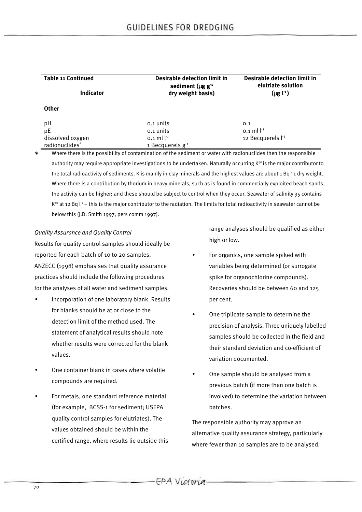| <b>Table 11 Continued</b><br><b>Indicator</b>  | <b>Desirable detection limit in</b><br>sediment ( $\mu$ g g <sup>-1</sup><br>dry weight basis) | <b>Desirable detection limit in</b><br>elutriate solution<br>$(\mu g l^{-1})$ |  |
|------------------------------------------------|------------------------------------------------------------------------------------------------|-------------------------------------------------------------------------------|--|
| <b>Other</b>                                   |                                                                                                |                                                                               |  |
| pH<br>pE                                       | 0.1 units<br>0.1 units                                                                         | 0.1<br>$0.1$ ml $1^{-1}$                                                      |  |
| dissolved oxygen<br>radionuclides <sup>*</sup> | 0.1 ml $l^{-1}$<br>1 Becquerels $g-1$                                                          | 12 Becquerels l <sup>-1</sup>                                                 |  |

Where there is the possibility of contamination of the sediment or water with radionuclides then the responsible authority may require appropriate investigations to be undertaken. Naturally occurring K<sup>40</sup> is the major contributor to the total radioactivity of sediments. K is mainly in clay minerals and the highest values are about 1 Bq  $s_1$  dry weight. Where there is a contribution by thorium in heavy minerals, such as is found in commercially exploited beach sands, the activity can be higher; and these should be subject to control when they occur. Seawater of salinity 35 contains  $K^{40}$  at 12 Bq  $l^4$  – this is the maior contributor to the radiation. The limits for total radioactivity in seawater cannot be below this (J.D. Smith 1997, pers comm 1997).

#### *Quality Assurance and Quality Control*

Results for quality control samples should ideally be reported for each batch of 10 to 20 samples. ANZECC (1998) emphasises that quality assurance practices should include the following procedures for the analyses of all water and sediment samples.

- Incorporation of one laboratory blank. Results for blanks should be at or close to the detection limit of the method used. The statement of analytical results should note whether results were corrected for the blank values.
- One container blank in cases where volatile compounds are required.
- For metals, one standard reference material (for example, BCSS-1 for sediment; USEPA quality control samples for elutriates). The values obtained should be within the certified range, where results lie outside this

range analyses should be qualified as either high or low.

- For organics, one sample spiked with variables being determined (or surrogate spike for organochlorine compounds). Recoveries should be between 60 and 125 per cent.
- One triplicate sample to determine the precision of analysis. Three uniquely labelled samples should be collected in the field and their standard deviation and co-efficient of variation documented.
- One sample should be analysed from a previous batch (if more than one batch is involved) to determine the variation between batches.

The responsible authority may approve an alternative quality assurance strategy, particularly where fewer than 10 samples are to be analysed.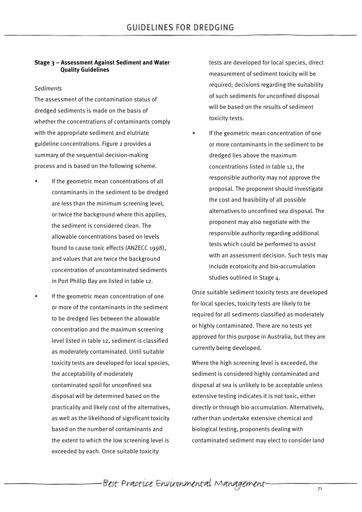#### **Stage 3 – Assessment Against Sediment and Water Quality Guidelines**

#### *Sediments*

The assessment of the contamination status of dredged sediments is made on the basis of whether the concentrations of contaminants comply with the appropriate sediment and elutriate guideline concentrations. Figure 2 provides a summary of the sequential decision-making process and is based on the following scheme.

- If the geometric mean concentrations of all contaminants in the sediment to be dredged are less than the minimum screening level, or twice the background where this applies, the sediment is considered clean. The allowable concentrations based on levels found to cause toxic effects (ANZECC 1998), and values that are twice the background concentration of uncontaminated sediments in Port Phillip Bay are listed in table 12.
- If the geometric mean concentration of one or more of the contaminants in the sediment to be dredged lies between the allowable concentration and the maximum screening level listed in table 12, sediment is classified as moderately contaminated. Until suitable toxicity tests are developed for local species, the acceptability of moderately contaminated spoil for unconfined sea disposal will be determined based on the practicality and likely cost of the alternatives, as well as the likelihood of significant toxicity based on the number of contaminants and the extent to which the low screening level is exceeded by each. Once suitable toxicity

tests are developed for local species, direct measurement of sediment toxicity will be required; decisions regarding the suitability of such sediments for unconfined disposal will be based on the results of sediment toxicity tests.

If the geometric mean concentration of one or more contaminants in the sediment to be dredged lies above the maximum concentrations listed in table 12, the responsible authority may not approve the proposal. The proponent should investigate the cost and feasibility of all possible alternatives to unconfined sea disposal. The proponent may also negotiate with the responsible authority regarding additional tests which could be performed to assist with an assessment decision. Such tests may include ecotoxicity and bio-accumulation studies outlined in Stage 4.

Once suitable sediment toxicity tests are developed for local species, toxicity tests are likely to be required for all sediments classified as moderately or highly contaminated. There are no tests yet approved for this purpose in Australia, but they are currently being developed.

Where the high screening level is exceeded, the sediment is considered highly contaminated and disposal at sea is unlikely to be acceptable unless extensive testing indicates it is not toxic, either directly or through bio-accumulation. Alternatively, rather than undertake extensive chemical and biological testing, proponents dealing with contaminated sediment may elect to consider land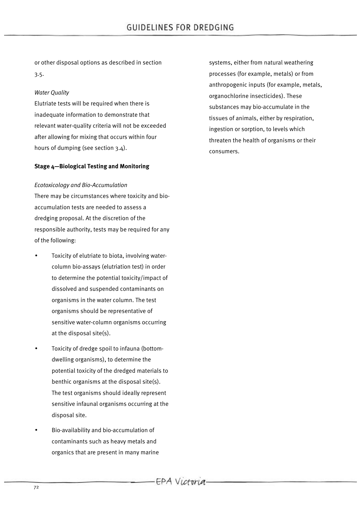or other disposal options as described in section 3.5.

# *Water Quality*

Elutriate tests will be required when there is inadequate information to demonstrate that relevant water-quality criteria will not be exceeded after allowing for mixing that occurs within four hours of dumping (see section 3.4).

# **Stage 4—Biological Testing and Monitoring**

# *Ecotoxicology and Bio-Accumulation*

There may be circumstances where toxicity and bioaccumulation tests are needed to assess a dredging proposal. At the discretion of the responsible authority, tests may be required for any of the following:

- Toxicity of elutriate to biota, involving watercolumn bio-assays (elutriation test) in order to determine the potential toxicity/impact of dissolved and suspended contaminants on organisms in the water column. The test organisms should be representative of sensitive water-column organisms occurring at the disposal site(s).
- Toxicity of dredge spoil to infauna (bottomdwelling organisms), to determine the potential toxicity of the dredged materials to benthic organisms at the disposal site(s). The test organisms should ideally represent sensitive infaunal organisms occurring at the disposal site.
- Bio-availability and bio-accumulation of contaminants such as heavy metals and organics that are present in many marine

systems, either from natural weathering processes (for example, metals) or from anthropogenic inputs (for example, metals, organochlorine insecticides). These substances may bio-accumulate in the tissues of animals, either by respiration, ingestion or sorption, to levels which threaten the health of organisms or their consumers.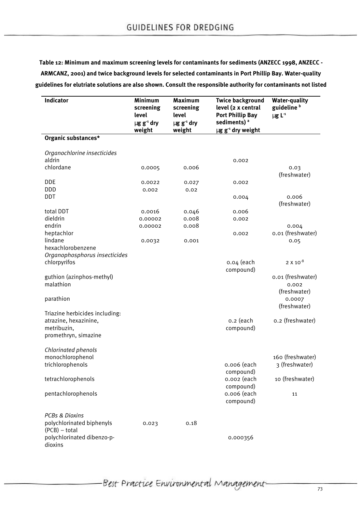**Table 12: Minimum and maximum screening levels for contaminants for sediments (ANZECC 1998, ANZECC - ARMCANZ, 2001) and twice background levels for selected contaminants in Port Phillip Bay. Water-quality guidelines for elutriate solutions are also shown. Consult the responsible authority for contaminants not listed**

| Indicator                                                                                      | <b>Minimum</b><br>screening<br>level<br>$\mu$ g g <sup>-1</sup> dry<br>weight | <b>Maximum</b><br>screening<br>level<br>$\mu$ g g <sup>-1</sup> dry<br>weight | <b>Twice background</b><br>level (2 x central<br><b>Port Phillip Bay</b><br>sediments) <sup>a</sup><br>$\mu$ g g <sup>-1</sup> dry weight | <b>Water-quality</b><br>guideline <sup>b</sup><br>$\mu$ g L <sup>-1</sup> |
|------------------------------------------------------------------------------------------------|-------------------------------------------------------------------------------|-------------------------------------------------------------------------------|-------------------------------------------------------------------------------------------------------------------------------------------|---------------------------------------------------------------------------|
| Organic substances*                                                                            |                                                                               |                                                                               |                                                                                                                                           |                                                                           |
| Organochlorine insecticides<br>aldrin<br>chlordane<br>DDE                                      | 0.0005<br>0.0022                                                              | 0.006<br>0.027                                                                | 0.002<br>0.002                                                                                                                            | 0.03<br>(freshwater)                                                      |
| DDD<br><b>DDT</b>                                                                              | 0.002                                                                         | 0.02                                                                          | 0.004                                                                                                                                     | 0.006<br>(freshwater)                                                     |
| total DDT<br>dieldrin<br>endrin                                                                | 0.0016<br>0.00002<br>0.00002                                                  | 0.046<br>0.008<br>0.008                                                       | 0.006<br>0.002                                                                                                                            | 0.004                                                                     |
| heptachlor<br>lindane<br>hexachlorobenzene<br>Organophosphorus insecticides                    | 0.0032                                                                        | 0.001                                                                         | 0.002                                                                                                                                     | 0.01 (freshwater)<br>0.05                                                 |
| chlorpyrifos                                                                                   |                                                                               |                                                                               | 0.04 (each<br>compound)                                                                                                                   | $2 \times 10^{-8}$                                                        |
| guthion (azinphos-methyl)<br>malathion<br>parathion                                            |                                                                               |                                                                               |                                                                                                                                           | 0.01 (freshwater)<br>0.002<br>(freshwater)<br>0.0007<br>(freshwater)      |
| Triazine herbicides including:<br>atrazine, hexazinine,<br>metribuzin,<br>promethryn, simazine |                                                                               |                                                                               | o.2 (each<br>compound)                                                                                                                    | o.2 (freshwater)                                                          |
| Chlorinated phenols<br>monochlorophenol<br>trichlorophenols                                    |                                                                               |                                                                               | 0.006 (each<br>compound)                                                                                                                  | 160 (freshwater)<br>3 (freshwater)                                        |
| tetrachlorophenols                                                                             |                                                                               |                                                                               | 0.002 (each<br>compound)                                                                                                                  | 10 (freshwater)                                                           |
| pentachlorophenols                                                                             |                                                                               |                                                                               | 0.006 (each<br>compound)                                                                                                                  | 11                                                                        |
| PCBs & Dioxins<br>polychlorinated biphenyls<br>$(PCB)$ – total                                 | 0.023                                                                         | 0.18                                                                          |                                                                                                                                           |                                                                           |
| polychlorinated dibenzo-p-<br>dioxins                                                          |                                                                               |                                                                               | 0.000356                                                                                                                                  |                                                                           |

-Best Practice Environmental Management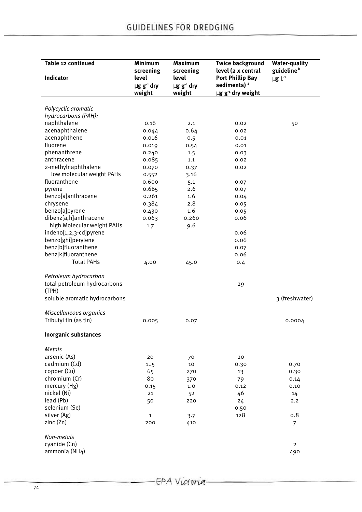| Table 12 continued                    | Minimum<br>screening                  | <b>Maximum</b><br>screening           | <b>Twice background</b><br>level (2 x central            | <b>Water-quality</b><br>guideline <sup>b</sup> |
|---------------------------------------|---------------------------------------|---------------------------------------|----------------------------------------------------------|------------------------------------------------|
| <b>Indicator</b>                      | level                                 | level                                 | <b>Port Phillip Bay</b>                                  | $\mu$ g L <sup>-1</sup>                        |
|                                       | $\mu$ g g <sup>-1</sup> dry<br>weight | $\mu$ g g <sup>-1</sup> dry<br>weight | sediments) <sup>a</sup><br>µg g <sup>-1</sup> dry weight |                                                |
|                                       |                                       |                                       |                                                          |                                                |
| Polycyclic aromatic                   |                                       |                                       |                                                          |                                                |
| hydrocarbons (PAH):                   |                                       |                                       |                                                          |                                                |
| naphthalene                           | 0.16                                  | 2.1                                   | 0.02                                                     | 50                                             |
| acenaphthalene                        | 0.044                                 | 0.64                                  | 0.02                                                     |                                                |
| acenaphthene                          | 0.016                                 | 0.5                                   | 0.01                                                     |                                                |
| fluorene                              | 0.019                                 | 0.54                                  | 0.01                                                     |                                                |
| phenanthrene                          | 0.240                                 | 1.5                                   | 0.03                                                     |                                                |
| anthracene                            | 0.085                                 | 1.1                                   | 0.02                                                     |                                                |
| 2-methylnaphthalene                   | 0.070                                 | 0.37                                  | 0.02                                                     |                                                |
| low molecular weight PAHs             | 0.552                                 | 3.16                                  |                                                          |                                                |
| fluoranthene                          | 0.600                                 | 5.1                                   | 0.07                                                     |                                                |
| pyrene                                | 0.665                                 | 2.6                                   | 0.07                                                     |                                                |
| benzo[a]anthracene                    | 0.261                                 | 1.6                                   | 0.04                                                     |                                                |
| chrysene                              | 0.384                                 | 2.8                                   | 0.05                                                     |                                                |
| benzo[a]pyrene                        | 0.430                                 | 1.6                                   | 0.05                                                     |                                                |
| dibenz[a,h]anthracene                 | 0.063                                 | 0.260                                 | 0.06                                                     |                                                |
| high Molecular weight PAHs            | 1.7                                   | 9.6                                   |                                                          |                                                |
| indeno[1,2,3-cd]pyrene                |                                       |                                       | 0.06                                                     |                                                |
| benzo[ghi]perylene                    |                                       |                                       | 0.06                                                     |                                                |
| benz[b]fluoranthene                   |                                       |                                       | 0.07                                                     |                                                |
| benz[k]fluoranthene                   |                                       |                                       | 0.06                                                     |                                                |
| <b>Total PAHs</b>                     | 4.00                                  | 45.0                                  | 0.4                                                      |                                                |
|                                       |                                       |                                       |                                                          |                                                |
| Petroleum hydrocarbon                 |                                       |                                       |                                                          |                                                |
| total petroleum hydrocarbons<br>(TPH) |                                       |                                       | 29                                                       |                                                |
| soluble aromatic hydrocarbons         |                                       |                                       |                                                          | 3 (freshwater)                                 |
| Miscellaneous organics                |                                       |                                       |                                                          |                                                |
| Tributyl tin (as tin)                 | 0.005                                 | 0.07                                  |                                                          | 0.0004                                         |
| <b>Inorganic substances</b>           |                                       |                                       |                                                          |                                                |
| Metals                                |                                       |                                       |                                                          |                                                |
| arsenic (As)                          |                                       |                                       |                                                          |                                                |
|                                       | 20                                    | 70                                    | 20                                                       |                                                |
| cadmium (Cd)<br>copper (Cu)           | 15                                    | 10                                    | 0.30                                                     | 0.70                                           |
|                                       | 65                                    | 270                                   | 13                                                       | 0.30                                           |
| chromium (Cr)                         | 80                                    | 370                                   | 79                                                       | 0.14                                           |
| mercury (Hg)                          | 0.15                                  | 1.0                                   | 0.12                                                     | 0.10                                           |
| nickel (Ni)                           | 21                                    | 52                                    | 46                                                       | 14                                             |
| lead (Pb)                             | 50                                    | 220                                   | 24                                                       | 2.2                                            |
| selenium (Se)                         |                                       |                                       | 0.50                                                     |                                                |
| silver (Ag)                           | $\mathbf 1$                           | 3.7                                   | 128                                                      | 0.8                                            |
| zinc(Zn)                              | 200                                   | 410                                   |                                                          | $\overline{7}$                                 |
| Non-metals                            |                                       |                                       |                                                          |                                                |
| cyanide (Cn)                          |                                       |                                       |                                                          | $\overline{2}$                                 |
| ammonia (NH4)                         |                                       |                                       |                                                          | 490                                            |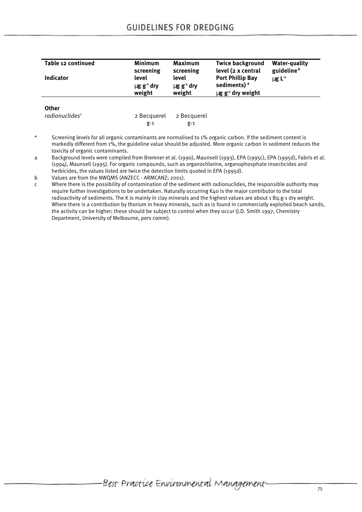| Table 12 continued                         | <b>Minimum</b><br>screening                    | <b>Maximum</b><br>screening                    | <b>Twice background</b><br>level (2 x central                                            | <b>Water-quality</b><br>guideline <sup>b</sup> |
|--------------------------------------------|------------------------------------------------|------------------------------------------------|------------------------------------------------------------------------------------------|------------------------------------------------|
| <b>Indicator</b>                           | level<br>$\mu$ g g <sup>-1</sup> dry<br>weight | level<br>$\mu$ g g <sup>-1</sup> dry<br>weight | <b>Port Phillip Bay</b><br>sediments) <sup>a</sup><br>$\mu$ g g <sup>-1</sup> dry weight | $\mu$ g L <sup>-1</sup>                        |
| <b>Other</b><br>radionuclides <sup>c</sup> | 2 Becquerel<br>$g-1$                           | 2 Becquerel<br>$g-1$                           |                                                                                          |                                                |

Screening levels for all organic contaminants are normalised to 1% organic carbon. If the sediment content is markedly different from 1%, the guideline value should be adjusted. More organic carbon in sediment reduces the toxicity of organic contaminants.

a Background levels were compiled from Bremner et al. (1990), Maunsell (1993), EPA (1995c), EPA (1995d), Fabris et al. (1994), Maunsell (1995). For organic compounds, such as organochlorine, organophosphate insecticides and herbicides, the values listed are twice the detection limits quoted in EPA (1995d).

b Values are from the NWQMS (ANZECC - ARMCANZ; 2001).

c Where there is the possibility of contamination of the sediment with radionuclides, the responsible authority may require further investigations to be undertaken. Naturally occurring K40 is the major contributor to the total radioactivity of sediments. The K is mainly in clay minerals and the highest values are about 1 Bq.g-1 dry weight. Where there is a contribution by thorium in heavy minerals, such as is found in commercially exploited beach sands, the activity can be higher; these should be subject to control when they occur (J.D. Smith 1997, Chemistry Department, University of Melbourne, pers comm).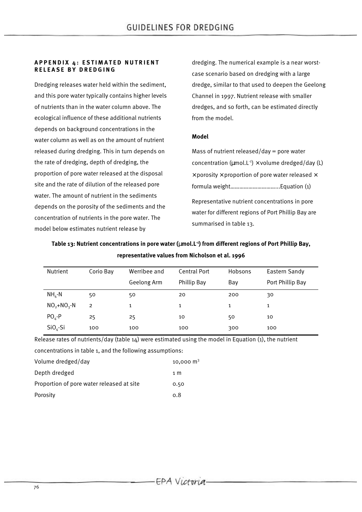#### **APPENDIX 4: ESTIMATED NUTRIENT RELEASE BY DREDGING**

Dredging releases water held within the sediment, and this pore water typically contains higher levels of nutrients than in the water column above. The ecological influence of these additional nutrients depends on background concentrations in the water column as well as on the amount of nutrient released during dredging. This in turn depends on the rate of dredging, depth of dredging, the proportion of pore water released at the disposal site and the rate of dilution of the released pore water. The amount of nutrient in the sediments depends on the porosity of the sediments and the concentration of nutrients in the pore water. The model below estimates nutrient release by

dredging. The numerical example is a near worstcase scenario based on dredging with a large dredge, similar to that used to deepen the Geelong Channel in 1997. Nutrient release with smaller dredges, and so forth, can be estimated directly from the model.

#### **Model**

summarised in table 13.

Mass of nutrient released/day = pore water concentration ( $\mu$ mol.L<sup>-1</sup>) × volume dredged/day (L)  $\times$  porosity  $\times$  proportion of pore water released  $\times$ formula weight…………………………...Equation (1) Representative nutrient concentrations in pore water for different regions of Port Phillip Bay are

| Nutrient      | Corio Bay      | Werribee and | Central Port | Hobsons | Eastern Sandy    |
|---------------|----------------|--------------|--------------|---------|------------------|
|               |                | Geelong Arm  | Phillip Bay  | Bay     | Port Phillip Bay |
| $NH_{A}$ -N   | 50             | 50           | 20           | 200     | 30               |
| $NO2+NO3 - N$ | $\overline{2}$ | 1            | $\mathbf{1}$ | 1       | 1                |
| $POA - P$     | 25             | 25           | 10           | 50      | 10               |
| $SiO4-Si$     | 100            | 100          | 100          | 300     | 100              |

**Table 13: Nutrient concentrations in pore water (**μ**mol.L-1) from different regions of Port Phillip Bay, representative values from Nicholson et al. 1996**

Release rates of nutrients/day (table  $14$ ) were estimated using the model in Equation (1), the nutrient concentrations in table 1, and the following assumptions:

| Volume dredged/day                        | 10,000 $ m3$ |
|-------------------------------------------|--------------|
| Depth dredged                             | 1 M          |
| Proportion of pore water released at site | 0.50         |
| Porosity                                  | 0.8          |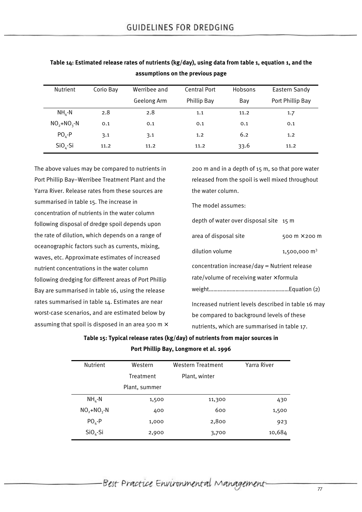| Nutrient      | Corio Bay | Werribee and | <b>Central Port</b> | Hobsons | Eastern Sandy    |
|---------------|-----------|--------------|---------------------|---------|------------------|
|               |           | Geelong Arm  | Phillip Bay         | Bay     | Port Phillip Bay |
| $NH_{A}$ -N   | 2.8       | 2.8          | 1.1                 | 11.2    | 1.7              |
| $NO2+NO3 - N$ | 0.1       | 0.1          | 0.1                 | 0.1     | 0.1              |
| $POA - P$     | 3.1       | 3.1          | 1.2                 | 6.2     | 1.2              |
| $SiO_{A}$ -Si | 11.2      | 11.2         | 11.2                | 33.6    | 11.2             |

**Table 14: Estimated release rates of nutrients (kg/day), using data from table 1, equation 1, and the assumptions on the previous page**

The above values may be compared to nutrients in Port Phillip Bay–Werribee Treatment Plant and the Yarra River. Release rates from these sources are summarised in table 15. The increase in concentration of nutrients in the water column following disposal of dredge spoil depends upon the rate of dilution, which depends on a range of oceanographic factors such as currents, mixing, waves, etc. Approximate estimates of increased nutrient concentrations in the water column following dredging for different areas of Port Phillip Bay are summarised in table 16, using the release rates summarised in table 14. Estimates are near worst-case scenarios, and are estimated below by assuming that spoil is disposed in an area 500 m $\times$ 

200 m and in a depth of 15 m, so that pore water released from the spoil is well mixed throughout the water column.

The model assumes:

| depth of water over disposal site 15 m              |                               |  |  |  |  |  |
|-----------------------------------------------------|-------------------------------|--|--|--|--|--|
| area of disposal site                               | 500 $m \times$ 200 m          |  |  |  |  |  |
| dilution volume                                     | 1,500,000 $\,$ m <sup>3</sup> |  |  |  |  |  |
| concentration increase/day = Nutrient release       |                               |  |  |  |  |  |
| rate/volume of receiving water $\times$ formula     |                               |  |  |  |  |  |
|                                                     |                               |  |  |  |  |  |
| Increased nutrient levels described in table 16 may |                               |  |  |  |  |  |
| be compared to background levels of these           |                               |  |  |  |  |  |

nutrients, which are summarised in table 17.

**Table 15: Typical release rates (kg/day) of nutrients from major sources in Port Phillip Bay, Longmore et al. 1996**

| <b>Nutrient</b> | Western<br>Western Treatment |               | Yarra River |
|-----------------|------------------------------|---------------|-------------|
|                 | Treatment                    | Plant, winter |             |
|                 | Plant, summer                |               |             |
| $NH_{A}$ -N     | 1,500                        | 11,300        | 430         |
| $NO2+NO3-N$     | 400                          | 600           | 1,500       |
| $POA-P$         | 1,000                        | 2,800         | 923         |
| $SiO4-Si$       | 2,900                        | 3,700         | 10,684      |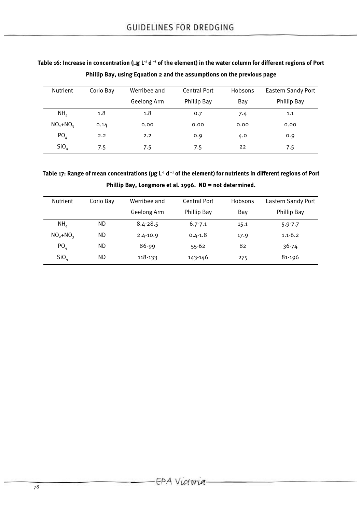|                  | Phillip Bay, using Equation 2 and the assumptions on the previous page |              |              |         |                           |  |
|------------------|------------------------------------------------------------------------|--------------|--------------|---------|---------------------------|--|
| <b>Nutrient</b>  | Corio Bay                                                              | Werribee and | Central Port | Hobsons | <b>Eastern Sandy Port</b> |  |
|                  |                                                                        | Geelong Arm  | Phillip Bay  | Bay     | Phillip Bay               |  |
| NH <sub>a</sub>  | 1.8                                                                    | 1.8          | 0.7          | 7.4     | 1.1                       |  |
| $NO2+NO3$        | 0.14                                                                   | 0.00         | 0.00         | 0.00    | 0.00                      |  |
| PO <sub>4</sub>  | 2.2                                                                    | 2.2          | 0.9          | 4.0     | 0.9                       |  |
| SiO <sub>4</sub> | 7.5                                                                    | 7.5          | 7.5          | 22      | 7.5                       |  |

**Table 16: Increase in concentration (**μ**g L-1 d –1 of the element) in the water column for different regions of Port Phillip Bay, using Equation 2 and the assumptions on the previous page**

**Table 17: Range of mean concentrations (**μ**g L-1 d –1 of the element) for nutrients in different regions of Port Phillip Bay, Longmore et al. 1996. ND = not determined.**

| <b>Nutrient</b>  | Corio Bay | Werribee and | Central Port | Hobsons | <b>Eastern Sandy Port</b> |
|------------------|-----------|--------------|--------------|---------|---------------------------|
|                  |           | Geelong Arm  | Phillip Bay  | Bay     | Phillip Bay               |
| NH <sub>a</sub>  | ND        | $8.4 - 28.5$ | $6.7 - 7.1$  | 15.1    | $5.9 - 7.7$               |
| $NO2+NO3$        | ND        | $2.4 - 10.9$ | $0.4 - 1.8$  | 17.9    | $1.1 - 6.2$               |
| PO <sub>4</sub>  | ND        | 86-99        | $55 - 62$    | 82      | $36 - 74$                 |
| SiO <sub>4</sub> | ND        | 118-133      | 143-146      | 275     | 81-196                    |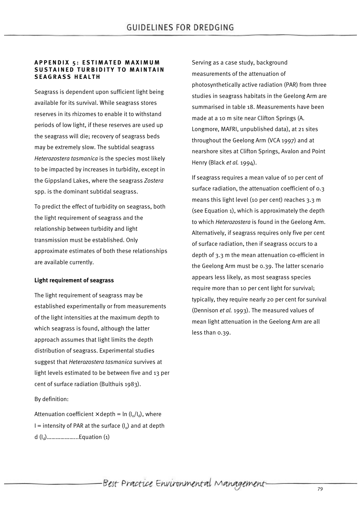#### **APPENDIX 5: ESTIMATED MAXIMUM SUSTAINED TURBIDITY TO MAINTAIN SEAGRASS HEALTH**

Seagrass is dependent upon sufficient light being available for its survival. While seagrass stores reserves in its rhizomes to enable it to withstand periods of low light, if these reserves are used up the seagrass will die; recovery of seagrass beds may be extremely slow. The subtidal seagrass *Heterozostera tasmanica* is the species most likely to be impacted by increases in turbidity, except in the Gippsland Lakes, where the seagrass *Zostera* spp. is the dominant subtidal seagrass.

To predict the effect of turbidity on seagrass, both the light requirement of seagrass and the relationship between turbidity and light transmission must be established. Only approximate estimates of both these relationships are available currently.

#### **Light requirement of seagrass**

The light requirement of seagrass may be established experimentally or from measurements of the light intensities at the maximum depth to which seagrass is found, although the latter approach assumes that light limits the depth distribution of seagrass. Experimental studies suggest that *Heterozostera tasmanica* survives at light levels estimated to be between five and 13 per cent of surface radiation (Bulthuis 1983).

# By definition:

Attenuation coefficient  $\times$  depth = ln (l<sub>o</sub>/l<sub>d</sub>), where  $I =$  intensity of PAR at the surface  $(I_0)$  and at depth d (I<sup>d</sup> )………………...Equation (1)

Serving as a case study, background measurements of the attenuation of photosynthetically active radiation (PAR) from three studies in seagrass habitats in the Geelong Arm are summarised in table 18. Measurements have been made at a 10 m site near Clifton Springs (A. Longmore, MAFRI, unpublished data), at 21 sites throughout the Geelong Arm (VCA 1997) and at nearshore sites at Clifton Springs, Avalon and Point Henry (Black *et al.* 1994).

If seagrass requires a mean value of 10 per cent of surface radiation, the attenuation coefficient of 0.3 means this light level (10 per cent) reaches 3.3 m (see Equation 1), which is approximately the depth to which *Heterozostera* is found in the Geelong Arm. Alternatively, if seagrass requires only five per cent of surface radiation, then if seagrass occurs to a depth of 3.3 m the mean attenuation co-efficient in the Geelong Arm must be 0.39. The latter scenario appears less likely, as most seagrass species require more than 10 per cent light for survival; typically, they require nearly 20 per cent for survival (Dennison *et al.* 1993). The measured values of mean light attenuation in the Geelong Arm are all less than 0.39.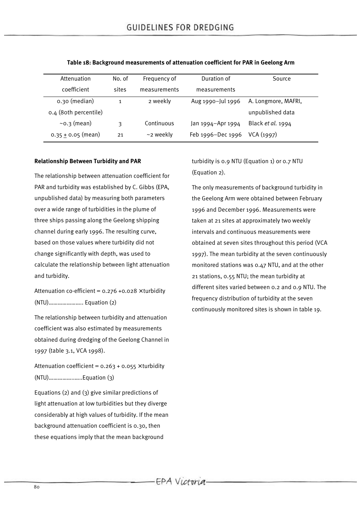| Attenuation            | No. of | Frequency of    | Duration of       | Source              |
|------------------------|--------|-----------------|-------------------|---------------------|
| coefficient            | sites  | measurements    | measurements      |                     |
| 0.30 (median)          |        | 2 weekly        | Aug 1990-Jul 1996 | A. Longmore, MAFRI, |
| 0.4 (80th percentile)  |        |                 |                   | unpublished data    |
| $\sim$ 0.3 (mean)      | 3      | Continuous      | Jan 1994–Apr 1994 | Black et al. 1994   |
| 0.35 $\pm$ 0.05 (mean) | 21     | $\sim$ 2 weekly | Feb 1996-Dec 1996 | VCA(1997)           |

#### **Table 18: Background measurements of attenuation coefficient for PAR in Geelong Arm**

#### **Relationship Between Turbidity and PAR**

The relationship between attenuation coefficient for PAR and turbidity was established by C. Gibbs (EPA, unpublished data) by measuring both parameters over a wide range of turbidities in the plume of three ships passing along the Geelong shipping channel during early 1996. The resulting curve, based on those values where turbidity did not change significantly with depth, was used to calculate the relationship between light attenuation and turbidity.

Attenuation co-efficient =  $0.276 + 0.028 \times$  turbidity (NTU)………………….. Equation (2)

The relationship between turbidity and attenuation coefficient was also estimated by measurements obtained during dredging of the Geelong Channel in 1997 (table 3.1, VCA 1998).

Attenuation coefficient =  $0.263 + 0.055 \times$  turbidity (NTU)……………..…..Equation (3)

Equations (2) and (3) give similar predictions of light attenuation at low turbidities but they diverge considerably at high values of turbidity. If the mean background attenuation coefficient is 0.30, then these equations imply that the mean background

turbidity is 0.9 NTU (Equation 1) or 0.7 NTU (Equation 2).

The only measurements of background turbidity in the Geelong Arm were obtained between February 1996 and December 1996. Measurements were taken at 21 sites at approximately two weekly intervals and continuous measurements were obtained at seven sites throughout this period (VCA 1997). The mean turbidity at the seven continuously monitored stations was 0.47 NTU, and at the other 21 stations, 0.55 NTU; the mean turbidity at different sites varied between 0.2 and 0.9 NTU. The frequency distribution of turbidity at the seven continuously monitored sites is shown in table 19.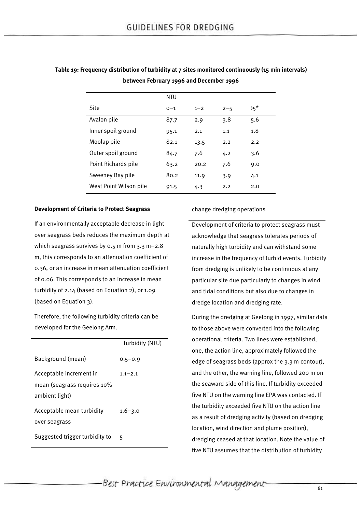|                        | <b>NTU</b> |         |         |       |
|------------------------|------------|---------|---------|-------|
| <b>Site</b>            | $0 - 1$    | $1 - 2$ | $2 - 5$ | $5^*$ |
| Avalon pile            | 87.7       | 2.9     | 3.8     | 5.6   |
| Inner spoil ground     | 95.1       | 2.1     | 1.1     | 1.8   |
| Moolap pile            | 82.1       | 13.5    | 2.2     | 2.2   |
| Outer spoil ground     | 84.7       | 7.6     | 4.2     | 3.6   |
| Point Richards pile    | 63.2       | 20.2    | 7.6     | 9.0   |
| Sweeney Bay pile       | 80.2       | 11.9    | 3.9     | 4.1   |
| West Point Wilson pile | 91.5       | 4.3     | 2.2     | 2.0   |

**Table 19: Frequency distribution of turbidity at 7 sites monitored continuously (15 min intervals) between February 1996 and December 1996**

#### **Development of Criteria to Protect Seagrass**

If an environmentally acceptable decrease in light over seagrass beds reduces the maximum depth at which seagrass survives by 0.5 m from 3.3 m–2.8 m, this corresponds to an attenuation coefficient of 0.36, or an increase in mean attenuation coefficient of 0.06. This corresponds to an increase in mean turbidity of 2.14 (based on Equation 2), or 1.09 (based on Equation 3).

Therefore, the following turbidity criteria can be developed for the Geelong Arm.

|                                | Turbidity (NTU) |
|--------------------------------|-----------------|
| Background (mean)              | $0.5 - 0.9$     |
| Acceptable increment in        | $1.1 - 2.1$     |
| mean (seagrass requires 10%    |                 |
| ambient light)                 |                 |
| Acceptable mean turbidity      | $1.6 - 3.0$     |
| over seagrass                  |                 |
| Suggested trigger turbidity to | 5               |

change dredging operations

Development of criteria to protect seagrass must acknowledge that seagrass tolerates periods of naturally high turbidity and can withstand some increase in the frequency of turbid events. Turbidity from dredging is unlikely to be continuous at any particular site due particularly to changes in wind and tidal conditions but also due to changes in dredge location and dredging rate.

During the dredging at Geelong in 1997, similar data to those above were converted into the following operational criteria. Two lines were established, one, the action line, approximately followed the edge of seagrass beds (approx the 3.3 m contour), and the other, the warning line, followed 200 m on the seaward side of this line. If turbidity exceeded five NTU on the warning line EPA was contacted. If the turbidity exceeded five NTU on the action line as a result of dredging activity (based on dredging location, wind direction and plume position), dredging ceased at that location. Note the value of five NTU assumes that the distribution of turbidity

Best Practice Environmental Management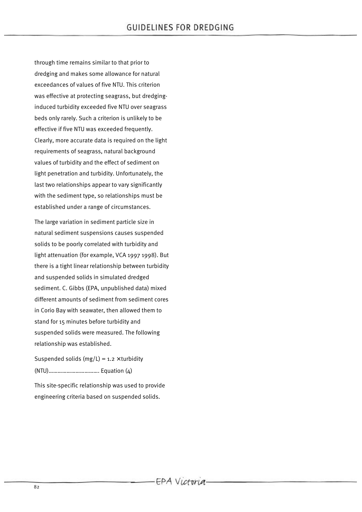through time remains similar to that prior to dredging and makes some allowance for natural exceedances of values of five NTU. This criterion was effective at protecting seagrass, but dredginginduced turbidity exceeded five NTU over seagrass beds only rarely. Such a criterion is unlikely to be effective if five NTU was exceeded frequently. Clearly, more accurate data is required on the light requirements of seagrass, natural background values of turbidity and the effect of sediment on light penetration and turbidity. Unfortunately, the last two relationships appear to vary significantly with the sediment type, so relationships must be established under a range of circumstances.

The large variation in sediment particle size in natural sediment suspensions causes suspended solids to be poorly correlated with turbidity and light attenuation (for example, VCA 1997 1998). But there is a tight linear relationship between turbidity and suspended solids in simulated dredged sediment. C. Gibbs (EPA, unpublished data) mixed different amounts of sediment from sediment cores in Corio Bay with seawater, then allowed them to stand for 15 minutes before turbidity and suspended solids were measured. The following relationship was established.

Suspended solids (mg/L) =  $1.2 \times$  turbidity (NTU)……………………………. Equation (4)

This site-specific relationship was used to provide engineering criteria based on suspended solids.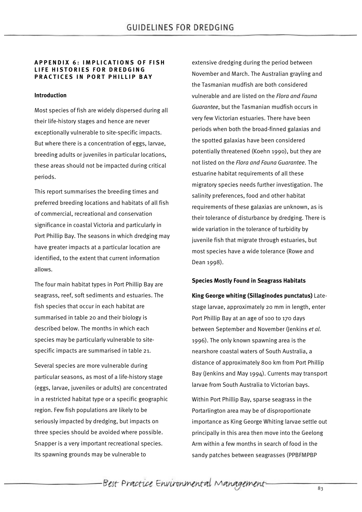#### **APPENDIX 6: IMPLICATIONS OF FISH LIFE HISTORIES FOR DREDGING PRACTICES IN PORT PHILLIP BAY**

#### **Introduction**

Most species of fish are widely dispersed during all their life-history stages and hence are never exceptionally vulnerable to site-specific impacts. But where there is a concentration of eggs, larvae, breeding adults or juveniles in particular locations, these areas should not be impacted during critical periods.

This report summarises the breeding times and preferred breeding locations and habitats of all fish of commercial, recreational and conservation significance in coastal Victoria and particularly in Port Phillip Bay. The seasons in which dredging may have greater impacts at a particular location are identified, to the extent that current information allows.

The four main habitat types in Port Phillip Bay are seagrass, reef, soft sediments and estuaries. The fish species that occur in each habitat are summarised in table 20 and their biology is described below. The months in which each species may be particularly vulnerable to sitespecific impacts are summarised in table 21.

Several species are more vulnerable during particular seasons, as most of a life-history stage (eggs, larvae, juveniles or adults) are concentrated in a restricted habitat type or a specific geographic region. Few fish populations are likely to be seriously impacted by dredging, but impacts on three species should be avoided where possible. Snapper is a very important recreational species. Its spawning grounds may be vulnerable to

extensive dredging during the period between November and March. The Australian grayling and the Tasmanian mudfish are both considered vulnerable and are listed on the *Flora and Fauna Guarantee*, but the Tasmanian mudfish occurs in very few Victorian estuaries. There have been periods when both the broad-finned galaxias and the spotted galaxias have been considered potentially threatened (Koehn 1990), but they are not listed on the *Flora and Fauna Guarantee*. The estuarine habitat requirements of all these migratory species needs further investigation. The salinity preferences, food and other habitat requirements of these galaxias are unknown, as is their tolerance of disturbance by dredging. There is wide variation in the tolerance of turbidity by juvenile fish that migrate through estuaries, but most species have a wide tolerance (Rowe and Dean 1998).

#### **Species Mostly Found in Seagrass Habitats**

**King George whiting (Sillaginodes punctatus)** Latestage larvae, approximately 20 mm in length, enter Port Phillip Bay at an age of 100 to 170 days between September and November (Jenkins *et al.* 1996). The only known spawning area is the nearshore coastal waters of South Australia, a distance of approximately 800 km from Port Phillip Bay (Jenkins and May 1994). Currents may transport larvae from South Australia to Victorian bays.

Within Port Phillip Bay, sparse seagrass in the Portarlington area may be of disproportionate importance as King George Whiting larvae settle out principally in this area then move into the Geelong Arm within a few months in search of food in the sandy patches between seagrasses (PPBFMPBP

Best Practice Environmental Management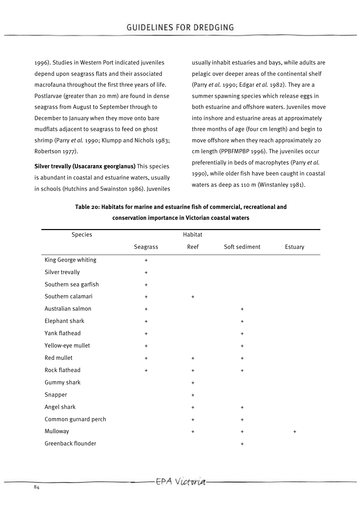1996). Studies in Western Port indicated juveniles depend upon seagrass flats and their associated macrofauna throughout the first three years of life. Postlarvae (greater than 20 mm) are found in dense seagrass from August to September through to December to January when they move onto bare mudflats adjacent to seagrass to feed on ghost shrimp (Parry *et al.* 1990; Klumpp and Nichols 1983; Robertson 1977).

**Silver trevally (Usacaranx georgianus)** This species is abundant in coastal and estuarine waters, usually in schools (Hutchins and Swainston 1986). Juveniles usually inhabit estuaries and bays, while adults are pelagic over deeper areas of the continental shelf (Parry *et al.* 1990; Edgar *et al.* 1982). They are a summer spawning species which release eggs in both estuarine and offshore waters. Juveniles move into inshore and estuarine areas at approximately three months of age (four cm length) and begin to move offshore when they reach approximately 20 cm length (PPBFMPBP 1996). The juveniles occur preferentially in beds of macrophytes (Parry *et al.* 1990), while older fish have been caught in coastal waters as deep as 110 m (Winstanley 1981).

| Table 20: Habitats for marine and estuarine fish of commercial, recreational and |  |
|----------------------------------------------------------------------------------|--|
| conservation importance in Victorian coastal waters                              |  |

| Species              |           | Habitat                          |               |           |
|----------------------|-----------|----------------------------------|---------------|-----------|
|                      | Seagrass  | Reef                             | Soft sediment | Estuary   |
| King George whiting  | $+$       |                                  |               |           |
| Silver trevally      | $\ddot{}$ |                                  |               |           |
| Southern sea garfish | $\ddot{}$ |                                  |               |           |
| Southern calamari    | $+$       | $\ddot{}$                        |               |           |
| Australian salmon    | $\ddot{}$ |                                  | $\ddot{}$     |           |
| Elephant shark       | $\ddot{}$ |                                  | $\ddot{}$     |           |
| Yank flathead        | $\ddot{}$ |                                  | $\ddot{}$     |           |
| Yellow-eye mullet    | $\ddot{}$ |                                  | $\ddot{}$     |           |
| Red mullet           | $\ddot{}$ | $\ddot{}$                        | $\ddot{}$     |           |
| Rock flathead        | $\ddot{}$ | $\begin{array}{c} + \end{array}$ | $\ddot{}$     |           |
| Gummy shark          |           | $\ddot{}$                        |               |           |
| Snapper              |           | $\begin{array}{c} + \end{array}$ |               |           |
| Angel shark          |           | $\ddot{}$                        | $\ddot{}$     |           |
| Common gurnard perch |           | $\ddot{}$                        | $\ddot{}$     |           |
| Mulloway             |           | $\ddot{}$                        | $\ddot{}$     | $\ddot{}$ |
| Greenback flounder   |           |                                  | +             |           |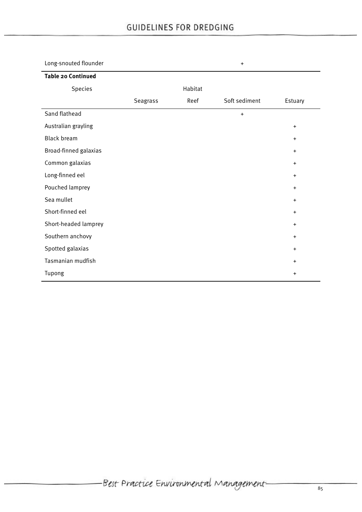| Long-snouted flounder     |          |         | $\ddot{}$     |           |
|---------------------------|----------|---------|---------------|-----------|
| <b>Table 20 Continued</b> |          |         |               |           |
| Species                   |          | Habitat |               |           |
|                           | Seagrass | Reef    | Soft sediment | Estuary   |
| Sand flathead             |          |         | $\ddot{}$     |           |
| Australian grayling       |          |         |               | $\ddot{}$ |
| <b>Black bream</b>        |          |         |               | $\ddot{}$ |
| Broad-finned galaxias     |          |         |               | $\ddot{}$ |
| Common galaxias           |          |         |               | $+$       |
| Long-finned eel           |          |         |               | $\ddot{}$ |
| Pouched lamprey           |          |         |               | $\ddot{}$ |
| Sea mullet                |          |         |               | $+$       |
| Short-finned eel          |          |         |               | $\ddot{}$ |
| Short-headed lamprey      |          |         |               | $\ddot{}$ |
| Southern anchovy          |          |         |               | $\ddot{}$ |
| Spotted galaxias          |          |         |               | $+$       |
| Tasmanian mudfish         |          |         |               | $\ddot{}$ |
| Tupong                    |          |         |               | $\ddot{}$ |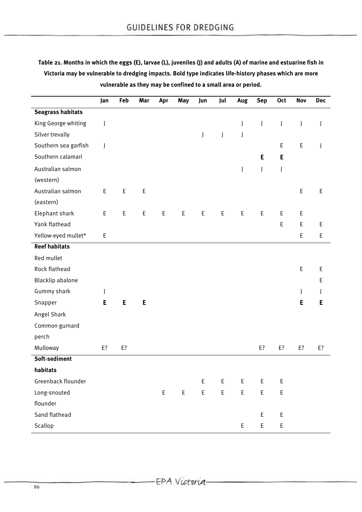**Table 21. Months in which the eggs (E), larvae (L), juveniles (J) and adults (A) of marine and estuarine fish in Victoria may be vulnerable to dredging impacts. Bold type indicates life-history phases which are more vulnerable as they may be confined to a small area or period.**

|                          | Jan         | Feb | Mar | Apr          | May | Jun                                            | Jul                                        | Aug                | <b>Sep</b>  | <b>Oct</b>  | Nov         | <b>Dec</b>  |
|--------------------------|-------------|-----|-----|--------------|-----|------------------------------------------------|--------------------------------------------|--------------------|-------------|-------------|-------------|-------------|
| <b>Seagrass habitats</b> |             |     |     |              |     |                                                |                                            |                    |             |             |             |             |
| King George whiting      | $\int$      |     |     |              |     |                                                |                                            | J                  | J           | J           | J           | J           |
| Silver trevally          |             |     |     |              |     | $\mathsf{I}$                                   | $\mathbf{J}$                               | $\int$             |             |             |             |             |
| Southern sea garfish     | J           |     |     |              |     |                                                |                                            |                    |             | E           | $\mathsf E$ | J           |
| Southern calamari        |             |     |     |              |     |                                                |                                            |                    | E           | E           |             |             |
| Australian salmon        |             |     |     |              |     |                                                |                                            | J                  | J           | J           |             |             |
| (western)                |             |     |     |              |     |                                                |                                            |                    |             |             |             |             |
| Australian salmon        | E           | E   | E   |              |     |                                                |                                            |                    |             |             | $\mathsf E$ | E           |
| (eastern)                |             |     |     |              |     |                                                |                                            |                    |             |             |             |             |
| Elephant shark           | $\mathsf E$ | E   | E   | E            | E   | $\mathsf E$                                    | E                                          | E                  | E           | Е           | $\sf E$     |             |
| Yank flathead            |             |     |     |              |     |                                                |                                            |                    |             | $\mathsf E$ | $\mathsf E$ | $\mathsf E$ |
| Yellow-eyed mullet*      | E           |     |     |              |     |                                                |                                            |                    |             |             | E           | $\mathsf E$ |
| <b>Reef habitats</b>     |             |     |     |              |     |                                                |                                            |                    |             |             |             |             |
| Red mullet               |             |     |     |              |     |                                                |                                            |                    |             |             |             |             |
| Rock flathead            |             |     |     |              |     |                                                |                                            |                    |             |             | $\mathsf E$ | $\mathsf E$ |
| Blacklip abalone         |             |     |     |              |     |                                                |                                            |                    |             |             |             | Ε           |
| Gummy shark              | J           |     |     |              |     |                                                |                                            |                    |             |             | J           | J           |
| Snapper                  | E           | E   | E   |              |     |                                                |                                            |                    |             |             | E           | E           |
| Angel Shark              |             |     |     |              |     |                                                |                                            |                    |             |             |             |             |
| Common gurnard           |             |     |     |              |     |                                                |                                            |                    |             |             |             |             |
| perch                    |             |     |     |              |     |                                                |                                            |                    |             |             |             |             |
| Mulloway                 | E?          | E?  |     |              |     |                                                |                                            |                    | E?          | E?          | E?          | E?          |
| Soft-sediment            |             |     |     |              |     |                                                |                                            |                    |             |             |             |             |
| habitats                 |             |     |     |              |     |                                                |                                            |                    |             |             |             |             |
| Greenback flounder       |             |     |     |              |     | $\mathsf{E}% _{0}\left( \mathsf{E}_{0}\right)$ | $\mathsf{E}% _{0}\left( \mathsf{E}\right)$ | $\mathsf E$        | $\mathsf E$ | $\mathsf E$ |             |             |
| Long-snouted             |             |     |     | $\mathsf{E}$ | E   | E                                              | E                                          | $\mathsf{E}% _{0}$ | E           | $\mathsf E$ |             |             |
| flounder                 |             |     |     |              |     |                                                |                                            |                    |             |             |             |             |
| Sand flathead            |             |     |     |              |     |                                                |                                            |                    | $\mathsf E$ | $\mathsf E$ |             |             |
| Scallop                  |             |     |     |              |     |                                                |                                            | $\mathsf E$        | E           | $\mathsf E$ |             |             |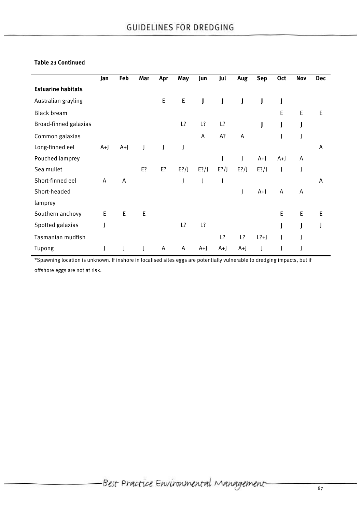# **Table 21 Continued**

|                           | Jan  | Feb         | Mar | Apr          | May         | Jun          | Jul          | Aug     | <b>Sep</b>           | Oct         | Nov         | <b>Dec</b>  |
|---------------------------|------|-------------|-----|--------------|-------------|--------------|--------------|---------|----------------------|-------------|-------------|-------------|
| <b>Estuarine habitats</b> |      |             |     |              |             |              |              |         |                      |             |             |             |
| Australian grayling       |      |             |     | $\mathsf E$  | $\mathsf E$ | $\mathsf{J}$ | $\mathbf{J}$ |         |                      | J           |             |             |
| <b>Black bream</b>        |      |             |     |              |             |              |              |         |                      | E           | E           | E           |
| Broad-finned galaxias     |      |             |     |              | L?          | L?           | L?           |         | J                    | J           |             |             |
| Common galaxias           |      |             |     |              |             | Α            | A?           | A       |                      |             |             |             |
| Long-finned eel           | $A+$ | $A+$        |     | $\mathsf{I}$ | J           |              |              |         |                      |             |             | A           |
| Pouched lamprey           |      |             |     |              |             |              | J            | J       | $A+$                 | $A+$        | A           |             |
| Sea mullet                |      |             | E?  | E?           | $E$ ?/J     | $E$ ?/J      | $E$ ?/J      | $E$ ?/J | $E$ ?/J              | J           |             |             |
| Short-finned eel          | Α    | Α           |     |              | J           | J            |              |         |                      |             |             | A           |
| Short-headed              |      |             |     |              |             |              |              | J       | $A+$                 | A           | A           |             |
| lamprey                   |      |             |     |              |             |              |              |         |                      |             |             |             |
| Southern anchovy          | E    | $\mathsf E$ | E   |              |             |              |              |         |                      | $\mathsf E$ | $\mathsf E$ | $\mathsf E$ |
| Spotted galaxias          |      |             |     |              | L?          | L?           |              |         |                      |             |             |             |
| Tasmanian mudfish         |      |             |     |              |             |              | L?           | L?      | $\lfloor ?+ \rfloor$ | J           |             |             |
| Tupong                    |      |             |     | A            | A           | $A+$         | $A+$         | $A+$    |                      |             |             |             |

\*Spawning location is unknown. If inshore in localised sites eggs are potentially vulnerable to dredging impacts, but if offshore eggs are not at risk.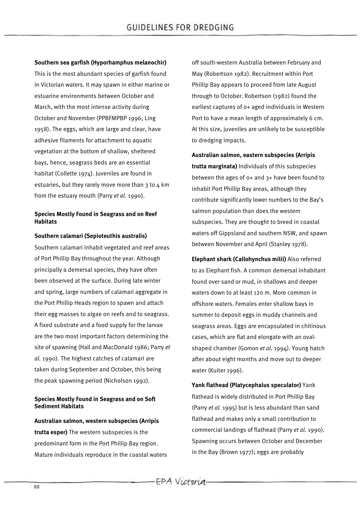**Southern sea garfish (Hyporhamphus melanochir)**

This is the most abundant species of garfish found in Victorian waters. It may spawn in either marine or estuarine environments between October and March, with the most intense activity during October and November (PPBFMPBP 1996; Ling 1958). The eggs, which are large and clear, have adhesive filaments for attachment to aquatic vegetation at the bottom of shallow, sheltered bays, hence, seagrass beds are an essential habitat (Collette 1974). Juveniles are found in estuaries, but they rarely move more than  $3$  to  $4$  km from the estuary mouth (Parry *et al.* 1990).

## **Species Mostly Found in Seagrass and on Reef Habitats**

#### **Southern calamari (Sepioteuthis australis)**

Southern calamari inhabit vegetated and reef areas of Port Phillip Bay throughout the year. Although principally a demersal species, they have often been observed at the surface. During late winter and spring, large numbers of calamari aggregate in the Port Phillip Heads region to spawn and attach their egg masses to algae on reefs and to seagrass. A fixed substrate and a food supply for the larvae are the two most important factors determining the site of spawning (Hall and MacDonald 1986; Parry *et al.* 1990). The highest catches of calamari are taken during September and October, this being the peak spawning period (Nicholson 1992).

#### **Species Mostly Found in Seagrass and on Soft Sediment Habitats**

**Australian salmon, western subspecies (Arripis trutta esper)** The western subspecies is the predominant form in the Port Phillip Bay region. Mature individuals reproduce in the coastal waters off south-western Australia between February and May (Robertson 1982). Recruitment within Port Phillip Bay appears to proceed from late August through to October. Robertson (1982) found the earliest captures of 0+ aged individuals in Western Port to have a mean length of approximately 6 cm. At this size, juveniles are unlikely to be susceptible to dredging impacts.

**Australian salmon, eastern subspecies (Arripis trutta marginata)** Individuals of this subspecies between the ages of 0+ and 3+ have been found to inhabit Port Phillip Bay areas, although they contribute significantly lower numbers to the Bay's salmon population than does the western subspecies. They are thought to breed in coastal waters off Gippsland and southern NSW, and spawn between November and April (Stanley 1978).

**Elephant shark (Callohynchus milii)** Also referred to as Elephant fish. A common demersal inhabitant found over sand or mud, in shallows and deeper waters down to at least 120 m. More common in offshore waters. Females enter shallow bays in summer to deposit eggs in muddy channels and seagrass areas. Eggs are encapsulated in chitinous cases, which are flat and elongate with an ovalshaped chamber (Gomon *et al.* 1994). Young hatch after about eight months and move out to deeper water (Kuiter 1996).

**Yank flathead (Platycephalus speculator)** Yank flathead is widely distributed in Port Phillip Bay (Parry *et al.* 1995) but is less abundant than sand flathead and makes only a small contribution to commercial landings of flathead (Parry *et al.* 1990). Spawning occurs between October and December in the Bay (Brown 1977); eggs are probably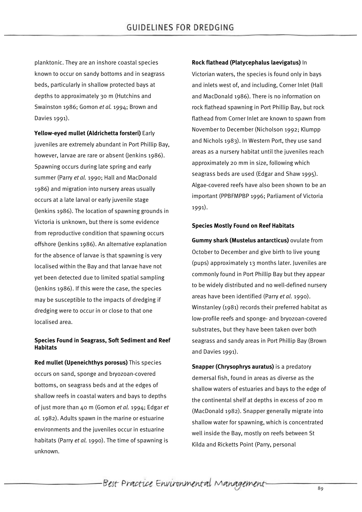planktonic. They are an inshore coastal species known to occur on sandy bottoms and in seagrass beds, particularly in shallow protected bays at depths to approximately 30 m (Hutchins and Swainston 1986; Gomon *et al.* 1994; Brown and Davies 1991).

**Yellow-eyed mullet (Aldrichetta forsteri)** Early juveniles are extremely abundant in Port Phillip Bay, however, larvae are rare or absent (Jenkins 1986). Spawning occurs during late spring and early summer (Parry *et al.* 1990; Hall and MacDonald 1986) and migration into nursery areas usually occurs at a late larval or early juvenile stage (Jenkins 1986). The location of spawning grounds in Victoria is unknown, but there is some evidence from reproductive condition that spawning occurs offshore (Jenkins 1986). An alternative explanation for the absence of larvae is that spawning is very localised within the Bay and that larvae have not yet been detected due to limited spatial sampling (Jenkins 1986). If this were the case, the species may be susceptible to the impacts of dredging if dredging were to occur in or close to that one localised area.

# **Species Found in Seagrass, Soft Sediment and Reef Habitats**

**Red mullet (Upeneichthys porosus)** This species occurs on sand, sponge and bryozoan-covered bottoms, on seagrass beds and at the edges of shallow reefs in coastal waters and bays to depths of just more than 40 m (Gomon *et al.* 1994; Edgar *et al.* 1982). Adults spawn in the marine or estuarine environments and the juveniles occur in estuarine habitats (Parry *et al.* 1990). The time of spawning is unknown.

#### **Rock flathead (Platycephalus laevigatus)** In

Victorian waters, the species is found only in bays and inlets west of, and including, Corner Inlet (Hall and MacDonald 1986). There is no information on rock flathead spawning in Port Phillip Bay, but rock flathead from Corner Inlet are known to spawn from November to December (Nicholson 1992; Klumpp and Nichols 1983). In Western Port, they use sand areas as a nursery habitat until the juveniles reach approximately 20 mm in size, following which seagrass beds are used (Edgar and Shaw 1995). Algae-covered reefs have also been shown to be an important (PPBFMPBP 1996; Parliament of Victoria 1991).

#### **Species Mostly Found on Reef Habitats**

**Gummy shark (Mustelus antarcticus)** ovulate from October to December and give birth to live young (pups) approximately 13 months later. Juveniles are commonly found in Port Phillip Bay but they appear to be widely distributed and no well-defined nursery areas have been identified (Parry *et al.* 1990). Winstanley (1981) records their preferred habitat as low-profile reefs and sponge- and bryozoan-covered substrates, but they have been taken over both seagrass and sandy areas in Port Phillip Bay (Brown and Davies 1991).

**Snapper (Chrysophrys auratus)** is a predatory demersal fish, found in areas as diverse as the shallow waters of estuaries and bays to the edge of the continental shelf at depths in excess of 200 m (MacDonald 1982). Snapper generally migrate into shallow water for spawning, which is concentrated well inside the Bay, mostly on reefs between St Kilda and Ricketts Point (Parry, personal

-Best Practice Environmental Management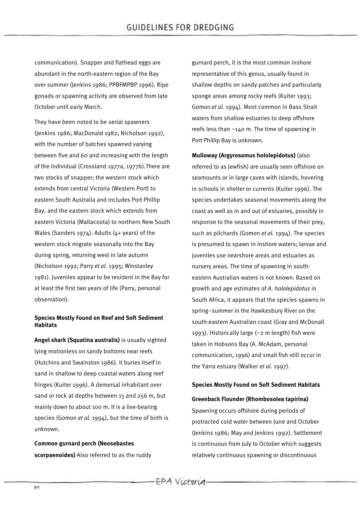communication). Snapper and flathead eggs are abundant in the north-eastern region of the Bay over summer (Jenkins 1986; PPBFMPBP 1996). Ripe gonads or spawning activity are observed from late October until early March.

They have been noted to be serial spawners (Jenkins 1986; MacDonald 1982; Nicholson 1992), with the number of batches spawned varying between five and 60 and increasing with the length of the individual (Crossland 1977a, 1977b).There are two stocks of snapper; the western stock which extends from central Victoria (Western Port) to eastern South Australia and includes Port Phillip Bay, and the eastern stock which extends from eastern Victoria (Mallacoota) to northern New South Wales (Sanders 1974). Adults (4+ years) of the western stock migrate seasonally into the Bay during spring, returning west in late autumn (Nicholson 1992; Parry *et al.* 1995; Winstanley 1981). Juveniles appear to be resident in the Bay for at least the first two years of life (Parry, personal observation).

## **Species Mostly Found on Reef and Soft Sediment Habitats**

**Angel shark (Squatina australis)** is usually sighted lying motionless on sandy bottoms near reefs (Hutchins and Swainston 1986). It buries itself in sand in shallow to deep coastal waters along reef fringes (Kuiter 1996). A demersal inhabitant over sand or rock at depths between 15 and 256 m, but mainly down to about 100 m. It is a live-bearing species (Gomon *et al.* 1994), but the time of birth is unknown.

**Common gurnard perch (Neosebastes scorpaenoides)** Also referred to as the ruddy gurnard perch, it is the most common inshore representative of this genus, usually found in shallow depths on sandy patches and particularly sponge areas among rocky reefs (Kuiter 1993; Gomon *et al.* 1994). Most common in Bass Strait waters from shallow estuaries to deep offshore reefs less than ~140 m. The time of spawning in Port Phillip Bay is unknown.

**Mulloway (Argyrosomus hololepidotus)** (also referred to as Jewfish) are usually seen offshore on seamounts or in large caves with islands, hovering in schools in shelter or currents (Kuiter 1996). The species undertakes seasonal movements along the coast as well as in and out of estuaries, possibly in response to the seasonal movements of their prey, such as pilchards (Gomon *et al.* 1994). The species is presumed to spawn in inshore waters; larvae and juveniles use nearshore areas and estuaries as nursery areas. The time of spawning in southeastern Australian waters is not known. Based on growth and age estimates of *A*. *hololepidotus* in South Africa, it appears that the species spawns in spring–summer in the Hawkesbury River on the south-eastern Australian coast (Gray and McDonall 1993). Historically large (~2 m length) fish were taken in Hobsons Bay (A. McAdam, personal communication, 1996) and small fish still occur in the Yarra estuary (Walker *et al.* 1997).

# **Species Mostly Found on Soft Sediment Habitats**

#### **Greenback Flounder (Rhombosolea tapirina)**

Spawning occurs offshore during periods of protracted cold water between June and October (Jenkins 1986; May and Jenkins 1992). Settlement is continuous from July to October which suggests relatively continuous spawning or discontinuous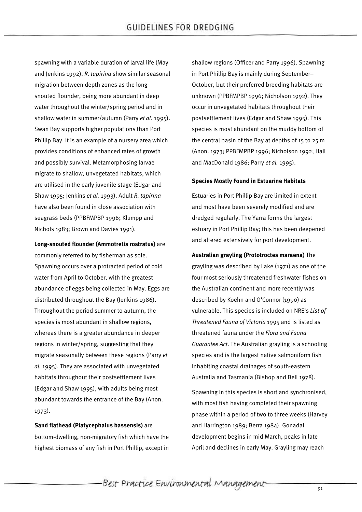spawning with a variable duration of larval life (May and Jenkins 1992). *R. tapirina* show similar seasonal migration between depth zones as the longsnouted flounder, being more abundant in deep water throughout the winter/spring period and in shallow water in summer/autumn (Parry *et al.* 1995). Swan Bay supports higher populations than Port Phillip Bay. It is an example of a nursery area which provides conditions of enhanced rates of growth and possibly survival. Metamorphosing larvae migrate to shallow, unvegetated habitats, which are utilised in the early juvenile stage (Edgar and Shaw 1995; Jenkins *et al.* 1993). Adult *R*. *tapirina* have also been found in close association with seagrass beds (PPBFMPBP 1996; Klumpp and Nichols 1983; Brown and Davies 1991).

#### **Long-snouted flounder (Ammotretis rostratus)** are

commonly referred to by fisherman as sole. Spawning occurs over a protracted period of cold water from April to October, with the greatest abundance of eggs being collected in May. Eggs are distributed throughout the Bay (Jenkins 1986). Throughout the period summer to autumn, the species is most abundant in shallow regions, whereas there is a greater abundance in deeper regions in winter/spring, suggesting that they migrate seasonally between these regions (Parry *et al.* 1995). They are associated with unvegetated habitats throughout their postsettlement lives (Edgar and Shaw 1995), with adults being most abundant towards the entrance of the Bay (Anon. 1973).

**Sand flathead (Platycephalus bassensis)** are bottom-dwelling, non-migratory fish which have the highest biomass of any fish in Port Phillip, except in shallow regions (Officer and Parry 1996). Spawning in Port Phillip Bay is mainly during September– October, but their preferred breeding habitats are unknown (PPBFMPBP 1996; Nicholson 1992). They occur in unvegetated habitats throughout their postsettlement lives (Edgar and Shaw 1995). This species is most abundant on the muddy bottom of the central basin of the Bay at depths of 15 to 25 m (Anon. 1973; PPBFMPBP 1996; Nicholson 1992; Hall and MacDonald 1986; Parry *et al.* 1995).

#### **Species Mostly Found in Estuarine Habitats**

Estuaries in Port Phillip Bay are limited in extent and most have been severely modified and are dredged regularly. The Yarra forms the largest estuary in Port Phillip Bay; this has been deepened and altered extensively for port development.

**Australian grayling (Prototroctes maraena)** The grayling was described by Lake (1971) as one of the four most seriously threatened freshwater fishes on the Australian continent and more recently was described by Koehn and O'Connor (1990) as vulnerable. This species is included on NRE's *List of Threatened Fauna of Victoria* 1995 and is listed as threatened fauna under the *Flora and Fauna Guarantee Act*. The Australian grayling is a schooling species and is the largest native salmoniform fish inhabiting coastal drainages of south-eastern Australia and Tasmania (Bishop and Bell 1978).

Spawning in this species is short and synchronised, with most fish having completed their spawning phase within a period of two to three weeks (Harvey and Harrington 1989; Berra 1984). Gonadal development begins in mid March, peaks in late April and declines in early May. Grayling may reach

Best Practice Environmental Management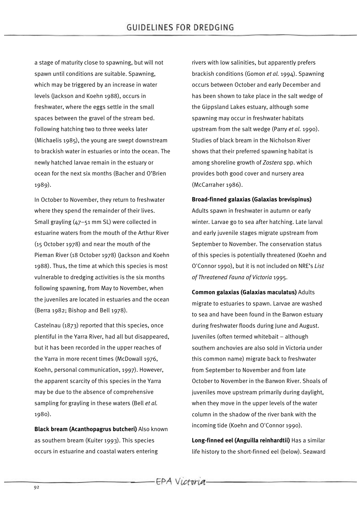a stage of maturity close to spawning, but will not spawn until conditions are suitable. Spawning, which may be triggered by an increase in water levels (Jackson and Koehn 1988), occurs in freshwater, where the eggs settle in the small spaces between the gravel of the stream bed. Following hatching two to three weeks later (Michaelis 1985), the young are swept downstream to brackish water in estuaries or into the ocean. The newly hatched larvae remain in the estuary or ocean for the next six months (Bacher and O'Brien 1989).

In October to November, they return to freshwater where they spend the remainder of their lives. Small grayling (47–51 mm SL) were collected in estuarine waters from the mouth of the Arthur River (15 October 1978) and near the mouth of the Pieman River (18 October 1978) (Jackson and Koehn 1988). Thus, the time at which this species is most vulnerable to dredging activities is the six months following spawning, from May to November, when the juveniles are located in estuaries and the ocean (Berra 1982; Bishop and Bell 1978).

Castelnau (1873) reported that this species, once plentiful in the Yarra River, had all but disappeared, but it has been recorded in the upper reaches of the Yarra in more recent times (McDowall 1976, Koehn, personal communication, 1997). However, the apparent scarcity of this species in the Yarra may be due to the absence of comprehensive sampling for grayling in these waters (Bell *et al.* 1980).

**Black bream (Acanthopagrus butcheri)** Also known as southern bream (Kuiter 1993). This species occurs in estuarine and coastal waters entering

rivers with low salinities, but apparently prefers brackish conditions (Gomon *et al.* 1994). Spawning occurs between October and early December and has been shown to take place in the salt wedge of the Gippsland Lakes estuary, although some spawning may occur in freshwater habitats upstream from the salt wedge (Parry *et al.* 1990). Studies of black bream in the Nicholson River shows that their preferred spawning habitat is among shoreline growth of *Zostera* spp. which provides both good cover and nursery area (McCarraher 1986).

#### **Broad-finned galaxias (Galaxias brevispinus)**

Adults spawn in freshwater in autumn or early winter. Larvae go to sea after hatching. Late larval and early juvenile stages migrate upstream from September to November. The conservation status of this species is potentially threatened (Koehn and O'Connor 1990), but it is not included on NRE's *List of Threatened Fauna of Victoria* 1995.

**Common galaxias (Galaxias maculatus)** Adults migrate to estuaries to spawn. Larvae are washed to sea and have been found in the Barwon estuary during freshwater floods during June and August. Juveniles (often termed whitebait – although southern anchovies are also sold in Victoria under this common name) migrate back to freshwater from September to November and from late October to November in the Barwon River. Shoals of juveniles move upstream primarily during daylight, when they move in the upper levels of the water column in the shadow of the river bank with the incoming tide (Koehn and O'Connor 1990).

**Long-finned eel (Anguilla reinhardtii)** Has a similar life history to the short-finned eel (below). Seaward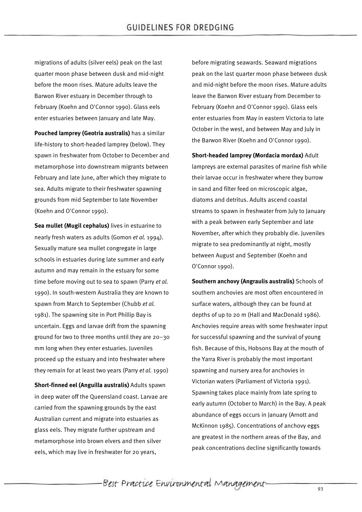migrations of adults (silver eels) peak on the last quarter moon phase between dusk and mid-night before the moon rises. Mature adults leave the Barwon River estuary in December through to February (Koehn and O'Connor 1990). Glass eels enter estuaries between January and late May.

**Pouched lamprey (Geotria australis)** has a similar life-history to short-headed lamprey (below). They spawn in freshwater from October to December and metamorphose into downstream migrants between February and late June, after which they migrate to sea. Adults migrate to their freshwater spawning grounds from mid September to late November (Koehn and O'Connor 1990).

**Sea mullet (Mugil cephalus)** lives in estuarine to nearly fresh waters as adults (Gomon *et al.* 1994). Sexually mature sea mullet congregate in large schools in estuaries during late summer and early autumn and may remain in the estuary for some time before moving out to sea to spawn (Parry *et al.* 1990). In south-western Australia they are known to spawn from March to September (Chubb *et al.* 1981). The spawning site in Port Phillip Bay is uncertain. Eggs and larvae drift from the spawning ground for two to three months until they are 20–30 mm long when they enter estuaries. Juveniles proceed up the estuary and into freshwater where they remain for at least two years (Parry *et al.* 1990)

**Short-finned eel (Anguilla australis)** Adults spawn in deep water off the Queensland coast. Larvae are carried from the spawning grounds by the east Australian current and migrate into estuaries as glass eels. They migrate further upstream and metamorphose into brown elvers and then silver eels, which may live in freshwater for 20 years,

before migrating seawards. Seaward migrations peak on the last quarter moon phase between dusk and mid-night before the moon rises. Mature adults leave the Barwon River estuary from December to February (Koehn and O'Connor 1990). Glass eels enter estuaries from May in eastern Victoria to late October in the west, and between May and July in the Barwon River (Koehn and O'Connor 1990).

**Short-headed lamprey (Mordacia mordax)** Adult lampreys are external parasites of marine fish while their larvae occur in freshwater where they burrow in sand and filter feed on microscopic algae, diatoms and detritus. Adults ascend coastal streams to spawn in freshwater from July to January with a peak between early September and late November, after which they probably die. Juveniles migrate to sea predominantly at night, mostly between August and September (Koehn and O'Connor 1990).

**Southern anchovy (Angraulis australis)** Schools of southern anchovies are most often encountered in surface waters, although they can be found at depths of up to 20 m (Hall and MacDonald 1986). Anchovies require areas with some freshwater input for successful spawning and the survival of young fish. Because of this, Hobsons Bay at the mouth of the Yarra River is probably the most important spawning and nursery area for anchovies in Victorian waters (Parliament of Victoria 1991). Spawning takes place mainly from late spring to early autumn (October to March) in the Bay. A peak abundance of eggs occurs in January (Arnott and McKinnon 1985). Concentrations of anchovy eggs are greatest in the northern areas of the Bay, and peak concentrations decline significantly towards

-Best Practice Environmental Management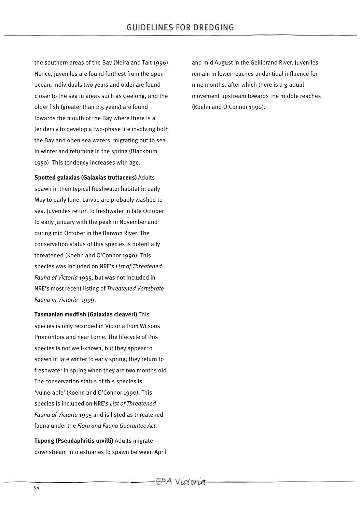the southern areas of the Bay (Neira and Tait 1996). Hence, juveniles are found furthest from the open ocean, individuals two years and older are found closer to the sea in areas such as Geelong, and the older fish (greater than 2.5 years) are found towards the mouth of the Bay where there is a tendency to develop a two-phase life involving both the Bay and open sea waters, migrating out to sea in winter and returning in the spring (Blackburn 1950). This tendency increases with age.

**Spotted galaxias (Galaxias truttaceus)** Adults spawn in their typical freshwater habitat in early May to early June. Larvae are probably washed to sea. Juveniles return to freshwater in late October to early January with the peak in November and during mid October in the Barwon River. The conservation status of this species is potentially threatened (Koehn and O'Connor 1990). This species was included on NRE's *List of Threatened Fauna of Victoria* 1995, but was not included in NRE's most recent listing of *Threatened Vertebrate Fauna in Victoria–1999*.

**Tasmanian mudfish (Galaxias cleaveri)** This species is only recorded in Victoria from Wilsons Promontory and near Lorne. The lifecycle of this species is not well-known, but they appear to spawn in late winter to early spring; they return to freshwater in spring when they are two months old. The conservation status of this species is 'vulnerable' (Koehn and O'Connor 1990). This species is included on NRE's *List of Threatened Fauna of Victoria* 1995 and is listed as threatened fauna under the *Flora and Fauna Guarantee Act*.

**Tupong (Pseudaphritis urvilli)** Adults migrate downstream into estuaries to spawn between April and mid August in the Gellibrand River. Juveniles remain in lower reaches under tidal influence for nine months, after which there is a gradual movement upstream towards the middle reaches (Koehn and O'Connor 1990).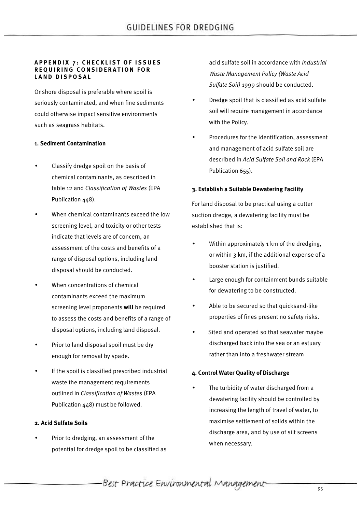#### **APPENDIX 7: CHECKLIST OF ISSUES REQUIRING CONSIDERATION FOR LAND DISPOSAL**

Onshore disposal is preferable where spoil is seriously contaminated, and when fine sediments could otherwise impact sensitive environments such as seagrass habitats.

## **1. Sediment Contamination**

- Classify dredge spoil on the basis of chemical contaminants, as described in table 12 and *Classification of Wastes* (EPA Publication 448).
- When chemical contaminants exceed the low screening level, and toxicity or other tests indicate that levels are of concern, an assessment of the costs and benefits of a range of disposal options, including land disposal should be conducted.
- When concentrations of chemical contaminants exceed the maximum screening level proponents **will** be required to assess the costs and benefits of a range of disposal options, including land disposal.
- Prior to land disposal spoil must be dry enough for removal by spade.
- If the spoil is classified prescribed industrial waste the management requirements outlined in *Classification of Wastes* (EPA Publication 448) must be followed.

#### **2. Acid Sulfate Soils**

• Prior to dredging, an assessment of the potential for dredge spoil to be classified as acid sulfate soil in accordance with *Industrial Waste Management Policy (Waste Acid Sulfate Soil)* 1999 should be conducted.

- Dredge spoil that is classified as acid sulfate soil will require management in accordance with the Policy.
- Procedures for the identification, assessment and management of acid sulfate soil are described in *Acid Sulfate Soil and Rock* (EPA Publication 655).

## **3. Establish a Suitable Dewatering Facility**

For land disposal to be practical using a cutter suction dredge, a dewatering facility must be established that is:

- Within approximately 1 km of the dredging, or within 3 km, if the additional expense of a booster station is justified.
- Large enough for containment bunds suitable for dewatering to be constructed.
- Able to be secured so that quicksand-like properties of fines present no safety risks.
- Sited and operated so that seawater maybe discharged back into the sea or an estuary rather than into a freshwater stream

#### **4. Control Water Quality of Discharge**

The turbidity of water discharged from a dewatering facility should be controlled by increasing the length of travel of water, to maximise settlement of solids within the discharge area, and by use of silt screens when necessary.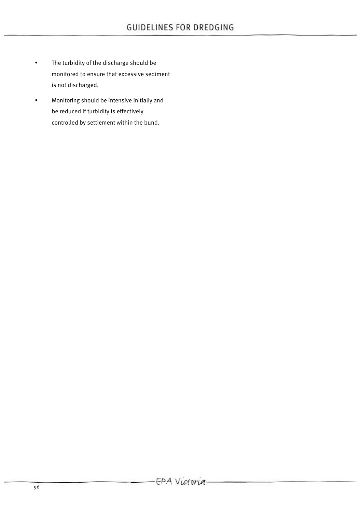- The turbidity of the discharge should be monitored to ensure that excessive sediment is not discharged.
- Monitoring should be intensive initially and be reduced if turbidity is effectively controlled by settlement within the bund.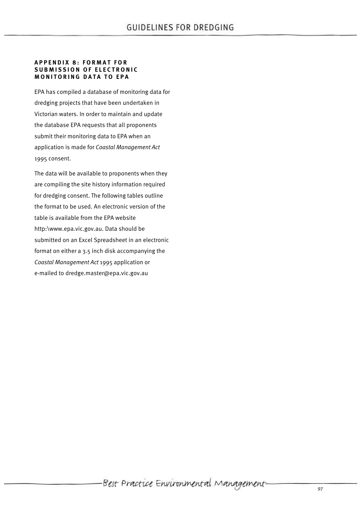#### **APPENDIX 8: FORMAT FOR SUBMISSION OF ELECTRONIC MONITORING DATA TO EPA**

EPA has compiled a database of monitoring data for dredging projects that have been undertaken in Victorian waters. In order to maintain and update the database EPA requests that all proponents submit their monitoring data to EPA when an application is made for *Coastal Management Act* 1995 consent.

The data will be available to proponents when they are compiling the site history information required for dredging consent. The following tables outline the format to be used. An electronic version of the table is available from the EPA website http:\www.epa.vic.gov.au. Data should be submitted on an Excel Spreadsheet in an electronic format on either a 3.5 inch disk accompanying the *Coastal Management Act* 1995 application or e-mailed to dredge.master@epa.vic.gov.au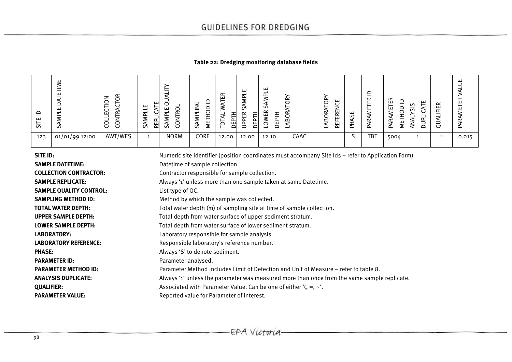# **Table 22: Dredging monitoring database fields**

| ய<br>$\omega$ | ш<br>≂<br>ш<br>⋖<br>○<br>ш<br>Σ<br>$\triangleleft$<br>n | ≃<br>z<br>∽<br>ب<br>≃<br>ш<br>0<br>$\circ$<br>$\cup$<br>ٮ | ш<br>n I<br>띥<br>- UÑ | $\circ$<br>щ<br>Y<br>n | ↺<br>z<br>$\subseteq$<br>Σ<br>ш<br>n | $\propto$<br>ш<br>– | щ<br>≏<br>ഗ<br>$\propto$<br>ᅩ<br>뜻<br>௨<br>ш. | ட<br>S<br>$\sim$<br>щ<br><b>.</b><br>—<br>ð<br>ш<br>≏ | ⋩<br>ٮ<br>–<br>≃<br>⌒<br>$\check{ }$<br>$\infty$ | ĭΥ<br>ш<br>$\circ$<br>ں<br>⇁<br>ے<br>EREI<br>õ<br>Æ,<br>╙<br>꾾 | 55<br>⋖<br>-- | ≘<br>$\propto$<br>ш<br>⊢<br>ய<br>Σ<br>PARA | $\propto$<br>ш<br>ய<br>⋝<br>ఆ | ш<br>S<br>–<br>U | $\propto$<br>ш<br>-<br>╙<br>$\sigma$ | ш<br>$\propto$<br>ш<br>ш<br>≃ |
|---------------|---------------------------------------------------------|-----------------------------------------------------------|-----------------------|------------------------|--------------------------------------|---------------------|-----------------------------------------------|-------------------------------------------------------|--------------------------------------------------|----------------------------------------------------------------|---------------|--------------------------------------------|-------------------------------|------------------|--------------------------------------|-------------------------------|
| 123           | 01/01/99 12:00                                          | AWT/WES                                                   |                       | <b>NORM</b>            | CORE                                 | 12.00               | 12.00                                         | 12.10                                                 | CAAC                                             |                                                                | د             | <b>TBT</b>                                 | 5004                          |                  | $=$                                  | 0.015                         |

| SITE ID:                       | Numeric site identifier (position coordinates must accompany Site Ids - refer to Application Form) |
|--------------------------------|----------------------------------------------------------------------------------------------------|
| <b>SAMPLE DATETIME:</b>        | Datetime of sample collection.                                                                     |
| <b>COLLECTION CONTRACTOR:</b>  | Contractor responsible for sample collection.                                                      |
| <b>SAMPLE REPLICATE:</b>       | Always '1' unless more than one sample taken at same Datetime.                                     |
| <b>SAMPLE QUALITY CONTROL:</b> | List type of QC.                                                                                   |
| <b>SAMPLING METHOD ID:</b>     | Method by which the sample was collected.                                                          |
| <b>TOTAL WATER DEPTH:</b>      | Total water depth (m) of sampling site at time of sample collection.                               |
| <b>UPPER SAMPLE DEPTH:</b>     | Total depth from water surface of upper sediment stratum.                                          |
| <b>LOWER SAMPLE DEPTH:</b>     | Total depth from water surface of lower sediment stratum.                                          |
| LABORATORY:                    | Laboratory responsible for sample analysis.                                                        |
| <b>LABORATORY REFERENCE:</b>   | Responsible laboratory's reference number.                                                         |
| <b>PHASE:</b>                  | Always 'S' to denote sediment.                                                                     |
| <b>PARAMETER ID:</b>           | Parameter analysed.                                                                                |
| <b>PARAMETER METHOD ID:</b>    | Parameter Method includes Limit of Detection and Unit of Measure – refer to table 8.               |
| <b>ANALYSIS DUPLICATE:</b>     | Always '1' unless the parameter was measured more than once from the same sample replicate.        |
| <b>QUALIFIER:</b>              | Associated with Parameter Value. Can be one of either $\lambda$ , =, $\lambda$ .                   |
| <b>PARAMETER VALUE:</b>        | Reported value for Parameter of interest.                                                          |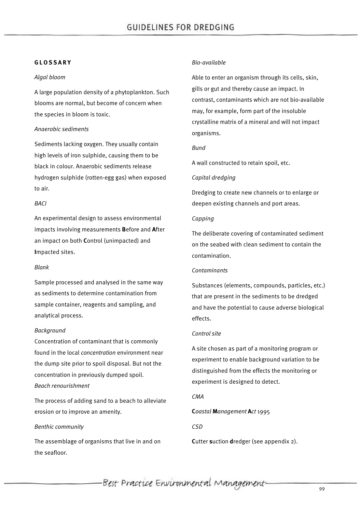#### **GLOSSARY**

#### *Algal bloom*

A large population density of a phytoplankton. Such blooms are normal, but become of concern when the species in bloom is toxic.

## *Anaerobic sediments*

Sediments lacking oxygen. They usually contain high levels of iron sulphide, causing them to be black in colour. Anaerobic sediments release hydrogen sulphide (rotten-egg gas) when exposed to air.

## *BACI*

An experimental design to assess environmental impacts involving measurements **B**efore and **A**fter an impact on both **C**ontrol (unimpacted) and **I**mpacted sites.

#### *Blank*

Sample processed and analysed in the same way as sediments to determine contamination from sample container, reagents and sampling, and analytical process.

# *Background*

Concentration of contaminant that is commonly found in the local *concentration* environment near the dump site prior to spoil disposal. But not the concentration in previously dumped spoil. *Beach renourishment*

The process of adding sand to a beach to alleviate erosion or to improve an amenity.

#### *Benthic community*

The assemblage of organisms that live in and on the seafloor.

### *Bio-available*

Able to enter an organism through its cells, skin, gills or gut and thereby cause an impact. In contrast, contaminants which are not bio-available may, for example, form part of the insoluble crystalline matrix of a mineral and will not impact organisms.

## *Bund*

A wall constructed to retain spoil, etc.

## *Capital dredging*

Dredging to create new channels or to enlarge or deepen existing channels and port areas.

## *Capping*

The deliberate covering of contaminated sediment on the seabed with clean sediment to contain the contamination.

#### *Contaminants*

Substances (elements, compounds, particles, etc.) that are present in the sediments to be dredged and have the potential to cause adverse biological effects.

# *Control site*

A site chosen as part of a monitoring program or experiment to enable background variation to be distinguished from the effects the monitoring or experiment is designed to detect.

# *CMA*

**C***oastal* **M***anagement* **A***ct* 1995

# *CSD*

**C**utter **s**uction **d**redger (see appendix 2).

-Best Practice Environmental Management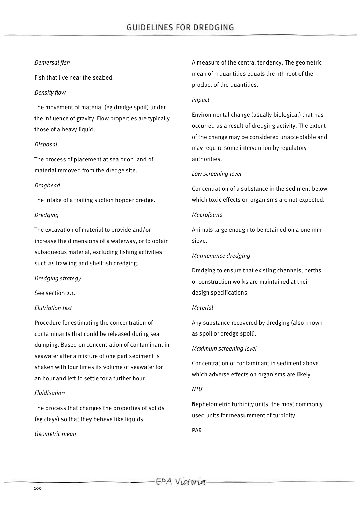### *Demersal fish*

Fish that live near the seabed.

# *Density flow*

The movement of material (eg dredge spoil) under the influence of gravity. Flow properties are typically those of a heavy liquid.

# *Disposal*

The process of placement at sea or on land of material removed from the dredge site.

## *Draghead*

The intake of a trailing suction hopper dredge.

## *Dredging*

The excavation of material to provide and/or increase the dimensions of a waterway, or to obtain subaqueous material, excluding fishing activities such as trawling and shellfish dredging.

#### *Dredging strategy*

See section 2.1.

# *Elutriation test*

Procedure for estimating the concentration of contaminants that could be released during sea dumping. Based on concentration of contaminant in seawater after a mixture of one part sediment is shaken with four times its volume of seawater for an hour and left to settle for a further hour.

# *Fluidisation*

The process that changes the properties of solids (eg clays) so that they behave like liquids.

*Geometric mean*

A measure of the central tendency. The geometric mean of n quantities equals the nth root of the product of the quantities.

#### *Impact*

Environmental change (usually biological) that has occurred as a result of dredging activity. The extent of the change may be considered unacceptable and may require some intervention by regulatory authorities.

## *Low screening level*

Concentration of a substance in the sediment below which toxic effects on organisms are not expected.

## *Macrofauna*

Animals large enough to be retained on a one mm sieve.

## *Maintenance dredging*

Dredging to ensure that existing channels, berths or construction works are maintained at their design specifications.

#### *Material*

Any substance recovered by dredging (also known as spoil or dredge spoil).

# *Maximum screening level*

Concentration of contaminant in sediment above which adverse effects on organisms are likely.

# *NTU*

**N**ephelometric **t**urbidity **u**nits, the most commonly used units for measurement of turbidity.

PAR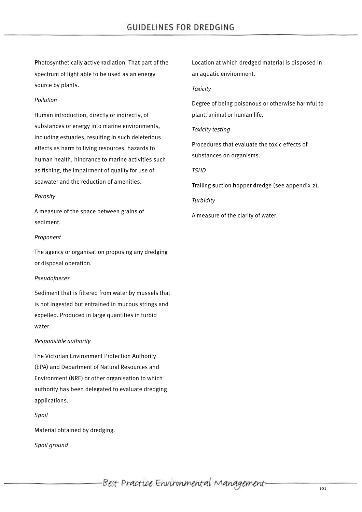**P**hotosynthetically **a**ctive **r**adiation. That part of the spectrum of light able to be used as an energy source by plants.

# *Pollution*

Human introduction, directly or indirectly, of substances or energy into marine environments, including estuaries, resulting in such deleterious effects as harm to living resources, hazards to human health, hindrance to marine activities such as fishing, the impairment of quality for use of seawater and the reduction of amenities.

## *Porosity*

A measure of the space between grains of sediment.

## *Proponent*

The agency or organisation proposing any dredging or disposal operation.

# *Pseudofaeces*

Sediment that is filtered from water by mussels that is not ingested but entrained in mucous strings and expelled. Produced in large quantities in turbid water.

# *Responsible authority*

The Victorian Environment Protection Authority (EPA) and Department of Natural Resources and Environment (NRE) or other organisation to which authority has been delegated to evaluate dredging applications.

#### *Spoil*

Material obtained by dredging.

*Spoil ground*

Location at which dredged material is disposed in an aquatic environment.

#### *Toxicity*

Degree of being poisonous or otherwise harmful to plant, animal or human life.

# *Toxicity testing*

Procedures that evaluate the toxic effects of substances on organisms.

# *TSHD*

**T**railing **s**uction **h**opper **d**redge (see appendix 2).

*Turbidity*

A measure of the clarity of water.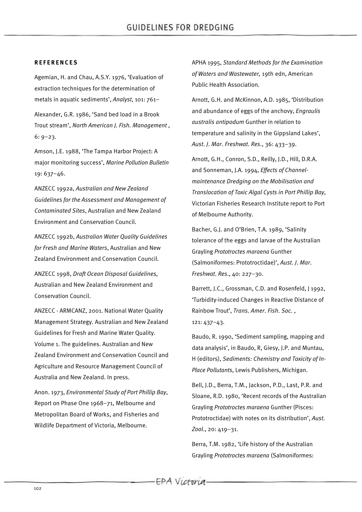# **REFERENCES**

Agemian, H. and Chau, A.S.Y. 1976, 'Evaluation of extraction techniques for the determination of metals in aquatic sediments', *Analyst*, 101: 761–

Alexander, G.R. 1986, 'Sand bed load in a Brook Trout stream', *North American J. Fish. Management* , 6: 9–23.

Amson, J.E. 1988, 'The Tampa Harbor Project: A major monitoring success', *Marine Pollution Bulletin* 19: 637–46.

ANZECC 1992a, *Australian and New Zealand Guidelines for the Assessment and Management of Contaminated Sites*, Australian and New Zealand Environment and Conservation Council.

ANZECC 1992b, *Australian Water Quality Guidelines for Fresh and Marine Waters*, Australian and New Zealand Environment and Conservation Council.

ANZECC 1998, *Draft Ocean Disposal Guidelines*, Australian and New Zealand Environment and Conservation Council.

ANZECC - ARMCANZ, 2001. National Water Quality Management Strategy. Australian and New Zealand Guidelines for Fresh and Marine Water Quality. Volume 1. The guidelines. Australian and New Zealand Environment and Conservation Council and Agriculture and Resource Management Council of Australia and New Zealand. In press.

Anon. 1973, *Environmental Study of Port Phillip Bay*, Report on Phase One 1968–71, Melbourne and Metropolitan Board of Works, and Fisheries and Wildlife Department of Victoria, Melbourne.

APHA 1995, *Standard Methods for the Examination of Waters and Wastewater,* 19th edn, American Public Health Association.

Arnott, G.H. and McKinnon, A.D. 1985, 'Distribution and abundance of eggs of the anchovy, *Engraulis australis antipodum* Gunther in relation to temperature and salinity in the Gippsland Lakes', *Aust*. *J*. *Mar*. *Freshwat*. *Res*., 36: 433–39.

Arnott, G.H., Conron, S.D., Reilly, J.D., Hill, D.R.A. and Sonneman, J.A. 1994, *Effects of Channelmaintenance Dredging on the Mobilisation and Translocation of Toxic Algal Cysts in Port Phillip Bay*, Victorian Fisheries Research Institute report to Port of Melbourne Authority.

Bacher, G.J. and O'Brien, T.A. 1989, 'Salinity tolerance of the eggs and larvae of the Australian Grayling *Prototroctes maraena* Gunther (Salmoniformes: Prototroctidae)', *Aust*. *J*. *Mar*. *Freshwat*. *Res*., 40: 227–30.

Barrett, J.C., Grossman, C.D. and Rosenfeld, J 1992, 'Turbidity-induced Changes in Reactive Distance of Rainbow Trout', *Trans. Amer. Fish. Soc.* , 121: 437–43.

Baudo, R. 1990, 'Sediment sampling, mapping and data analysis', in Baudo, R, Giesy, J.P. and Muntau, H (editors), *Sediments: Chemistry and Toxicity of In-Place Pollutants*, Lewis Publishers, Michigan.

Bell, J.D., Berra, T.M., Jackson, P.D., Last, P.R. and Sloane, R.D. 1980, 'Recent records of the Australian Grayling *Prototroctes maraena* Gunther (Pisces: Prototroctidae) with notes on its distribution', *Aust*. *Zool*., 20: 419–31.

Berra, T.M. 1982, 'Life history of the Australian Grayling *Prototroctes maraena* (Salmoniformes: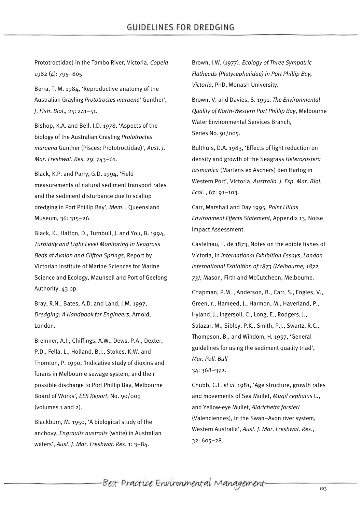Prototroctidae) in the Tambo River, Victoria, *Copeia* 1982 (4): 795–805.

Berra, T. M. 1984, 'Reproductive anatomy of the Australian Grayling *Prototroctes maraena*' Gunther', *J*. *Fish*. *Biol*., 25: 241–51.

Bishop, K.A. and Bell, J.D. 1978, 'Aspects of the biology of the Australian Grayling *Prototroctes maraena* Gunther (Pisces: Prototroctidae)', *Aust*. *J*. *Mar*. *Freshwat*. *Res*, 29: 743–61.

Black, K.P. and Parry, G.D. 1994, 'Field measurements of natural sediment transport rates and the sediment disturbance due to scallop dredging in Port Phillip Bay', *Mem*. , Queensland Museum, 36: 315–26.

Black, K., Hatton, D., Turnbull, J. and You, B. 1994, *Turbidity and Light Level Monitoring in Seagrass Beds at Avalon and Clifton Springs*, Report by Victorian Institute of Marine Sciences for Marine Science and Ecology, Maunsell and Port of Geelong Authority. 43 pp.

Bray, R.N., Bates, A.D. and Land, J.M. 1997, *Dredging: A Handbook for Engineers*, Arnold, London.

Bremner, A.J., Chiffings, A.W., Dews, P.A., Dexter, P.D., Fella, L., Holland, B.J., Stokes, K.W. and Thornton, P. 1990, 'Indicative study of dioxins and furans in Melbourne sewage system, and their possible discharge to Port Phillip Bay, Melbourne Board of Works', *EES Report*, No. 90/009 (volumes 1 and 2).

Blackburn, M. 1950, 'A biological study of the anchovy, *Engraulis australis* (white) in Australian waters', *Aust*. *J*. *Mar*. *Freshwat*. *Res*. 1: 3–84.

Brown, I.W. (1977). *Ecology of Three Sympatric Flatheads (Platycephalidae) in Port Phillip Bay, Victoria*, PhD, Monash University.

Brown, V. and Davies, S. 1991, *The Environmental Quality of North-Western Port Phillip Bay*, Melbourne Water Environmental Services Branch, Series No. 91/005.

Bulthuis, D.A. 1983, 'Effects of light reduction on density and growth of the Seagrass *Heterozostera tasmanica* (Martens ex Aschers) den Hartog in Western Port', Victoria, *Australia. J. Exp. Mar. Biol. Ecol*. , 67: 91–103.

Carr, Marshall and Day 1995, *Point Lillias Environment Effects Statement*, Appendix 13, Noise Impact Assessment.

Castelnau, F. de 1873, Notes on the edible fishes of Victoria, in *International Exhibition Essays*, *London International Exhibition of 1873 (Melbourne, 1872, 73)*, Mason, Firth and McCutcheon, Melbourne.

Chapman, P.M. , Anderson, B., Carr, S., Engles, V., Green, r., Hameed, J., Harmon, M., Haverland, P., Hyland, J., Ingersoll, C., Long, E., Rodgers, J., Salazar, M., Sibley, P.K., Smith, P.J., Swartz, R.C., Thompson, B., and Windom, H*.* 1997, 'General guidelines for using the sediment quality triad', *Mar. Poll. Bull* 34: 368–372.

Chubb, C.F. *et al.* 1981, 'Age structure, growth rates and movements of Sea Mullet, *Mugil cephalus* L., and Yellow-eye Mullet, *Aldrichetta forsteri* (Valenciennes), in the Swan–Avon river system, Western Australia', *Aust*. *J*. *Mar*. *Freshwat*. *Res*., 32: 605–28.

Best Practice Environmental Management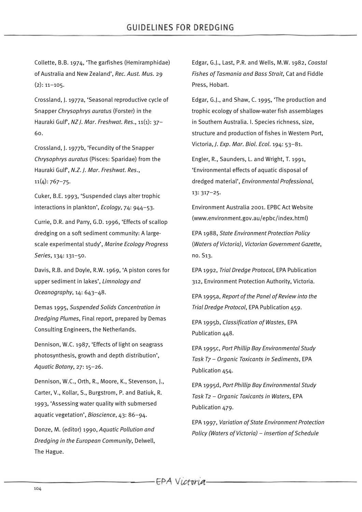Collette, B.B. 1974, 'The garfishes (Hemiramphidae) of Australia and New Zealand', *Rec. Aust. Mus.* 29  $(2): 11-105.$ 

Crossland, J. 1977a, 'Seasonal reproductive cycle of Snapper *Chrysophrys auratus* (Forster) in the Hauraki Gulf', *NZ J*. *Mar*. *Freshwat*. *Res*., 11(1): 37– 60.

Crossland, J. 1977b, 'Fecundity of the Snapper *Chrysophrys auratus* (Pisces: Sparidae) from the Hauraki Gulf', *N*.*Z*. *J*. *Mar*. *Freshwat*. *Res*.,  $11(4): 767 - 75.$ 

Cuker, B.E. 1993, 'Suspended clays alter trophic interactions in plankton', *Ecology*, 74: 944–53.

Currie, D.R. and Parry, G.D. 1996, 'Effects of scallop dredging on a soft sediment community: A largescale experimental study', *Marine Ecology Progress Series*, 134: 131–50.

Davis, R.B. and Doyle, R.W. 1969, 'A piston cores for upper sediment in lakes', *Limnology and Oceanography*, 14: 643–48.

Demas 1995, *Suspended Solids Concentration in Dredging Plumes*, Final report, prepared by Demas Consulting Engineers, the Netherlands.

Dennison, W.C. 1987, 'Effects of light on seagrass photosynthesis, growth and depth distribution', *Aquatic Botany*, 27: 15–26.

Dennison, W.C., Orth, R., Moore, K., Stevenson, J., Carter, V., Kollar, S., Burgstrom, P. and Batiuk, R. 1993, 'Assessing water quality with submersed aquatic vegetation', *Bioscience*, 43: 86–94.

Donze, M. (editor) 1990, *Aquatic Pollution and Dredging in the European Community*, Delwell, The Hague.

Edgar, G.J., Last, P.R. and Wells, M.W. 1982, *Coastal Fishes of Tasmania and Bass Strait*, Cat and Fiddle Press, Hobart.

Edgar, G.J., and Shaw, C. 1995, 'The production and trophic ecology of shallow-water fish assemblages in Southern Australia. I. Species richness, size, structure and production of fishes in Western Port, Victoria, *J*. *Exp*. *Mar*. *Biol*. *Ecol*. 194: 53–81.

Engler, R., Saunders, L. and Wright, T. 1991, 'Environmental effects of aquatic disposal of dredged material', *Environmental Professional*, 13: 317–25.

Environment Australia 2001. EPBC Act Website (www.environment.gov.au/epbc/index.html)

EPA 1988, *State Environment Protection Policy* (*Waters of Victoria)*, *Victorian Government Gazette*, no. S13.

EPA 1992, *Trial Dredge Protocol*, EPA Publication 312, Environment Protection Authority, Victoria.

EPA 1995a, *Report of the Panel of Review into the Trial Dredge Protocol*, EPA Publication 459.

EPA 1995b, *Classification of Wastes*, EPA Publication 448.

EPA 1995c, *Port Phillip Bay Environmental Study Task T7 – Organic Toxicants in Sediments*, EPA Publication 454.

EPA 1995d, *Port Phillip Bay Environmental Study Task T2 – Organic Toxicants in Waters*, EPA Publication 479.

EPA 1997, *Variation of State Environment Protection Policy (Waters of Victoria) – insertion of Schedule*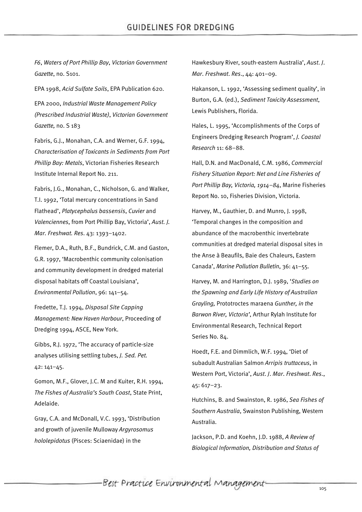*F6*, *Waters of Port Phillip Bay*, *Victorian Government Gazette*, no. S101.

EPA 1998, *Acid Sulfate Soils*, EPA Publication 620.

EPA 2000, *Industrial Waste Management Policy (Prescribed Industrial Waste)*, *Victorian Government Gazette,* no. S 183

Fabris, G.J., Monahan, C.A. and Werner, G.F. 1994, *Characterisation of Toxicants in Sediments from Port Phillip Bay: Metals*, Victorian Fisheries Research Institute Internal Report No. 211.

Fabris, J.G., Monahan, C., Nicholson, G. and Walker, T.I. 1992, 'Total mercury concentrations in Sand Flathead', *Platycephalus bassensis*, *Cuvier* and *Valenciennes*, from Port Phillip Bay, Victoria', *Aust. J. Mar. Freshwat. Res*. 43: 1393–1402.

Flemer, D.A., Ruth, B.F., Bundrick, C.M. and Gaston, G.R. 1997, 'Macrobenthic community colonisation and community development in dredged material disposal habitats off Coastal Louisiana', *Environmental Pollution*, 96: 141–54.

Fredette, T.J. 1994, *Disposal Site Capping Management: New Haven Harbour*, Proceeding of Dredging 1994, ASCE, New York.

Gibbs, R.J. 1972, 'The accuracy of particle-size analyses utilising settling tubes, *J. Sed. Pet.* 42: 141–45.

Gomon, M.F., Glover, J.C. M and Kuiter, R.H. 1994, *The Fishes of Australia's South Coast*, State Print, Adelaide.

Gray, C.A. and McDonall, V.C. 1993, 'Distribution and growth of juvenile Mulloway *Argyrosomus hololepidotus* (Pisces: Sciaenidae) in the

Hawkesbury River, south-eastern Australia', *Aust*. *J*. *Mar*. *Freshwat*. *Res*., 44: 401–09.

Hakanson, L. 1992, 'Assessing sediment quality', in Burton, G.A. (ed.), *Sediment Toxicity Assessment*, Lewis Publishers, Florida.

Hales, L. 1995, 'Accomplishments of the Corps of Engineers Dredging Research Program', *J. Coastal Research* 11: 68–88.

Hall, D.N. and MacDonald, C.M. 1986, *Commercial Fishery Situation Report: Net and Line Fisheries of Port Phillip Bay, Victoria, 1914–84*, Marine Fisheries Report No. 10, Fisheries Division, Victoria.

Harvey, M., Gauthier, D. and Munro, J. 1998, 'Temporal changes in the composition and abundance of the macrobenthic invertebrate communities at dredged material disposal sites in the Anse à Beaufils, Baie des Chaleurs, Eastern Canada', *Marine Pollution Bulletin*, 36: 41–55.

Harvey, M. and Harrington, D.J. 1989, '*Studies on the Spawning and Early Life History of Australian Grayling,* Prototroctes maraena *Gunther, in the Barwon River, Victoria'*, Arthur Rylah Institute for Environmental Research, Technical Report Series No. 84.

Hoedt, F.E. and Dimmlich, W.F. 1994, 'Diet of subadult Australian Salmon *Arripis truttaceus*, in Western Port, Victoria', *Aust*. *J*. *Mar*. *Freshwat*. *Res*., 45: 617–23.

Hutchins, B. and Swainston, R. 1986, *Sea Fishes of Southern Australia*, Swainston Publishing, Western Australia.

Jackson, P.D. and Koehn, J.D. 1988, *A Review of Biological Information, Distribution and Status of*

Best Practice Environmental Management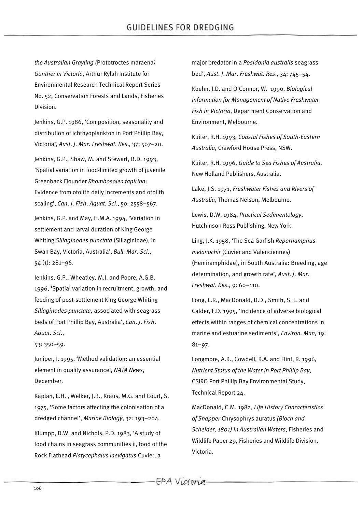*the Australian Grayling (*Prototroctes maraena*) Gunther in Victoria*, Arthur Rylah Institute for Environmental Research Technical Report Series No. 52, Conservation Forests and Lands, Fisheries Division.

Jenkins, G.P. 1986, 'Composition, seasonality and distribution of ichthyoplankton in Port Phillip Bay, Victoria', *Aust*. *J*. *Mar*. *Freshwat*. *Res*., 37: 507–20.

Jenkins, G.P., Shaw, M. and Stewart, B.D. 1993, 'Spatial variation in food-limited growth of juvenile Greenback Flounder *Rhombosolea tapirina*: Evidence from otolith daily increments and otolith scaling', *Can*. *J*. *Fish*. *Aquat*. *Sci*., 50: 2558–567.

Jenkins, G.P. and May, H.M.A. 1994, 'Variation in settlement and larval duration of King George Whiting *Sillaginodes punctata* (Sillaginidae), in Swan Bay, Victoria, Australia', *Bull*. *Mar*. *Sci*., 54 (1): 281–96.

Jenkins, G.P., Wheatley, M.J. and Poore, A.G.B. 1996, 'Spatial variation in recruitment, growth, and feeding of post-settlement King George Whiting *Sillaginodes punctata*, associated with seagrass beds of Port Phillip Bay, Australia', *Can*. *J*. *Fish*. *Aquat*. *Sci*.,

53: 350–59.

Juniper, I. 1995, 'Method validation: an essential element in quality assurance', *NATA News*, December.

Kaplan, E.H. , Welker, J.R., Kraus, M.G. and Court, S. 1975, 'Some factors affecting the colonisation of a dredged channel', *Marine Biology*, 32: 193–204.

Klumpp, D.W. and Nichols, P.D. 1983, 'A study of food chains in seagrass communities ii, food of the Rock Flathead *Platycephalus laevigatus* Cuvier, a

major predator in a *Posidonia australis* seagrass bed', *Aust*. *J*. *Mar*. *Freshwat*. *Res*., 34: 745–54. Koehn, J.D. and O'Connor, W. 1990, *Biological Information for Management of Native Freshwater Fish in Victoria*, Department Conservation and Environment, Melbourne.

Kuiter, R.H. 1993, *Coastal Fishes of South-Eastern Australia*, Crawford House Press, NSW.

Kuiter, R.H. 1996, *Guide to Sea Fishes of Australia*, New Holland Publishers, Australia.

Lake, J.S. 1971, *Freshwater Fishes and Rivers of Australia*, Thomas Nelson, Melbourne.

Lewis, D.W. 1984, *Practical Sedimentology*, Hutchinson Ross Publishing, New York.

Ling, J.K. 1958, 'The Sea Garfish *Reporhamphus melanochir* (Cuvier and Valenciennes) (Hemiramphidae), in South Australia: Breeding, age determination, and growth rate', *Aust*. *J*. *Mar*. *Freshwat*. *Res*., 9: 60–110.

Long, E.R., MacDonald, D.D., Smith, S. L. and Calder, F.D. 1995, 'Incidence of adverse biological effects within ranges of chemical concentrations in marine and estuarine sediments', *Environ. Man,* 19: 81–97.

Longmore, A.R., Cowdell, R.A. and Flint, R. 1996, *Nutrient Status of the Water in Port Phillip Bay*, CSIRO Port Phillip Bay Environmental Study, Technical Report 24.

MacDonald, C.M. 1982, *Life History Characteristics of Snapper* Chrysophrys auratus *(Bloch and Scheider, 1801) in Australian Waters*, Fisheries and Wildlife Paper 29, Fisheries and Wildlife Division, Victoria.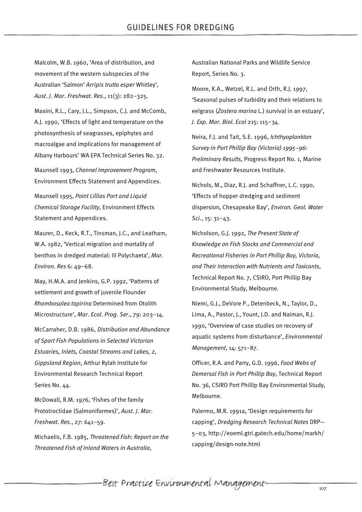Malcolm, W.B. 1960, 'Area of distribution, and movement of the western subspecies of the Australian 'Salmon' *Arripis trutta esper* Whitley', *Aust*. *J*. *Mar*. *Freshwat*. *Res*., 11(3): 282–325.

Masini, R.L., Cary, J.L., Simpson, C.J. and McComb, A.J. 1990, 'Effects of light and temperature on the photosynthesis of seagrasses, epiphytes and macroalgae and implications for management of Albany Harbours' WA EPA Technical Series No. 32.

Maunsell 1993, *Channel Improvement Program*, Environment Effects Statement and Appendices.

Maunsell 1995, *Point Lillias Port and Liquid Chemical Storage Facility*, Environment Effects Statement and Appendices.

Maurer, D., Keck, R.T., Tinsman, J.C., and Leatham, W.A. 1982, 'Vertical migration and mortality of benthos in dredged material: III Polychaeta', *Mar. Environ. Res* 6: 49–68.

May, H.M.A. and Jenkins, G.P. 1992, 'Patterns of settlement and growth of juvenile Flounder *Rhombosolea tapirina* Determined from Otolith Microstructure', *Mar*. *Ecol*. *Prog*. *Ser*., 79: 203–14.

McCarraher, D.B. 1986, *Distribution and Abundance of Sport Fish Populations in Selected Victorian Estuaries, Inlets, Coastal Streams and Lakes, 2, Gippsland Region*, Arthur Rylah Institute for Environmental Research Technical Report Series No. 44.

McDowall, R.M. 1976, 'Fishes of the family Prototroctidae (Salmoniformes)', *Aust*. *J*. *Mar*. *Freshwat*. *Res*., 27: 641–59.

Michaelis, F.B. 1985, *Threatened Fish: Report on the Threatened Fish of Inland Waters in Australia*,

Australian National Parks and Wildlife Service Report, Series No. 3.

Moore, K.A., Wetzel, R.L. and Orth, R.J. 1997, 'Seasonal pulses of turbidity and their relations to eelgrass (*Zostera marina* L.) survival in an estuary', *J. Exp. Mar. Biol. Ecol* 215: 115–34.

Neira, F.J. and Tait, S.E. 1996, *Ichthyoplankton Survey in Port Phillip Bay (Victoria) 1995–96: Preliminary Results*, Progress Report No. 1, Marine and Freshwater Resources Institute.

Nichols, M., Diaz, R.J. and Schaffner, L.C. 1990, 'Effects of hopper dredging and sediment dispersion, Chesapeake Bay', *Environ. Geol. Water Sci.*, 15: 31–43.

Nicholson, G.J. 1992, *The Present State of Knowledge on Fish Stocks and Commercial and Recreational Fisheries in Port Phillip Bay, Victoria, and Their Interaction with Nutrients and Toxicants*, Technical Report No. 7, CSIRO, Port Phillip Bay Environmental Study, Melbourne.

Niemi, G.J., DeVore P., Detenbeck, N., Taylor, D., Lima, A., Pastor, J., Yount, J.D. and Naiman, R.J. 1990, 'Overview of case studies on recovery of aquatic systems from disturbance', *Environmental Management*, 14: 571–87.

Officer, R.A. and Parry, G.D. 1996, *Food Webs of Demersal Fish in Port Phillip Bay*, Technical Report No. 36, CSIRO Port Phillip Bay Environmental Study, Melbourne.

Palermo, M.R. 1991a, 'Design requirements for capping', *Dredging Research Technical Notes* DRP— 5–03, http://eoeml.gtri.gatech.edu/home/markh/ capping/design-note.html

-Best Practice Environmental Management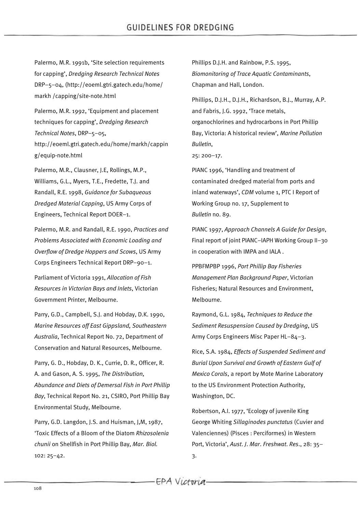Palermo, M.R. 1991b, 'Site selection requirements for capping', *Dredging Research Technical Notes* DRP–5–04, (http://eoeml.gtri.gatech.edu/home/ markh /capping/site-note.html

Palermo, M.R. 1992, 'Equipment and placement techniques for capping', *Dredging Research Technical Notes*, DRP–5–05, http://eoeml.gtri.gatech.edu/home/markh/cappin g/equip-note.html

Palermo, M.R., Clausner, J.E, Rollings, M.P., Williams, G.L., Myers, T.E., Fredette, T.J. and Randall, R.E. 1998, *Guidance for Subaqueous Dredged Material Capping*, US Army Corps of Engineers, Technical Report DOER–1.

Palermo, M.R. and Randall, R.E. 1990, *Practices and Problems Associated with Economic Loading and Overflow of Dredge Hoppers and Scows*, US Army Corps Engineers Technical Report DRP–90–1.

Parliament of Victoria 1991, *Allocation of Fish Resources in Victorian Bays and Inlets*, Victorian Government Printer, Melbourne.

Parry, G.D., Campbell, S.J. and Hobday, D.K. 1990, *Marine Resources off East Gippsland, Southeastern Australia*, Technical Report No. 72, Department of Conservation and Natural Resources, Melbourne.

Parry, G. D., Hobday, D. K., Currie, D. R., Officer, R. A. and Gason, A. S. 1995, *The Distribution, Abundance and Diets of Demersal Fish in Port Phillip Bay*, Technical Report No. 21, CSIRO, Port Phillip Bay Environmental Study, Melbourne.

Parry, G.D. Langdon, J.S. and Huisman, J,M, 1987, 'Toxic Effects of a Bloom of the Diatom *Rhizosolenia chunii* on Shellfish in Port Phillip Bay, *Mar. Biol.* 102: 25–42.

Phillips D.J.H. and Rainbow, P.S. 1995, *Biomonitoring of Trace Aquatic Contaminants*, Chapman and Hall, London.

Phillips, D.J.H., D.J.H., Richardson, B.J., Murray, A.P. and Fabris, J.G. 1992, 'Trace metals, organochlorines and hydrocarbons in Port Phillip Bay, Victoria: A historical review', *Marine Pollution Bulletin*,

25: 200–17.

PIANC 1996, 'Handling and treatment of contaminated dredged material from ports and inland waterways', *CDM* volume 1, PTC I Report of Working Group no. 17, Supplement to *Bulletin* no. 89.

PIANC 1997, *Approach Channels A Guide for Design*, Final report of joint PIANC–IAPH Working Group II–30 in cooperation with IMPA and IALA .

PPBFMPBP 1996, *Port Phillip Bay Fisheries Management Plan Background Paper*, Victorian Fisheries; Natural Resources and Environment, Melbourne.

Raymond, G.L. 1984, *Techniques to Reduce the Sediment Resuspension Caused by Dredging*, US Army Corps Engineers Misc Paper HL–84–3.

Rice, S.A. 1984, *Effects of Suspended Sediment and Burial Upon Survival and Growth of Eastern Gulf of Mexico Corals*, a report by Mote Marine Laboratory to the US Environment Protection Authority, Washington, DC.

Robertson, A.I. 1977, 'Ecology of juvenile King George Whiting *Sillaginodes punctatus* (Cuvier and Valenciennes) (Pisces : Perciformes) in Western Port, Victoria', *Aust*. *J*. *Mar*. *Freshwat*. *Res*., 28: 35– 3.

EPA Victoria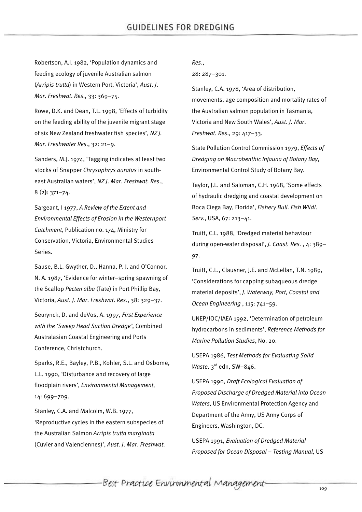Robertson, A.I. 1982, 'Population dynamics and feeding ecology of juvenile Australian salmon (*Arripis trutta*) in Western Port, Victoria', *Aust*. *J*. *Mar*. *Freshwat*. *Res*., 33: 369–75.

Rowe, D.K. and Dean, T.L. 1998, 'Effects of turbidity on the feeding ability of the juvenile migrant stage of six New Zealand freshwater fish species', *NZ J. Mar. Freshwater Res*., 32: 21–9.

Sanders, M.J. 1974, 'Tagging indicates at least two stocks of Snapper *Chrysophrys auratus* in southeast Australian waters', *NZ J*. *Mar*. *Freshwat*. *Res*., 8 (2**)**: 371–74.

Sargeant, I 1977, *A Review of the Extent and Environmental Effects of Erosion in the Westernport Catchment*, Publication no. 174, Ministry for Conservation, Victoria, Environmental Studies Series.

Sause, B.L. Gwyther, D., Hanna, P. J. and O'Connor, N. A. 1987, 'Evidence for winter–spring spawning of the Scallop *Pecten alba* (Tate) in Port Phillip Bay, Victoria, *Aust*. *J*. *Mar*. *Freshwat*. *Res*., 38: 329–37.

Seurynck, D. and deVos, A. 1997, *First Experience with the 'Sweep Head Suction Dredge'*, Combined Australasian Coastal Engineering and Ports Conference, Christchurch.

Sparks, R.E., Bayley, P.B., Kohler, S.L. and Osborne, L.L. 1990, 'Disturbance and recovery of large floodplain rivers', *Environmental Management*, 14: 699–709.

Stanley, C.A. and Malcolm, W.B. 1977, 'Reproductive cycles in the eastern subspecies of the Australian Salmon *Arripis trutta marginata* (Cuvier and Valenciennes)', *Aust*. *J*. *Mar*. *Freshwat*. *Res*.,

28: 287–301.

Stanley, C.A. 1978, 'Area of distribution, movements, age composition and mortality rates of the Australian salmon population in Tasmania, Victoria and New South Wales', *Aust*. *J*. *Mar*. *Freshwat*. *Res*., 29: 417–33.

State Pollution Control Commission 1979, *Effects of Dredging on Macrobenthic Infauna of Botany Bay*, Environmental Control Study of Botany Bay.

Taylor, J.L. and Saloman, C.H. 1968, 'Some effects of hydraulic dredging and coastal development on Boca Ciega Bay, Florida', *Fishery Bull. Fish Wildl. Serv.*, USA, 67: 213–41.

Truitt, C.L. 1988, 'Dredged material behaviour during open-water disposal', *J. Coast. Res.* , 4: 389– 97.

Truitt, C.L., Clausner, J.E. and McLellan, T.N. 1989, 'Considerations for capping subaqueous dredge material deposits', *J. Waterway, Port, Coastal and Ocean Engineering* , 115: 741–59.

UNEP/IOC/IAEA 1992, 'Determination of petroleum hydrocarbons in sediments', *Reference Methods for Marine Pollution Studies*, No. 20.

USEPA 1986, *Test Methods for Evaluating Solid Waste*, 3rd edn, SW–846.

USEPA 1990, *Draft Ecological Evaluation of Proposed Discharge of Dredged Material into Ocean Waters*, US Environmental Protection Agency and Department of the Army, US Army Corps of Engineers, Washington, DC.

USEPA 1991, *Evaluation of Dredged Material Proposed for Ocean Disposal – Testing Manual*, US

Best Practice Environmental Management